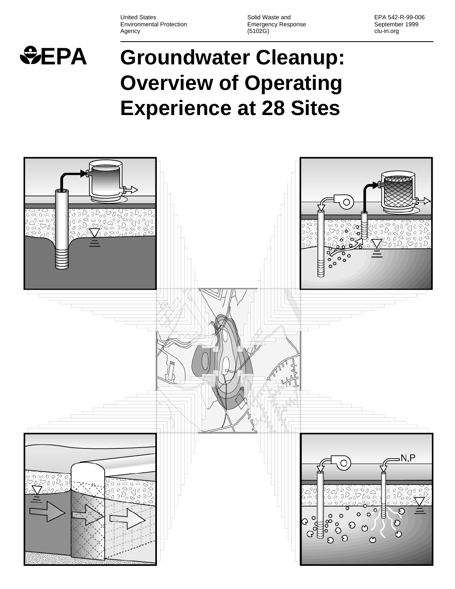United States Controller Solid Waste and EPA 542-R-99-006<br>
Environmental Protection Controller Emergency Response September 1999

Emergency Response<br>(5102G) Agency (5102G) clu-in.org



# **EPA Groundwater Cleanup: Overview of Operating Experience at 28 Sites**

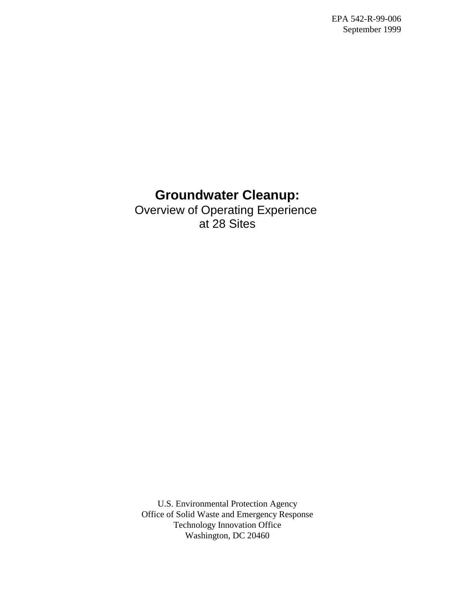EPA 542-R-99-006 September 1999

# **Groundwater Cleanup:**

Overview of Operating Experience at 28 Sites

U.S. Environmental Protection Agency Office of Solid Waste and Emergency Response Technology Innovation Office Washington, DC 20460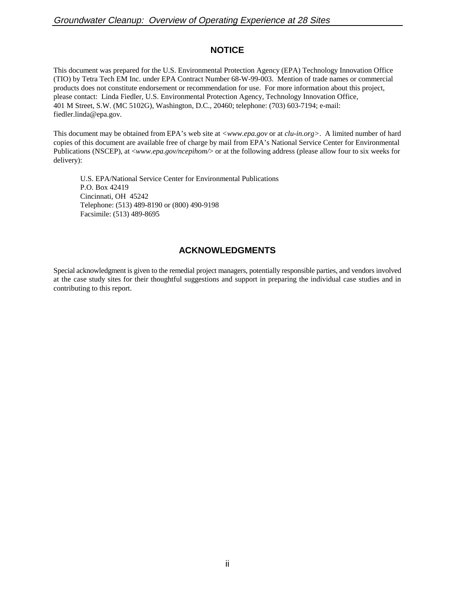#### **NOTICE**

This document was prepared for the U.S. Environmental Protection Agency (EPA) Technology Innovation Office (TIO) by Tetra Tech EM Inc. under EPA Contract Number 68-W-99-003. Mention of trade names or commercial products does not constitute endorsement or recommendation for use. For more information about this project, please contact: Linda Fiedler, U.S. Environmental Protection Agency, Technology Innovation Office, 401 M Street, S.W. (MC 5102G), Washington, D.C., 20460; telephone: (703) 603-7194; e-mail: fiedler.linda@epa.gov.

This document may be obtained from EPA's web site at *<www.epa.gov* or at *clu-in.org>*. A limited number of hard copies of this document are available free of charge by mail from EPA's National Service Center for Environmental Publications (NSCEP), at <*www.epa.gov/ncepihom/*> or at the following address (please allow four to six weeks for delivery):

U.S. EPA/National Service Center for Environmental Publications P.O. Box 42419 Cincinnati, OH 45242 Telephone: (513) 489-8190 or (800) 490-9198 Facsimile: (513) 489-8695

#### **ACKNOWLEDGMENTS**

Special acknowledgment is given to the remedial project managers, potentially responsible parties, and vendors involved at the case study sites for their thoughtful suggestions and support in preparing the individual case studies and in contributing to this report.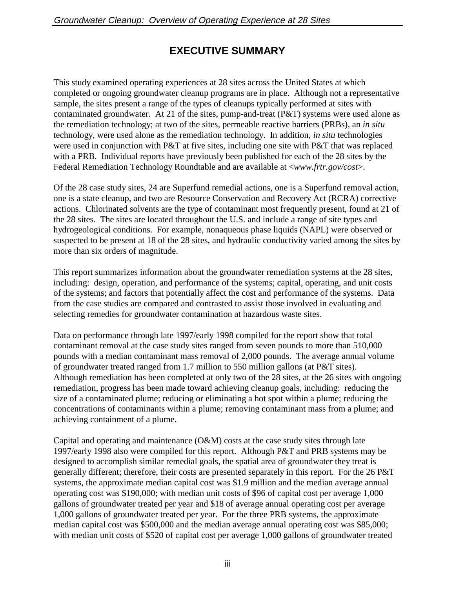# **EXECUTIVE SUMMARY**

This study examined operating experiences at 28 sites across the United States at which completed or ongoing groundwater cleanup programs are in place. Although not a representative sample, the sites present a range of the types of cleanups typically performed at sites with contaminated groundwater. At 21 of the sites, pump-and-treat (P&T) systems were used alone as the remediation technology; at two of the sites, permeable reactive barriers (PRBs), an *in situ* technology, were used alone as the remediation technology. In addition, *in situ* technologies were used in conjunction with P&T at five sites, including one site with P&T that was replaced with a PRB. Individual reports have previously been published for each of the 28 sites by the Federal Remediation Technology Roundtable and are available at <*www.frtr.gov/cost*>.

Of the 28 case study sites, 24 are Superfund remedial actions, one is a Superfund removal action, one is a state cleanup, and two are Resource Conservation and Recovery Act (RCRA) corrective actions. Chlorinated solvents are the type of contaminant most frequently present, found at 21 of the 28 sites. The sites are located throughout the U.S. and include a range of site types and hydrogeological conditions. For example, nonaqueous phase liquids (NAPL) were observed or suspected to be present at 18 of the 28 sites, and hydraulic conductivity varied among the sites by more than six orders of magnitude.

This report summarizes information about the groundwater remediation systems at the 28 sites, including: design, operation, and performance of the systems; capital, operating, and unit costs of the systems; and factors that potentially affect the cost and performance of the systems. Data from the case studies are compared and contrasted to assist those involved in evaluating and selecting remedies for groundwater contamination at hazardous waste sites.

Data on performance through late 1997/early 1998 compiled for the report show that total contaminant removal at the case study sites ranged from seven pounds to more than 510,000 pounds with a median contaminant mass removal of 2,000 pounds. The average annual volume of groundwater treated ranged from 1.7 million to 550 million gallons (at P&T sites). Although remediation has been completed at only two of the 28 sites, at the 26 sites with ongoing remediation, progress has been made toward achieving cleanup goals, including: reducing the size of a contaminated plume; reducing or eliminating a hot spot within a plume; reducing the concentrations of contaminants within a plume; removing contaminant mass from a plume; and achieving containment of a plume.

Capital and operating and maintenance (O&M) costs at the case study sites through late 1997/early 1998 also were compiled for this report. Although P&T and PRB systems may be designed to accomplish similar remedial goals, the spatial area of groundwater they treat is generally different; therefore, their costs are presented separately in this report. For the 26 P&T systems, the approximate median capital cost was \$1.9 million and the median average annual operating cost was \$190,000; with median unit costs of \$96 of capital cost per average 1,000 gallons of groundwater treated per year and \$18 of average annual operating cost per average 1,000 gallons of groundwater treated per year. For the three PRB systems, the approximate median capital cost was \$500,000 and the median average annual operating cost was \$85,000; with median unit costs of \$520 of capital cost per average 1,000 gallons of groundwater treated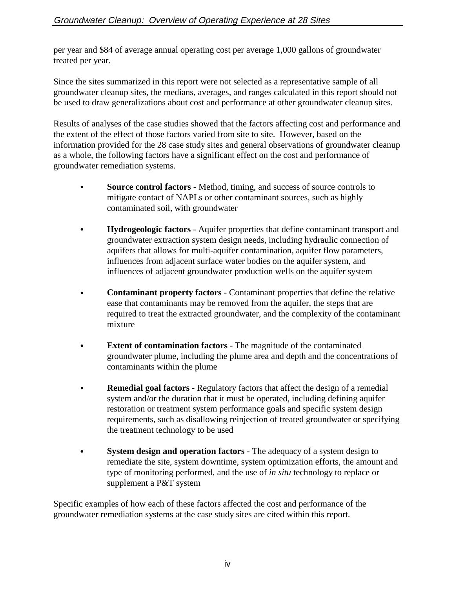per year and \$84 of average annual operating cost per average 1,000 gallons of groundwater treated per year.

Since the sites summarized in this report were not selected as a representative sample of all groundwater cleanup sites, the medians, averages, and ranges calculated in this report should not be used to draw generalizations about cost and performance at other groundwater cleanup sites.

Results of analyses of the case studies showed that the factors affecting cost and performance and the extent of the effect of those factors varied from site to site. However, based on the information provided for the 28 case study sites and general observations of groundwater cleanup as a whole, the following factors have a significant effect on the cost and performance of groundwater remediation systems.

- & **Source control factors** Method, timing, and success of source controls to mitigate contact of NAPLs or other contaminant sources, such as highly contaminated soil, with groundwater
- & **Hydrogeologic factors** Aquifer properties that define contaminant transport and groundwater extraction system design needs, including hydraulic connection of aquifers that allows for multi-aquifer contamination, aquifer flow parameters, influences from adjacent surface water bodies on the aquifer system, and influences of adjacent groundwater production wells on the aquifer system
- & **Contaminant property factors** Contaminant properties that define the relative ease that contaminants may be removed from the aquifer, the steps that are required to treat the extracted groundwater, and the complexity of the contaminant mixture
- & **Extent of contamination factors** The magnitude of the contaminated groundwater plume, including the plume area and depth and the concentrations of contaminants within the plume
- & **Remedial goal factors** Regulatory factors that affect the design of a remedial system and/or the duration that it must be operated, including defining aquifer restoration or treatment system performance goals and specific system design requirements, such as disallowing reinjection of treated groundwater or specifying the treatment technology to be used
- & **System design and operation factors** The adequacy of a system design to remediate the site, system downtime, system optimization efforts, the amount and type of monitoring performed, and the use of *in situ* technology to replace or supplement a P&T system

Specific examples of how each of these factors affected the cost and performance of the groundwater remediation systems at the case study sites are cited within this report.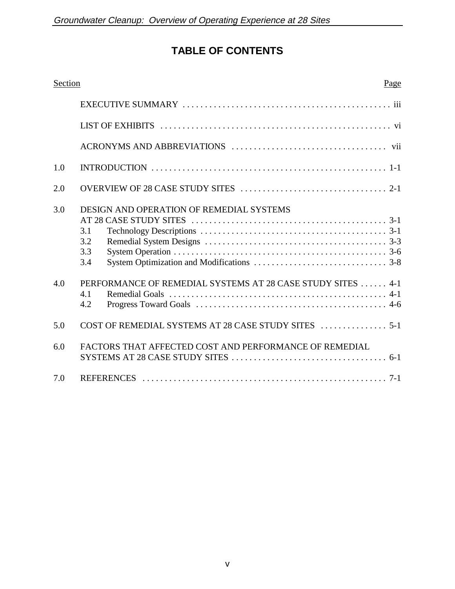# **TABLE OF CONTENTS**

| Section | Page                                                                      |
|---------|---------------------------------------------------------------------------|
|         |                                                                           |
|         |                                                                           |
|         |                                                                           |
| 1.0     |                                                                           |
| 2.0     |                                                                           |
| 3.0     | DESIGN AND OPERATION OF REMEDIAL SYSTEMS<br>3.1<br>3.2<br>3.3<br>3.4      |
| 4.0     | PERFORMANCE OF REMEDIAL SYSTEMS AT 28 CASE STUDY SITES  4-1<br>4.1<br>4.2 |
| 5.0     |                                                                           |
| 6.0     | FACTORS THAT AFFECTED COST AND PERFORMANCE OF REMEDIAL                    |
| 7.0     |                                                                           |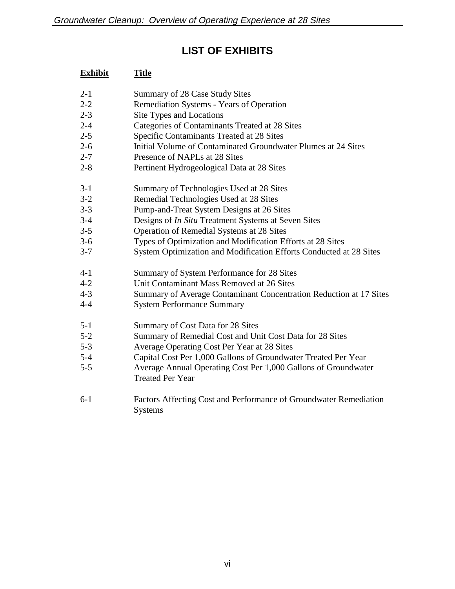# **LIST OF EXHIBITS**

| <b>Exhibit</b> | <u>Title</u>                                                                              |
|----------------|-------------------------------------------------------------------------------------------|
| $2 - 1$        | Summary of 28 Case Study Sites                                                            |
| $2 - 2$        | Remediation Systems - Years of Operation                                                  |
| $2 - 3$        | Site Types and Locations                                                                  |
| $2 - 4$        | Categories of Contaminants Treated at 28 Sites                                            |
| $2 - 5$        | Specific Contaminants Treated at 28 Sites                                                 |
| $2 - 6$        | Initial Volume of Contaminated Groundwater Plumes at 24 Sites                             |
| $2 - 7$        | Presence of NAPLs at 28 Sites                                                             |
| $2 - 8$        | Pertinent Hydrogeological Data at 28 Sites                                                |
| $3-1$          | Summary of Technologies Used at 28 Sites                                                  |
| $3 - 2$        | Remedial Technologies Used at 28 Sites                                                    |
| $3 - 3$        | Pump-and-Treat System Designs at 26 Sites                                                 |
| $3-4$          | Designs of <i>In Situ</i> Treatment Systems at Seven Sites                                |
| $3 - 5$        | Operation of Remedial Systems at 28 Sites                                                 |
| $3-6$          | Types of Optimization and Modification Efforts at 28 Sites                                |
| $3 - 7$        | System Optimization and Modification Efforts Conducted at 28 Sites                        |
| $4 - 1$        | Summary of System Performance for 28 Sites                                                |
| $4 - 2$        | Unit Contaminant Mass Removed at 26 Sites                                                 |
| $4 - 3$        | Summary of Average Contaminant Concentration Reduction at 17 Sites                        |
| $4 - 4$        | <b>System Performance Summary</b>                                                         |
| $5 - 1$        | Summary of Cost Data for 28 Sites                                                         |
| $5 - 2$        | Summary of Remedial Cost and Unit Cost Data for 28 Sites                                  |
| $5 - 3$        | <b>Average Operating Cost Per Year at 28 Sites</b>                                        |
| $5 - 4$        | Capital Cost Per 1,000 Gallons of Groundwater Treated Per Year                            |
| $5 - 5$        | Average Annual Operating Cost Per 1,000 Gallons of Groundwater<br><b>Treated Per Year</b> |
| $6 - 1$        | Factors Affecting Cost and Performance of Groundwater Remediation<br><b>Systems</b>       |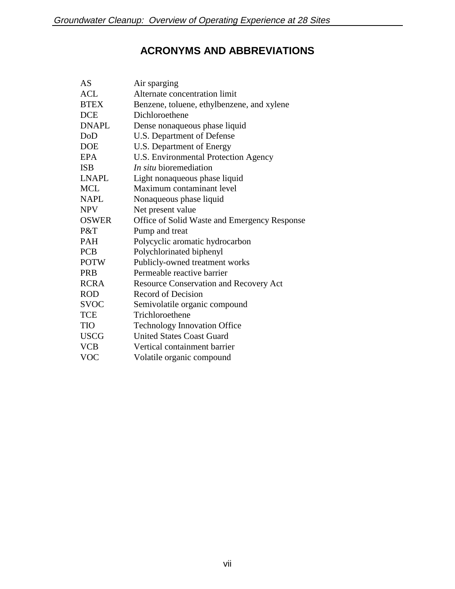# **ACRONYMS AND ABBREVIATIONS**

| AS           | Air sparging                                 |
|--------------|----------------------------------------------|
| <b>ACL</b>   | Alternate concentration limit                |
| <b>BTEX</b>  | Benzene, toluene, ethylbenzene, and xylene   |
| <b>DCE</b>   | Dichloroethene                               |
| <b>DNAPL</b> | Dense nonaqueous phase liquid                |
| DoD          | U.S. Department of Defense                   |
| <b>DOE</b>   | U.S. Department of Energy                    |
| <b>EPA</b>   | U.S. Environmental Protection Agency         |
| <b>ISB</b>   | <i>In situ</i> bioremediation                |
| <b>LNAPL</b> | Light nonaqueous phase liquid                |
| <b>MCL</b>   | Maximum contaminant level                    |
| <b>NAPL</b>  | Nonaqueous phase liquid                      |
| <b>NPV</b>   | Net present value                            |
| <b>OSWER</b> | Office of Solid Waste and Emergency Response |
| P&T          | Pump and treat                               |
| <b>PAH</b>   | Polycyclic aromatic hydrocarbon              |
| <b>PCB</b>   | Polychlorinated biphenyl                     |
| <b>POTW</b>  | Publicly-owned treatment works               |
| <b>PRB</b>   | Permeable reactive barrier                   |
| <b>RCRA</b>  | Resource Conservation and Recovery Act       |
| <b>ROD</b>   | Record of Decision                           |
| <b>SVOC</b>  | Semivolatile organic compound                |
| <b>TCE</b>   | Trichloroethene                              |
| <b>TIO</b>   | <b>Technology Innovation Office</b>          |
| <b>USCG</b>  | <b>United States Coast Guard</b>             |
| <b>VCB</b>   | Vertical containment barrier                 |
| <b>VOC</b>   | Volatile organic compound                    |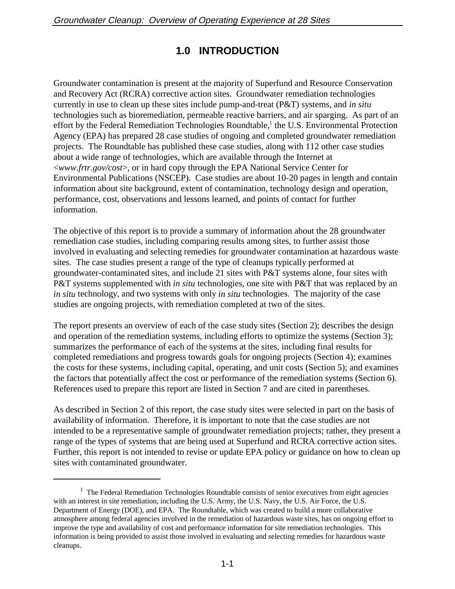# **1.0 INTRODUCTION**

Groundwater contamination is present at the majority of Superfund and Resource Conservation and Recovery Act (RCRA) corrective action sites. Groundwater remediation technologies currently in use to clean up these sites include pump-and-treat (P&T) systems, and *in situ* technologies such as bioremediation, permeable reactive barriers, and air sparging. As part of an effort by the Federal Remediation Technologies Roundtable, $<sup>1</sup>$  the U.S. Environmental Protection</sup> Agency (EPA) has prepared 28 case studies of ongoing and completed groundwater remediation projects. The Roundtable has published these case studies, along with 112 other case studies about a wide range of technologies, which are available through the Internet at <*www.frtr.gov/cost*>, or in hard copy through the EPA National Service Center for Environmental Publications (NSCEP). Case studies are about 10-20 pages in length and contain information about site background, extent of contamination, technology design and operation, performance, cost, observations and lessons learned, and points of contact for further information.

The objective of this report is to provide a summary of information about the 28 groundwater remediation case studies, including comparing results among sites, to further assist those involved in evaluating and selecting remedies for groundwater contamination at hazardous waste sites. The case studies present a range of the type of cleanups typically performed at groundwater-contaminated sites, and include 21 sites with P&T systems alone, four sites with P&T systems supplemented with *in situ* technologies, one site with P&T that was replaced by an *in situ* technology, and two systems with only *in situ* technologies. The majority of the case studies are ongoing projects, with remediation completed at two of the sites.

The report presents an overview of each of the case study sites (Section 2); describes the design and operation of the remediation systems, including efforts to optimize the systems (Section 3); summarizes the performance of each of the systems at the sites, including final results for completed remediations and progress towards goals for ongoing projects (Section 4); examines the costs for these systems, including capital, operating, and unit costs (Section 5); and examines the factors that potentially affect the cost or performance of the remediation systems (Section 6). References used to prepare this report are listed in Section 7 and are cited in parentheses.

As described in Section 2 of this report, the case study sites were selected in part on the basis of availability of information. Therefore, it is important to note that the case studies are not intended to be a representative sample of groundwater remediation projects; rather, they present a range of the types of systems that are being used at Superfund and RCRA corrective action sites. Further, this report is not intended to revise or update EPA policy or guidance on how to clean up sites with contaminated groundwater.

 $1$  The Federal Remediation Technologies Roundtable consists of senior executives from eight agencies with an interest in site remediation, including the U.S. Army, the U.S. Navy, the U.S. Air Force, the U.S. Department of Energy (DOE), and EPA. The Roundtable, which was created to build a more collaborative atmosphere among federal agencies involved in the remediation of hazardous waste sites, has on ongoing effort to improve the type and availability of cost and performance information for site remediation technologies. This information is being provided to assist those involved in evaluating and selecting remedies for hazardous waste cleanups.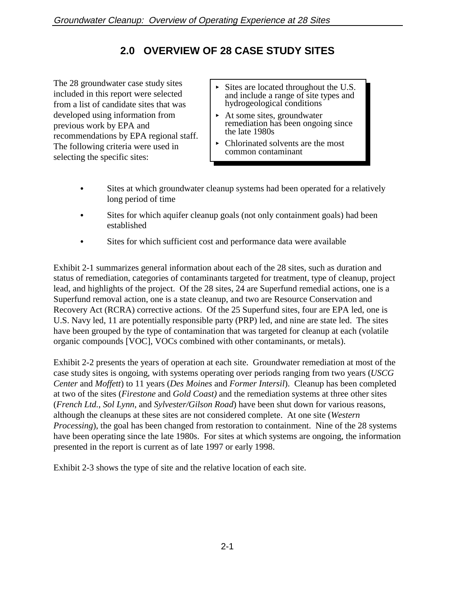# **2.0 OVERVIEW OF 28 CASE STUDY SITES**

The 28 groundwater case study sites included in this report were selected from a list of candidate sites that was developed using information from previous work by EPA and recommendations by EPA regional staff. The following criteria were used in selecting the specific sites:

- Sites are located throughout the U.S. and include a range of site types and hydrogeological conditions
- At some sites, groundwater remediation has been ongoing since the late 1980s
- Chlorinated solvents are the most common contaminant
- & Sites at which groundwater cleanup systems had been operated for a relatively long period of time
- Sites for which aquifer cleanup goals (not only containment goals) had been established
- Sites for which sufficient cost and performance data were available

Exhibit 2-1 summarizes general information about each of the 28 sites, such as duration and status of remediation, categories of contaminants targeted for treatment, type of cleanup, project lead, and highlights of the project. Of the 28 sites, 24 are Superfund remedial actions, one is a Superfund removal action, one is a state cleanup, and two are Resource Conservation and Recovery Act (RCRA) corrective actions. Of the 25 Superfund sites, four are EPA led, one is U.S. Navy led, 11 are potentially responsible party (PRP) led, and nine are state led. The sites have been grouped by the type of contamination that was targeted for cleanup at each (volatile organic compounds [VOC], VOCs combined with other contaminants, or metals).

Exhibit 2-2 presents the years of operation at each site. Groundwater remediation at most of the case study sites is ongoing, with systems operating over periods ranging from two years (*USCG Center* and *Moffett*) to 11 years (*Des Moines* and *Former Intersil*). Cleanup has been completed at two of the sites (*Firestone* and *Gold Coast)* and the remediation systems at three other sites (*French Ltd.*, *Sol Lynn*, and *Sylvester/Gilson Road*) have been shut down for various reasons, although the cleanups at these sites are not considered complete. At one site (*Western Processing*), the goal has been changed from restoration to containment. Nine of the 28 systems have been operating since the late 1980s. For sites at which systems are ongoing, the information presented in the report is current as of late 1997 or early 1998.

Exhibit 2-3 shows the type of site and the relative location of each site.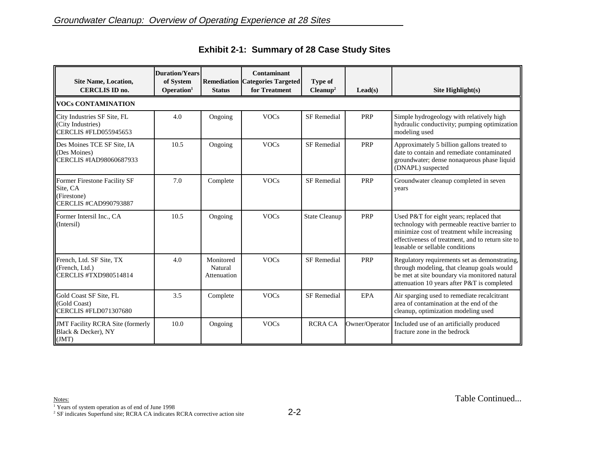| <b>Site Name, Location,</b><br><b>CERCLIS ID no.</b>                             | <b>Duration/Years</b><br>of System<br>Operation <sup>1</sup> | <b>Status</b>                       | <b>Contaminant</b><br><b>Remediation Categories Targeted</b><br>for Treatment | <b>Type of</b><br>Cleanup <sup>2</sup> | $\text{Lead}(s)$ | Site Highlight(s)                                                                                                                                                                                                               |
|----------------------------------------------------------------------------------|--------------------------------------------------------------|-------------------------------------|-------------------------------------------------------------------------------|----------------------------------------|------------------|---------------------------------------------------------------------------------------------------------------------------------------------------------------------------------------------------------------------------------|
| <b>VOCs CONTAMINATION</b>                                                        |                                                              |                                     |                                                                               |                                        |                  |                                                                                                                                                                                                                                 |
| City Industries SF Site, FL<br>(City Industries)<br><b>CERCLIS #FLD055945653</b> | 4.0                                                          | Ongoing                             | <b>VOCs</b>                                                                   | SF Remedial                            | PRP              | Simple hydrogeology with relatively high<br>hydraulic conductivity; pumping optimization<br>modeling used                                                                                                                       |
| Des Moines TCE SF Site, IA<br>(Des Moines)<br>CERCLIS #IAD98060687933            | 10.5                                                         | Ongoing                             | <b>VOCs</b>                                                                   | <b>SF</b> Remedial                     | PRP              | Approximately 5 billion gallons treated to<br>date to contain and remediate contaminated<br>groundwater; dense nonaqueous phase liquid<br>(DNAPL) suspected                                                                     |
| Former Firestone Facility SF<br>Site, CA<br>(Firestone)<br>CERCLIS #CAD990793887 | 7.0                                                          | Complete                            | <b>VOCs</b>                                                                   | <b>SF</b> Remedial                     | PRP              | Groundwater cleanup completed in seven<br>years                                                                                                                                                                                 |
| Former Intersil Inc., CA<br>(Intersil)                                           | 10.5                                                         | Ongoing                             | <b>VOCs</b>                                                                   | <b>State Cleanup</b>                   | PRP              | Used P&T for eight years; replaced that<br>technology with permeable reactive barrier to<br>minimize cost of treatment while increasing<br>effectiveness of treatment, and to return site to<br>leasable or sellable conditions |
| French, Ltd. SF Site, TX<br>(French, Ltd.)<br>CERCLIS #TXD980514814              | 4.0                                                          | Monitored<br>Natural<br>Attenuation | <b>VOCs</b>                                                                   | SF Remedial                            | PRP              | Regulatory requirements set as demonstrating,<br>through modeling, that cleanup goals would<br>be met at site boundary via monitored natural<br>attenuation 10 years after P&T is completed                                     |
| Gold Coast SF Site, FL<br>(Gold Coast)<br><b>CERCLIS #FLD071307680</b>           | 3.5                                                          | Complete                            | <b>VOCs</b>                                                                   | <b>SF</b> Remedial                     | EPA              | Air sparging used to remediate recalcitrant<br>area of contamination at the end of the<br>cleanup, optimization modeling used                                                                                                   |
| JMT Facility RCRA Site (formerly<br>Black & Decker), NY<br>$($ JMT $)$           | 10.0                                                         | Ongoing                             | <b>VOCs</b>                                                                   | <b>RCRA CA</b>                         | Owner/Operator   | Included use of an artificially produced<br>fracture zone in the bedrock                                                                                                                                                        |

 $\frac{1}{2}$  Years of system operation as of end of June 1998<br>  $\frac{2.2}{2}$  SF indicates Superfund site; RCRA CA indicates RCRA corrective action site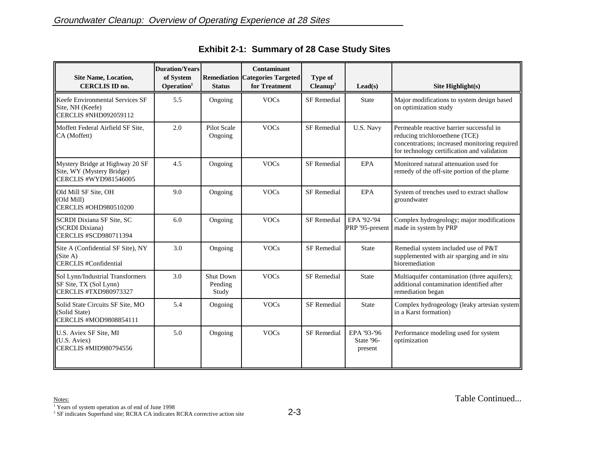| <b>Site Name, Location,</b><br><b>CERCLIS ID no.</b>                                       | <b>Duration/Years</b><br>of System<br>Operation <sup>1</sup> | <b>Status</b>                 | Contaminant<br><b>Remediation Categories Targeted</b><br>for Treatment | Type of<br>Cleanup <sup>2</sup> | $\textbf{Lead}(s)$                   | Site Highlight(s)                                                                                                                                                          |
|--------------------------------------------------------------------------------------------|--------------------------------------------------------------|-------------------------------|------------------------------------------------------------------------|---------------------------------|--------------------------------------|----------------------------------------------------------------------------------------------------------------------------------------------------------------------------|
| Keefe Environmental Services SF<br>Site, NH (Keefe)<br>CERCLIS #NHD092059112               | 5.5                                                          | Ongoing                       | <b>VOCs</b>                                                            | <b>SF</b> Remedial              | <b>State</b>                         | Major modifications to system design based<br>on optimization study                                                                                                        |
| Moffett Federal Airfield SF Site,<br>CA (Moffett)                                          | 2.0                                                          | Pilot Scale<br>Ongoing        | <b>VOCs</b>                                                            | <b>SF</b> Remedial              | U.S. Navy                            | Permeable reactive barrier successful in<br>reducing trichloroethene (TCE)<br>concentrations; increased monitoring required<br>for technology certification and validation |
| Mystery Bridge at Highway 20 SF<br>Site, WY (Mystery Bridge)<br>CERCLIS #WYD981546005      | 4.5                                                          | Ongoing                       | <b>VOCs</b>                                                            | SF Remedial                     | EPA                                  | Monitored natural attenuation used for<br>remedy of the off-site portion of the plume                                                                                      |
| Old Mill SF Site, OH<br>(Old Mill)<br>CERCLIS #OHD980510200                                | 9.0                                                          | Ongoing                       | <b>VOCs</b>                                                            | <b>SF</b> Remedial              | EPA                                  | System of trenches used to extract shallow<br>groundwater                                                                                                                  |
| SCRDI Dixiana SF Site, SC<br>(SCRDI Dixiana)<br><b>CERCLIS #SCD980711394</b>               | 6.0                                                          | Ongoing                       | <b>VOCs</b>                                                            | <b>SF</b> Remedial              | EPA '92-'94<br>PRP '95-present       | Complex hydrogeology; major modifications<br>made in system by PRP                                                                                                         |
| Site A (Confidential SF Site), NY<br>(Site A)<br><b>CERCLIS</b> #Confidential              | 3.0                                                          | Ongoing                       | <b>VOCs</b>                                                            | <b>SF</b> Remedial              | <b>State</b>                         | Remedial system included use of P&T<br>supplemented with air sparging and in situ<br>bioremediation                                                                        |
| Sol Lynn/Industrial Transformers<br>SF Site, TX (Sol Lynn)<br><b>CERCLIS #TXD980973327</b> | 3.0                                                          | Shut Down<br>Pending<br>Study | <b>VOCs</b>                                                            | <b>SF</b> Remedial              | <b>State</b>                         | Multiaquifer contamination (three aquifers);<br>additional contamination identified after<br>remediation began                                                             |
| Solid State Circuits SF Site, MO<br>(Solid State)<br>CERCLIS #MOD9808854111                | 5.4                                                          | Ongoing                       | <b>VOCs</b>                                                            | SF Remedial                     | <b>State</b>                         | Complex hydrogeology (leaky artesian system<br>in a Karst formation)                                                                                                       |
| U.S. Aviex SF Site, MI<br>(U.S. Aviex)<br>CERCLIS #MID980794556                            | 5.0                                                          | Ongoing                       | <b>VOCs</b>                                                            | <b>SF</b> Remedial              | EPA '93-'96<br>State '96-<br>present | Performance modeling used for system<br>optimization                                                                                                                       |

| <b>Exhibit 2-1: Summary of 28 Case Study Sites</b> |  |  |  |  |  |
|----------------------------------------------------|--|--|--|--|--|
|----------------------------------------------------|--|--|--|--|--|

 $\frac{1}{2}$  Years of system operation as of end of June 1998<br>  $\frac{2}{3}$  SF indicates Superfund site; RCRA CA indicates RCRA corrective action site 2-3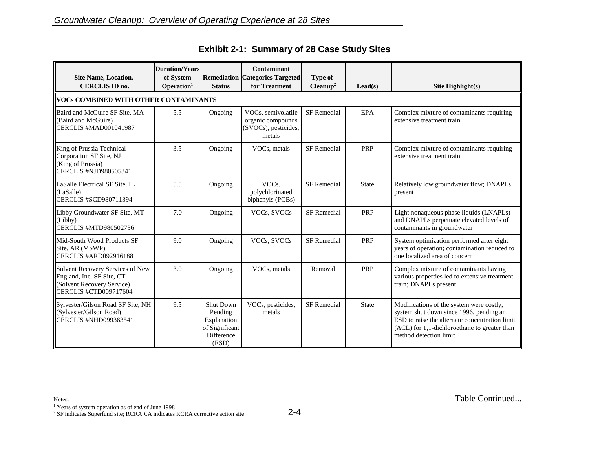| <b>Duration/Years</b><br>of System<br><b>Site Name, Location,</b><br><b>CERCLIS ID no.</b><br>Operation <sup>1</sup> |                                | <b>Status</b>                                                                       | <b>Contaminant</b><br><b>Remediation Categories Targeted</b><br>for Treatment | Type of<br>Cleanup <sup>2</sup> | $\text{Lead}(s)$                                                       | Site Highlight(s)                                                                                                                                                                                               |  |  |  |  |  |  |
|----------------------------------------------------------------------------------------------------------------------|--------------------------------|-------------------------------------------------------------------------------------|-------------------------------------------------------------------------------|---------------------------------|------------------------------------------------------------------------|-----------------------------------------------------------------------------------------------------------------------------------------------------------------------------------------------------------------|--|--|--|--|--|--|
| <b>VOCS COMBINED WITH OTHER CONTAMINANTS</b>                                                                         |                                |                                                                                     |                                                                               |                                 |                                                                        |                                                                                                                                                                                                                 |  |  |  |  |  |  |
| Baird and McGuire SF Site, MA<br>5.5<br>(Baird and McGuire)<br>CERCLIS #MAD001041987                                 |                                | Ongoing                                                                             | VOCs, semivolatile<br>organic compounds<br>(SVOCs), pesticides,<br>metals     | <b>SF</b> Remedial              | EPA                                                                    | Complex mixture of contaminants requiring<br>extensive treatment train                                                                                                                                          |  |  |  |  |  |  |
| King of Prussia Technical<br>Corporation SF Site, NJ<br>(King of Prussia)<br>CERCLIS #NJD980505341                   | 3.5<br>VOCs, metals<br>Ongoing |                                                                                     | <b>SF</b> Remedial                                                            | PRP                             | Complex mixture of contaminants requiring<br>extensive treatment train |                                                                                                                                                                                                                 |  |  |  |  |  |  |
| LaSalle Electrical SF Site, IL<br>(LaSalle)<br>CERCLIS #SCD980711394                                                 | 5.5                            | Ongoing                                                                             | VOCs.<br>polychlorinated<br>biphenyls (PCBs)                                  | <b>SF</b> Remedial              | <b>State</b>                                                           | Relatively low groundwater flow; DNAPLs<br>present                                                                                                                                                              |  |  |  |  |  |  |
| Libby Groundwater SF Site, MT<br>(Libby)<br>CERCLIS #MTD980502736                                                    | 7.0                            | Ongoing                                                                             | VOCs, SVOCs                                                                   | SF Remedial                     | PRP                                                                    | Light nonaqueous phase liquids (LNAPLs)<br>and DNAPLs perpetuate elevated levels of<br>contaminants in groundwater                                                                                              |  |  |  |  |  |  |
| Mid-South Wood Products SF<br>Site, AR (MSWP)<br>CERCLIS #ARD092916188                                               | 9.0                            | Ongoing                                                                             | VOCs, SVOCs                                                                   | <b>SF</b> Remedial              | PRP                                                                    | System optimization performed after eight<br>years of operation; contamination reduced to<br>one localized area of concern                                                                                      |  |  |  |  |  |  |
| Solvent Recovery Services of New<br>England, Inc. SF Site, CT<br>(Solvent Recovery Service)<br>CERCLIS #CTD009717604 | 3.0                            | Ongoing                                                                             | VOCs, metals                                                                  | Removal                         | PRP                                                                    | Complex mixture of contaminants having<br>various properties led to extensive treatment<br>train; DNAPLs present                                                                                                |  |  |  |  |  |  |
| Sylvester/Gilson Road SF Site, NH<br>(Sylvester/Gilson Road)<br>CERCLIS #NHD099363541                                | 9.5                            | <b>Shut Down</b><br>Pending<br>Explanation<br>of Significant<br>Difference<br>(ESD) | VOCs, pesticides,<br>metals                                                   | <b>SF</b> Remedial              | <b>State</b>                                                           | Modifications of the system were costly;<br>system shut down since 1996, pending an<br>ESD to raise the alternate concentration limit<br>(ACL) for 1,1-dichloroethane to greater than<br>method detection limit |  |  |  |  |  |  |

| <b>Exhibit 2-1: Summary of 28 Case Study Sites</b> |  |  |  |  |  |
|----------------------------------------------------|--|--|--|--|--|
|----------------------------------------------------|--|--|--|--|--|

 $\frac{1}{2}$  Years of system operation as of end of June 1998<br>  $\frac{2.24}{\pi}$  SF indicates Superfund site; RCRA CA indicates RCRA corrective action site 2-4

Notes: Table Continued...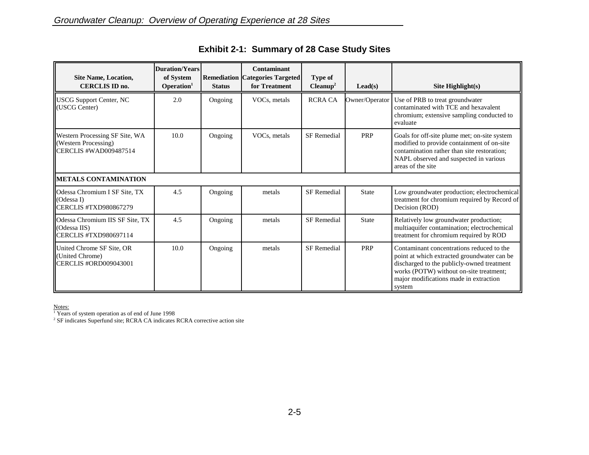| <b>Site Name, Location,</b><br><b>CERCLIS ID no.</b>                            | <b>Duration/Years</b><br>of System<br>Operation <sup>1</sup> | <b>Status</b> | Contaminant<br><b>Remediation Categories Targeted</b><br>for Treatment | <b>Type of</b><br>Cleanup <sup>2</sup> | $\textbf{Lead}(s)$ | Site $Highlight(s)$                                                                                                                                                                                                                   |
|---------------------------------------------------------------------------------|--------------------------------------------------------------|---------------|------------------------------------------------------------------------|----------------------------------------|--------------------|---------------------------------------------------------------------------------------------------------------------------------------------------------------------------------------------------------------------------------------|
| <b>USCG</b> Support Center, NC<br>(USCG Center)                                 | 2.0                                                          | Ongoing       | VOCs, metals                                                           | <b>RCRA CA</b>                         | Owner/Operator     | Use of PRB to treat groundwater<br>contaminated with TCE and hexavalent<br>chromium; extensive sampling conducted to<br>evaluate                                                                                                      |
| Western Processing SF Site, WA<br>(Western Processing)<br>CERCLIS #WAD009487514 | 10.0                                                         | Ongoing       | VOCs, metals                                                           | <b>SF</b> Remedial                     | PRP                | Goals for off-site plume met; on-site system<br>modified to provide containment of on-site<br>contamination rather than site restoration;<br>NAPL observed and suspected in various<br>areas of the site                              |
| <b>METALS CONTAMINATION</b>                                                     |                                                              |               |                                                                        |                                        |                    |                                                                                                                                                                                                                                       |
| Odessa Chromium I SF Site, TX<br>(Odessa I)<br>CERCLIS #TXD980867279            | 4.5                                                          | Ongoing       | metals                                                                 | <b>SF</b> Remedial                     | <b>State</b>       | Low groundwater production; electrochemical<br>treatment for chromium required by Record of<br>Decision (ROD)                                                                                                                         |
| Odessa Chromium IIS SF Site, TX<br>(Odessa IIS)<br>CERCLIS #TXD980697114        | 4.5                                                          | Ongoing       | metals                                                                 | <b>SF</b> Remedial                     | <b>State</b>       | Relatively low groundwater production;<br>multiaquifer contamination; electrochemical<br>treatment for chromium required by ROD                                                                                                       |
| United Chrome SF Site, OR<br>(United Chrome)<br>CERCLIS #ORD009043001           | 10.0                                                         | Ongoing       | metals                                                                 | <b>SF</b> Remedial                     | PRP                | Contaminant concentrations reduced to the<br>point at which extracted groundwater can be<br>discharged to the publicly-owned treatment<br>works (POTW) without on-site treatment;<br>major modifications made in extraction<br>system |

| <b>Exhibit 2-1: Summary of 28 Case Study Sites</b> |  |  |  |  |  |
|----------------------------------------------------|--|--|--|--|--|
|----------------------------------------------------|--|--|--|--|--|

Notes:<br><sup>1</sup> Years of system operation as of end of June 1998

 $<sup>2</sup>$  SF indicates Superfund site; RCRA CA indicates RCRA corrective action site</sup>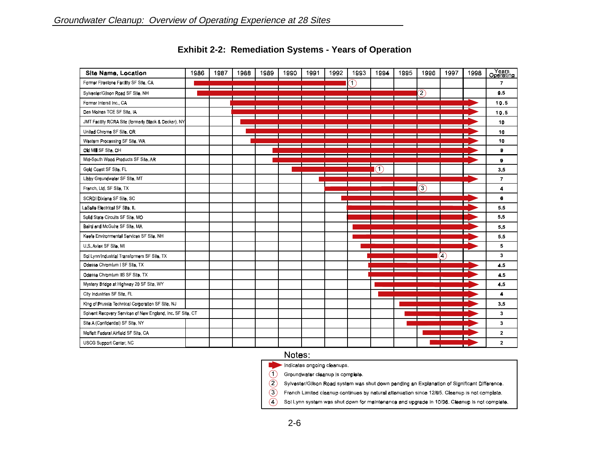| <b>Site Name, Location</b>                                 | 1986 | 1987 | 1988 | 1989 | 1990 | 1991 | 1992 | 1993 | 1994 | 1995 | 1996          | 1997 | 1998 | Years<br>Operating |
|------------------------------------------------------------|------|------|------|------|------|------|------|------|------|------|---------------|------|------|--------------------|
| Former Firestone Facility SF Site, CA                      |      |      |      |      |      |      |      | ้า   |      |      |               |      |      | $\overline{7}$     |
| Sylvester/Gilson Road SF Site, NH                          |      |      |      |      |      |      |      |      |      |      | $\widehat{2}$ |      |      | 9.5                |
| Former Intersil Inc., CA                                   |      |      |      |      |      |      |      |      |      |      |               |      |      | 10.5               |
| Des Moines TCE SF Site, IA                                 |      |      |      |      |      |      |      |      |      |      |               |      |      | 10.5               |
| JMT Facility RCRA Site (formerly Black & Decker), NY       |      |      |      |      |      |      |      |      |      |      |               |      |      | 10                 |
| United Chrome SF Site, OR                                  |      |      |      |      |      |      |      |      |      |      |               |      |      | 10                 |
| Western Processing SF Site, WA                             |      |      |      |      |      |      |      |      |      |      |               |      |      | 10                 |
| Old Mill SF Site, OH                                       |      |      |      |      |      |      |      |      |      |      |               |      |      | 9                  |
| Mid-South Wood Products SF Site. AR                        |      |      |      |      |      |      |      |      |      |      |               |      |      | 9                  |
| Gold Coast SF Site, FL                                     |      |      |      |      |      |      |      |      | 1    |      |               |      |      | 35                 |
| Libby Groundwater SF Site, MT                              |      |      |      |      |      |      |      |      |      |      |               |      |      | $\overline{7}$     |
| French, Ltd. SF Site, TX                                   |      |      |      |      |      |      |      |      |      |      | T             |      |      | 4                  |
| SCRDI Dixiana SF Site, SC                                  |      |      |      |      |      |      |      |      |      |      |               |      |      | 6.                 |
| LaSalle Electrical SF Site, IL                             |      |      |      |      |      |      |      |      |      |      |               |      |      | 55                 |
| Solid State Circuits SF Site, MO                           |      |      |      |      |      |      |      |      |      |      |               |      |      | 55                 |
| Baird and McGuire SF Site, MA                              |      |      |      |      |      |      |      |      |      |      |               |      |      | 55                 |
| Keefe Environmental Services SF Site, NH                   |      |      |      |      |      |      |      |      |      |      |               |      |      | 55                 |
| U.S. Aviex SF Site, MI                                     |      |      |      |      |      |      |      |      |      |      |               |      | −    | 5                  |
| Sol Lynn/Industrial Transformers SF Site, TX               |      |      |      |      |      |      |      |      |      |      |               | 4)   |      | $\mathbf{3}$       |
| Odessa Chromium   SF Site, TX                              |      |      |      |      |      |      |      |      |      |      |               |      |      | 4.5                |
| Odessa Chromium IIS SF Site, TX                            |      |      |      |      |      |      |      |      |      |      |               |      |      | 45                 |
| Mystery Bridge at Highway 20 SF Site, WY                   |      |      |      |      |      |      |      |      |      |      |               |      |      | 4.5                |
| City Industries SF Site, FL                                |      |      |      |      |      |      |      |      |      |      |               |      |      | 4.                 |
| King of Prussia Technical Corporation SF Site, NJ          |      |      |      |      |      |      |      |      |      |      |               |      |      | 3.5                |
| Solvent Recovery Services of New England, Inc. SF Site, CT |      |      |      |      |      |      |      |      |      |      |               |      |      | $\mathbf{3}$       |
| Site A (Confidential) SF Site, NY                          |      |      |      |      |      |      |      |      |      |      |               |      |      | $\mathbf{3}$       |
| Moffett Federal Airfield SF Site, CA                       |      |      |      |      |      |      |      |      |      |      |               |      |      | $\mathbf{2}$       |
| USCG Support Center, NC                                    |      |      |      |      |      |      |      |      |      |      |               |      |      | $\mathbf{2}$       |

#### **Exhibit 2-2: Remediation Systems - Years of Operation**

#### Notes:



 $\left( 1\right)$ Groundwater cleanup is complete.

 $\odot$ Sylvester/Gilson Road system was shut down pending an Explanation of Significant Difference.

 $\odot$ French Limited cleanup continues by natural attenuation since 12/95. Cleanup is not complete.

 $\bigcirc$ Sol Lynn system was shut down for maintenance and upgrade in 10/96. Cleanup is not complete.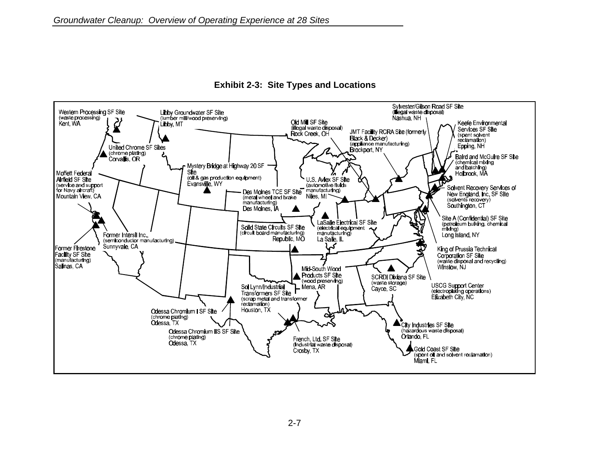

#### **Exhibit 2-3: Site Types and Locations**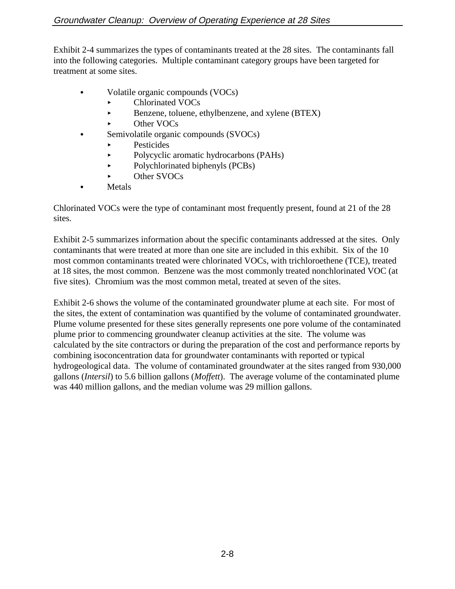Exhibit 2-4 summarizes the types of contaminants treated at the 28 sites. The contaminants fall into the following categories. Multiple contaminant category groups have been targeted for treatment at some sites.

- Volatile organic compounds (VOCs)
	- Chlorinated VOCs
	- Benzene, toluene, ethylbenzene, and xylene (BTEX)
	- Other VOCs
- Semivolatile organic compounds (SVOCs)
	- Pesticides
	- Polycyclic aromatic hydrocarbons (PAHs)
	- Polychlorinated biphenyls (PCBs)
	- Other SVOCs
- Metals

Chlorinated VOCs were the type of contaminant most frequently present, found at 21 of the 28 sites.

Exhibit 2-5 summarizes information about the specific contaminants addressed at the sites. Only contaminants that were treated at more than one site are included in this exhibit. Six of the 10 most common contaminants treated were chlorinated VOCs, with trichloroethene (TCE), treated at 18 sites, the most common. Benzene was the most commonly treated nonchlorinated VOC (at five sites). Chromium was the most common metal, treated at seven of the sites.

Exhibit 2-6 shows the volume of the contaminated groundwater plume at each site. For most of the sites, the extent of contamination was quantified by the volume of contaminated groundwater. Plume volume presented for these sites generally represents one pore volume of the contaminated plume prior to commencing groundwater cleanup activities at the site. The volume was calculated by the site contractors or during the preparation of the cost and performance reports by combining isoconcentration data for groundwater contaminants with reported or typical hydrogeological data. The volume of contaminated groundwater at the sites ranged from 930,000 gallons (*Intersil*) to 5.6 billion gallons (*Moffett*). The average volume of the contaminated plume was 440 million gallons, and the median volume was 29 million gallons.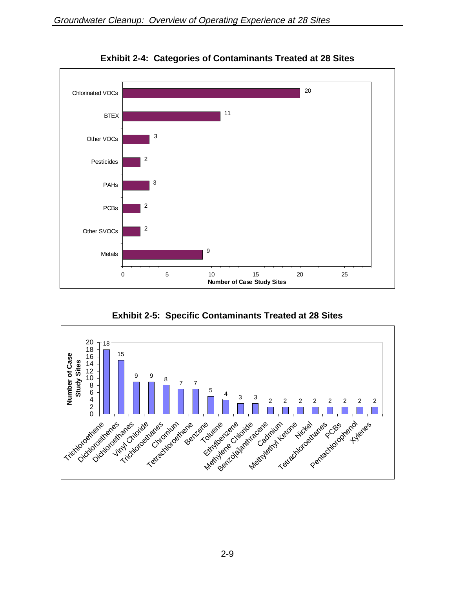

**Exhibit 2-4: Categories of Contaminants Treated at 28 Sites**

**Exhibit 2-5: Specific Contaminants Treated at 28 Sites**

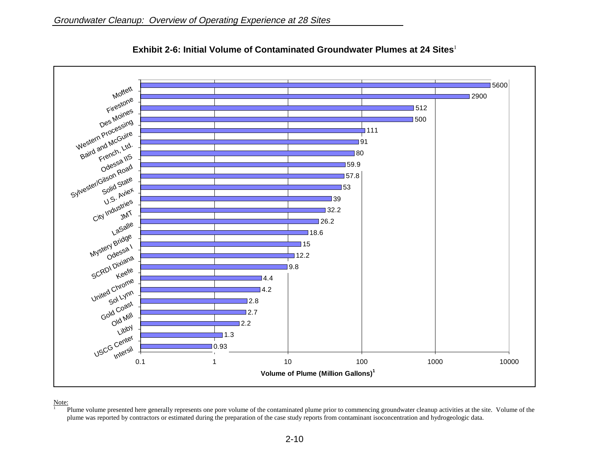



#### Note:

Plume volume presented here generally represents one pore volume of the contaminated plume prior to commencing groundwater cleanup activities at the site. Volume of the plume was reported by contractors or estimated during the preparation of the case study reports from contaminant isoconcentration and hydrogeologic data.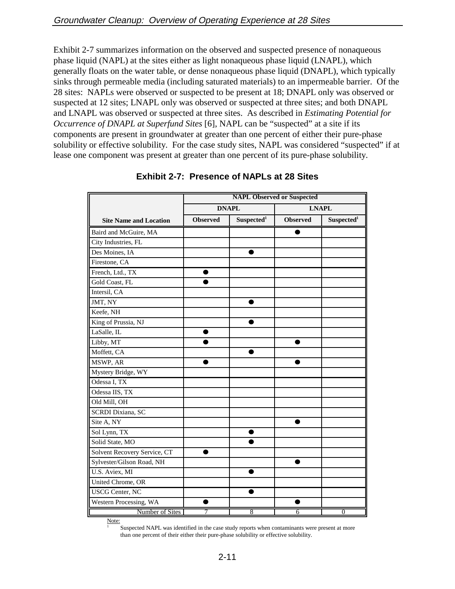Exhibit 2-7 summarizes information on the observed and suspected presence of nonaqueous phase liquid (NAPL) at the sites either as light nonaqueous phase liquid (LNAPL), which generally floats on the water table, or dense nonaqueous phase liquid (DNAPL), which typically sinks through permeable media (including saturated materials) to an impermeable barrier. Of the 28 sites: NAPLs were observed or suspected to be present at 18; DNAPL only was observed or suspected at 12 sites; LNAPL only was observed or suspected at three sites; and both DNAPL and LNAPL was observed or suspected at three sites. As described in *Estimating Potential for Occurrence of DNAPL at Superfund Sites* [6], NAPL can be "suspected" at a site if its components are present in groundwater at greater than one percent of either their pure-phase solubility or effective solubility. For the case study sites, NAPL was considered "suspected" if at lease one component was present at greater than one percent of its pure-phase solubility.

|                               |                 |                        | <b>NAPL Observed or Suspected</b> |                        |  |  |
|-------------------------------|-----------------|------------------------|-----------------------------------|------------------------|--|--|
|                               |                 | <b>DNAPL</b>           |                                   | <b>LNAPL</b>           |  |  |
| <b>Site Name and Location</b> | <b>Observed</b> | Suspected <sup>1</sup> | <b>Observed</b>                   | Suspected <sup>1</sup> |  |  |
| Baird and McGuire, MA         |                 |                        |                                   |                        |  |  |
| City Industries, FL           |                 |                        |                                   |                        |  |  |
| Des Moines, IA                |                 | ●                      |                                   |                        |  |  |
| Firestone, CA                 |                 |                        |                                   |                        |  |  |
| French, Ltd., TX              |                 |                        |                                   |                        |  |  |
| Gold Coast, FL                |                 |                        |                                   |                        |  |  |
| Intersil, CA                  |                 |                        |                                   |                        |  |  |
| JMT, NY                       |                 | ۰                      |                                   |                        |  |  |
| Keefe, NH                     |                 |                        |                                   |                        |  |  |
| King of Prussia, NJ           |                 |                        |                                   |                        |  |  |
| LaSalle, IL                   |                 |                        |                                   |                        |  |  |
| Libby, MT                     |                 |                        |                                   |                        |  |  |
| Moffett, CA                   |                 | ▲                      |                                   |                        |  |  |
| MSWP, AR                      |                 |                        |                                   |                        |  |  |
| Mystery Bridge, WY            |                 |                        |                                   |                        |  |  |
| Odessa I, TX                  |                 |                        |                                   |                        |  |  |
| Odessa IIS, TX                |                 |                        |                                   |                        |  |  |
| Old Mill, OH                  |                 |                        |                                   |                        |  |  |
| SCRDI Dixiana, SC             |                 |                        |                                   |                        |  |  |
| Site A, NY                    |                 |                        |                                   |                        |  |  |
| Sol Lynn, TX                  |                 |                        |                                   |                        |  |  |
| Solid State, MO               |                 |                        |                                   |                        |  |  |
| Solvent Recovery Service, CT  |                 |                        |                                   |                        |  |  |
| Sylvester/Gilson Road, NH     |                 |                        |                                   |                        |  |  |
| U.S. Aviex, MI                |                 |                        |                                   |                        |  |  |
| United Chrome, OR             |                 |                        |                                   |                        |  |  |
| <b>USCG Center, NC</b>        |                 |                        |                                   |                        |  |  |
| Western Processing, WA        |                 |                        |                                   |                        |  |  |
| Number of Sites               | 7               | 8                      | 6                                 | $\overline{0}$         |  |  |

|  | <b>Exhibit 2-7: Presence of NAPLs at 28 Sites</b> |  |
|--|---------------------------------------------------|--|
|--|---------------------------------------------------|--|

Note:

Suspected NAPL was identified in the case study reports when contaminants were present at more than one percent of their either their pure-phase solubility or effective solubility.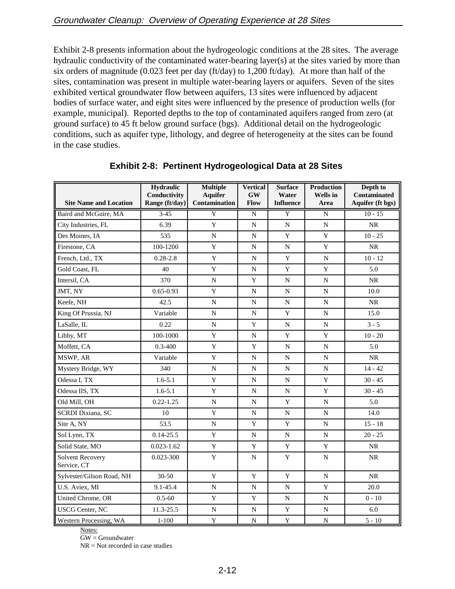Exhibit 2-8 presents information about the hydrogeologic conditions at the 28 sites. The average hydraulic conductivity of the contaminated water-bearing layer(s) at the sites varied by more than six orders of magnitude (0.023 feet per day (ft/day) to 1,200 ft/day). At more than half of the sites, contamination was present in multiple water-bearing layers or aquifers. Seven of the sites exhibited vertical groundwater flow between aquifers, 13 sites were influenced by adjacent bodies of surface water, and eight sites were influenced by the presence of production wells (for example, municipal). Reported depths to the top of contaminated aquifers ranged from zero (at ground surface) to 45 ft below ground surface (bgs). Additional detail on the hydrogeologic conditions, such as aquifer type, lithology, and degree of heterogeneity at the sites can be found in the case studies.

|                                        | <b>Hydraulic</b><br>Conductivity | <b>Multiple</b><br><b>Aquifer</b> | <b>Vertical</b><br><b>GW</b> | <b>Surface</b><br>Water | <b>Production</b><br>Wells in | Depth to<br>Contaminated |
|----------------------------------------|----------------------------------|-----------------------------------|------------------------------|-------------------------|-------------------------------|--------------------------|
| <b>Site Name and Location</b>          | Range (ft/day)                   | Contamination                     | Flow                         | <b>Influence</b>        | Area                          | Aquifer (ft bgs)         |
| Baird and McGuire, MA                  | $3-45$                           | Ÿ                                 | $\overline{N}$               | $\overline{Y}$          | ${\bf N}$                     | $10 - 15$                |
| City Industries, FL                    | 6.39                             | $\mathbf Y$                       | ${\bf N}$                    | ${\bf N}$               | ${\bf N}$                     | NR                       |
| Des Moines, IA                         | 535                              | $\overline{N}$                    | ${\bf N}$                    | $\mathbf Y$             | $\mathbf Y$                   | $10 - 25$                |
| Firestone, CA                          | 100-1200                         | $\mathbf Y$                       | ${\bf N}$                    | N                       | Y                             | $\rm NR$                 |
| French, Ltd., TX                       | $0.28 - 2.8$                     | Y                                 | ${\bf N}$                    | $\mathbf Y$             | ${\bf N}$                     | $10 - 12$                |
| Gold Coast, FL                         | 40                               | Y                                 | $\overline{N}$               | $\mathbf Y$             | Y                             | 5.0                      |
| Intersil, CA                           | 370                              | ${\bf N}$                         | $\mathbf Y$                  | ${\bf N}$               | ${\bf N}$                     | $\rm NR$                 |
| JMT, NY                                | $0.65 - 0.93$                    | Y                                 | $\overline{N}$               | ${\bf N}$               | $\overline{N}$                | 10.0                     |
| Keefe, NH                              | 42.5                             | $\mathbf N$                       | ${\bf N}$                    | ${\bf N}$               | ${\bf N}$                     | NR                       |
| King Of Prussia, NJ                    | Variable                         | N                                 | $\overline{N}$               | $\mathbf Y$             | ${\bf N}$                     | 15.0                     |
| LaSalle, IL                            | 0.22                             | $\mathbf N$                       | Y                            | ${\bf N}$               | ${\bf N}$                     | $3 - 5$                  |
| Libby, MT                              | 100-1000                         | $\mathbf Y$                       | ${\bf N}$                    | $\mathbf Y$             | $\mathbf Y$                   | $10 - 20$                |
| Moffett, CA                            | $0.3 - 400$                      | Y                                 | Y                            | N                       | $\mathbf N$                   | 5.0                      |
| MSWP, AR                               | Variable                         | $\mathbf Y$                       | ${\bf N}$                    | ${\bf N}$               | ${\bf N}$                     | NR                       |
| Mystery Bridge, WY                     | 340                              | $\mathbf N$                       | ${\bf N}$                    | N                       | $\mathbf N$                   | $14 - 42$                |
| Odessa I, TX                           | $1.6 - 5.1$                      | Y                                 | ${\bf N}$                    | N                       | Y                             | $30 - 45$                |
| Odessa IIS, TX                         | $1.6 - 5.1$                      | $\mathbf Y$                       | ${\bf N}$                    | $\mathbf N$             | $\mathbf Y$                   | $30 - 45$                |
| Old Mill, OH                           | $0.22 - 1.25$                    | $\mathbf N$                       | $\mathbf N$                  | Y                       | ${\bf N}$                     | 5.0                      |
| SCRDI Dixiana, SC                      | 10                               | $\mathbf Y$                       | ${\bf N}$                    | ${\bf N}$               | ${\bf N}$                     | 14.0                     |
| Site A, NY                             | 53.5                             | N                                 | Y                            | Y                       | N                             | $15 - 18$                |
| Sol Lynn, TX                           | $0.14 - 25.5$                    | $\mathbf Y$                       | $\mathbf N$                  | $\mathbf N$             | ${\bf N}$                     | $20 - 25$                |
| Solid State, MO                        | $0.023 - 1.62$                   | Y                                 | $\mathbf Y$                  | $\mathbf Y$             | Y                             | NR                       |
| <b>Solvent Recovery</b><br>Service, CT | 0.023-300                        | Y                                 | ${\bf N}$                    | Y                       | ${\bf N}$                     | NR                       |
| Sylvester/Gilson Road, NH              | 30-50                            | $\mathbf Y$                       | $\mathbf Y$                  | $\mathbf Y$             | $\mathbf N$                   | <b>NR</b>                |
| U.S. Aviex, MI                         | $9.1 - 45.4$                     | $\mathbf N$                       | ${\bf N}$                    | $\mathbf N$             | Y                             | 20.0                     |
| United Chrome, OR                      | $0.5 - 60$                       | $\mathbf Y$                       | $\mathbf Y$                  | ${\bf N}$               | $\mathbf N$                   | $0 - 10$                 |
| <b>USCG Center, NC</b>                 | 11.3-25.5                        | ${\bf N}$                         | ${\bf N}$                    | Y                       | ${\bf N}$                     | 6.0                      |
| Western Processing, WA                 | $1 - 100$                        | $\mathbf Y$                       | ${\bf N}$                    | $\mathbf Y$             | ${\bf N}$                     | $5 - 10$                 |

**Exhibit 2-8: Pertinent Hydrogeological Data at 28 Sites**

Notes:

 $GW =$  Groundwater

 $NR = Not$  recorded in case studies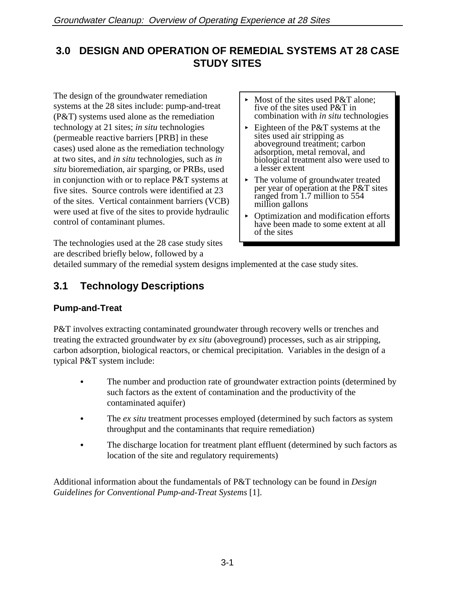# **3.0 DESIGN AND OPERATION OF REMEDIAL SYSTEMS AT 28 CASE STUDY SITES**

The design of the groundwater remediation systems at the 28 sites include: pump-and-treat (P&T) systems used alone as the remediation technology at 21 sites; *in situ* technologies (permeable reactive barriers [PRB] in these cases) used alone as the remediation technology at two sites, and *in situ* technologies, such as *in situ* bioremediation, air sparging, or PRBs, used in conjunction with or to replace P&T systems at five sites. Source controls were identified at 23 of the sites. Vertical containment barriers (VCB) were used at five of the sites to provide hydraulic control of contaminant plumes.

The technologies used at the 28 case study sites are described briefly below, followed by a

- Most of the sites used P&T alone; five of the sites used P&T in combination with *in situ* technologies
- $\triangleright$  Eighteen of the P&T systems at the sites used air stripping as aboveground treatment; carbon adsorption, metal removal, and biological treatment also were used to a lesser extent
- The volume of groundwater treated per year of operation at the P&T sites ranged from 1.7 million to 554 million gallons
- Optimization and modification efforts have been made to some extent at all of the sites

detailed summary of the remedial system designs implemented at the case study sites.

# **3.1 Technology Descriptions**

#### **Pump-and-Treat**

P&T involves extracting contaminated groundwater through recovery wells or trenches and treating the extracted groundwater by *ex situ* (aboveground) processes, such as air stripping, carbon adsorption, biological reactors, or chemical precipitation. Variables in the design of a typical P&T system include:

- & The number and production rate of groundwater extraction points (determined by such factors as the extent of contamination and the productivity of the contaminated aquifer)
- The *ex situ* treatment processes employed (determined by such factors as system throughput and the contaminants that require remediation)
- The discharge location for treatment plant effluent (determined by such factors as location of the site and regulatory requirements)

Additional information about the fundamentals of P&T technology can be found in *Design Guidelines for Conventional Pump-and-Treat Systems* [1].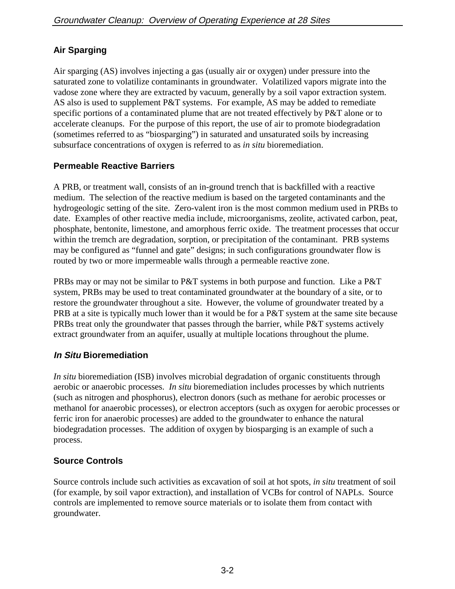## **Air Sparging**

Air sparging (AS) involves injecting a gas (usually air or oxygen) under pressure into the saturated zone to volatilize contaminants in groundwater. Volatilized vapors migrate into the vadose zone where they are extracted by vacuum, generally by a soil vapor extraction system. AS also is used to supplement P&T systems. For example, AS may be added to remediate specific portions of a contaminated plume that are not treated effectively by P&T alone or to accelerate cleanups. For the purpose of this report, the use of air to promote biodegradation (sometimes referred to as "biosparging") in saturated and unsaturated soils by increasing subsurface concentrations of oxygen is referred to as *in situ* bioremediation.

#### **Permeable Reactive Barriers**

A PRB, or treatment wall, consists of an in-ground trench that is backfilled with a reactive medium. The selection of the reactive medium is based on the targeted contaminants and the hydrogeologic setting of the site. Zero-valent iron is the most common medium used in PRBs to date. Examples of other reactive media include, microorganisms, zeolite, activated carbon, peat, phosphate, bentonite, limestone, and amorphous ferric oxide. The treatment processes that occur within the tremch are degradation, sorption, or precipitation of the contaminant. PRB systems may be configured as "funnel and gate" designs; in such configurations groundwater flow is routed by two or more impermeable walls through a permeable reactive zone.

PRBs may or may not be similar to P&T systems in both purpose and function. Like a P&T system, PRBs may be used to treat contaminated groundwater at the boundary of a site, or to restore the groundwater throughout a site. However, the volume of groundwater treated by a PRB at a site is typically much lower than it would be for a P&T system at the same site because PRBs treat only the groundwater that passes through the barrier, while P&T systems actively extract groundwater from an aquifer, usually at multiple locations throughout the plume.

#### **In Situ Bioremediation**

*In situ* bioremediation (ISB) involves microbial degradation of organic constituents through aerobic or anaerobic processes. *In situ* bioremediation includes processes by which nutrients (such as nitrogen and phosphorus), electron donors (such as methane for aerobic processes or methanol for anaerobic processes), or electron acceptors (such as oxygen for aerobic processes or ferric iron for anaerobic processes) are added to the groundwater to enhance the natural biodegradation processes. The addition of oxygen by biosparging is an example of such a process.

#### **Source Controls**

Source controls include such activities as excavation of soil at hot spots, *in situ* treatment of soil (for example, by soil vapor extraction), and installation of VCBs for control of NAPLs. Source controls are implemented to remove source materials or to isolate them from contact with groundwater.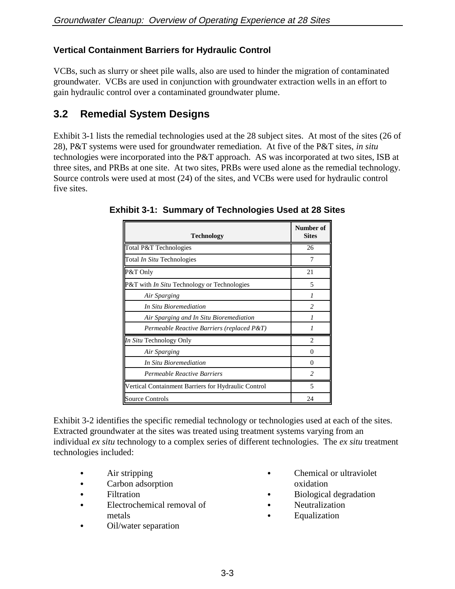#### **Vertical Containment Barriers for Hydraulic Control**

VCBs, such as slurry or sheet pile walls, also are used to hinder the migration of contaminated groundwater. VCBs are used in conjunction with groundwater extraction wells in an effort to gain hydraulic control over a contaminated groundwater plume.

# **3.2 Remedial System Designs**

Exhibit 3-1 lists the remedial technologies used at the 28 subject sites. At most of the sites (26 of 28), P&T systems were used for groundwater remediation. At five of the P&T sites, *in situ* technologies were incorporated into the P&T approach. AS was incorporated at two sites, ISB at three sites, and PRBs at one site. At two sites, PRBs were used alone as the remedial technology. Source controls were used at most (24) of the sites, and VCBs were used for hydraulic control five sites.

| <b>Technology</b>                                   | Number of<br><b>Sites</b> |
|-----------------------------------------------------|---------------------------|
| Total P&T Technologies                              | 26                        |
| Total <i>In Situ</i> Technologies                   |                           |
| P&T Only                                            | 21                        |
| P&T with In Situ Technology or Technologies         | 5                         |
| Air Sparging                                        |                           |
| In Situ Bioremediation                              | $\mathfrak{D}$            |
| Air Sparging and In Situ Bioremediation             |                           |
| Permeable Reactive Barriers (replaced P&T)          |                           |
| <i>In Situ</i> Technology Only                      | $\mathfrak{D}$            |
| Air Sparging                                        | 0                         |
| In Situ Bioremediation                              | O                         |
| <b>Permeable Reactive Barriers</b>                  | $\mathfrak{D}$            |
| Vertical Containment Barriers for Hydraulic Control | 5                         |
| <b>Source Controls</b>                              | 24                        |

**Exhibit 3-1: Summary of Technologies Used at 28 Sites**

Exhibit 3-2 identifies the specific remedial technology or technologies used at each of the sites. Extracted groundwater at the sites was treated using treatment systems varying from an individual *ex situ* technology to a complex series of different technologies. The *ex situ* treatment technologies included:

- 
- Carbon adsorption oxidation
- 
- Electrochemical removal of metals <br> equalization
- Oil/water separation
- Air stripping **a Chemical or ultraviolet**
- Filtration <br>
Electrochemical removal of <br>  $\bullet$  Biological degradation<br>
Neutralization
	-
	-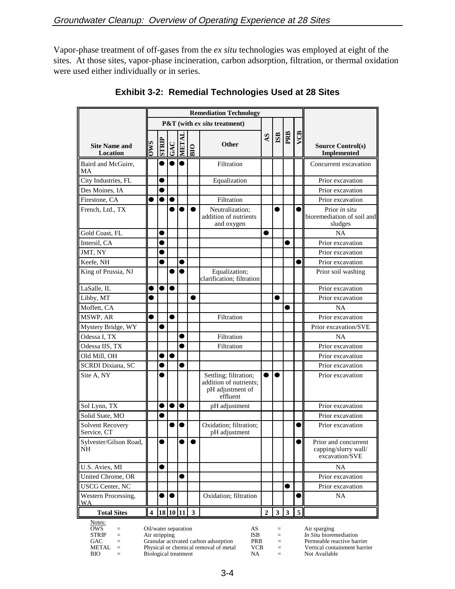Vapor-phase treatment of off-gases from the *ex situ* technologies was employed at eight of the sites. At those sites, vapor-phase incineration, carbon adsorption, filtration, or thermal oxidation were used either individually or in series.

|                                        |                         | <b>Remediation Technology</b> |     |           |                         |                                                                                 |                |              |              |     |                                                                |
|----------------------------------------|-------------------------|-------------------------------|-----|-----------|-------------------------|---------------------------------------------------------------------------------|----------------|--------------|--------------|-----|----------------------------------------------------------------|
|                                        |                         | P&T (with ex situ treatment)  |     |           |                         |                                                                                 |                |              |              |     |                                                                |
|                                        |                         |                               |     |           |                         |                                                                                 | AS             | <b>ISB</b>   | PRB          | VCB |                                                                |
| <b>Site Name and</b>                   | $\overline{\text{W}}$   | STRIP                         | GAC | METAI     | <b>BIO</b>              | <b>Other</b>                                                                    |                |              |              |     | <b>Source Control(s)</b>                                       |
| <b>Location</b>                        |                         |                               |     |           |                         |                                                                                 |                |              |              |     | <b>Implemented</b>                                             |
| Baird and McGuire,<br>MA               |                         |                               |     | ●         |                         | Filtration                                                                      |                |              |              |     | Concurrent excavation                                          |
| City Industries, FL                    |                         |                               |     |           |                         | Equalization                                                                    |                |              |              |     | Prior excavation                                               |
| Des Moines, IA                         |                         | 0                             |     |           |                         |                                                                                 |                |              |              |     | Prior excavation                                               |
| Firestone, CA                          | O                       | ●                             | 0   |           |                         | Filtration                                                                      |                |              |              |     | Prior excavation                                               |
| French, Ltd., TX                       |                         |                               |     |           | $\bullet$               | Neutralization;<br>addition of nutrients<br>and oxygen                          |                | ●            |              |     | Prior in situ<br>bioremediation of soil and<br>sludges         |
| Gold Coast, FL                         |                         |                               |     |           |                         |                                                                                 | 0              |              |              |     | <b>NA</b>                                                      |
| Intersil, CA                           |                         |                               |     |           |                         |                                                                                 |                |              | 0            |     | Prior excavation                                               |
| JMT, NY                                |                         |                               |     |           |                         |                                                                                 |                |              |              |     | Prior excavation                                               |
| Keefe, NH                              |                         | ●                             |     | 0         |                         |                                                                                 |                |              |              |     | Prior excavation                                               |
| King of Prussia, NJ                    |                         |                               |     |           |                         | Equalization;<br>clarification; filtration                                      |                |              |              |     | Prior soil washing                                             |
| LaSalle, IL                            | 0                       | С                             |     |           |                         |                                                                                 |                |              |              |     | Prior excavation                                               |
| Libby, MT                              | $\bullet$               |                               |     |           |                         |                                                                                 |                | ●            |              |     | Prior excavation                                               |
| Moffett, CA                            |                         |                               |     |           |                         |                                                                                 |                |              | 0            |     | <b>NA</b>                                                      |
| MSWP, AR                               | O                       |                               | C   |           |                         | Filtration                                                                      |                |              |              |     | Prior excavation                                               |
| Mystery Bridge, WY                     |                         |                               |     |           |                         |                                                                                 |                |              |              |     | Prior excavation/SVE                                           |
| Odessa I, TX                           |                         |                               |     |           |                         | Filtration                                                                      |                |              |              |     | <b>NA</b>                                                      |
| Odessa IIS, TX                         |                         |                               |     | $\bullet$ |                         | Filtration                                                                      |                |              |              |     | Prior excavation                                               |
| Old Mill, OH                           |                         | 0                             |     |           |                         |                                                                                 |                |              |              |     | Prior excavation                                               |
| SCRDI Dixiana, SC                      |                         |                               |     |           |                         |                                                                                 |                |              |              |     | Prior excavation                                               |
| Site A, NY                             |                         |                               |     |           |                         | Settling; filtration;<br>addition of nutrients;<br>pH adjustment of<br>effluent |                |              |              |     | Prior excavation                                               |
| Sol Lynn, TX                           |                         | 0                             | ●   | ●         |                         | pH adjustment                                                                   |                |              |              |     | Prior excavation                                               |
| Solid State, MO                        |                         |                               |     |           |                         |                                                                                 |                |              |              |     | Prior excavation                                               |
| <b>Solvent Recovery</b><br>Service, CT |                         |                               |     |           |                         | Oxidation; filtration;<br>pH adjustment                                         |                |              |              |     | Prior excavation                                               |
| Sylvester/Gilson Road,<br>NH           |                         |                               |     |           |                         |                                                                                 |                |              |              |     | Prior and concurrent<br>capping/slurry wall/<br>excavation/SVE |
| U.S. Aviex, MI                         |                         | $\bullet$                     |     |           |                         |                                                                                 |                |              |              |     | NA                                                             |
| United Chrome, OR                      |                         |                               |     |           |                         |                                                                                 |                |              |              |     | Prior excavation                                               |
| <b>USCG Center, NC</b>                 |                         |                               |     |           |                         |                                                                                 |                |              | $\bullet$    |     | Prior excavation                                               |
| Western Processing,<br>WA              |                         |                               | Œ   |           |                         | Oxidation; filtration                                                           |                |              |              |     | NA                                                             |
| <b>Total Sites</b>                     | $\overline{\mathbf{4}}$ |                               |     | 18 10 11  | $\overline{\mathbf{3}}$ |                                                                                 | $\overline{2}$ | $\mathbf{3}$ | $\mathbf{3}$ | 5   |                                                                |

**Exhibit 3-2: Remedial Technologies Used at 28 Sites**

Notes:<br>OWS

 $\frac{1}{\text{OWS}}$  = Oil/water separation AS = Air sparging<br>STRIP = Air stripping 1SB = *In Situ* biorer STRIP = Air stripping  $GAC$  = Air stripping  $GAC$  =  $G$  -  $G$  -  $G$  -  $G$  -  $G$  -  $G$  -  $G$  -  $G$  -  $G$  -  $G$  -  $G$  -  $G$  -  $G$  -  $G$  -  $G$  -  $G$  -  $G$  -  $G$  -  $G$  -  $G$  -  $G$  -  $G$  -  $G$  -  $G$  -  $G$  -  $G$  -  $G$  -  $G$  -  $G$  GAC = Granular activated carbon adsorption PRB = Permeable reactive barrier<br>METAL = Physical or chemical removal of metal VCB = Vertical containment barrier

METAL = Physical or chemical removal of metal VCB = Vertical conta<br>BIO = Biological treatment barriers  $\overrightarrow{NA}$  = Not Available  $=$  Biological treatment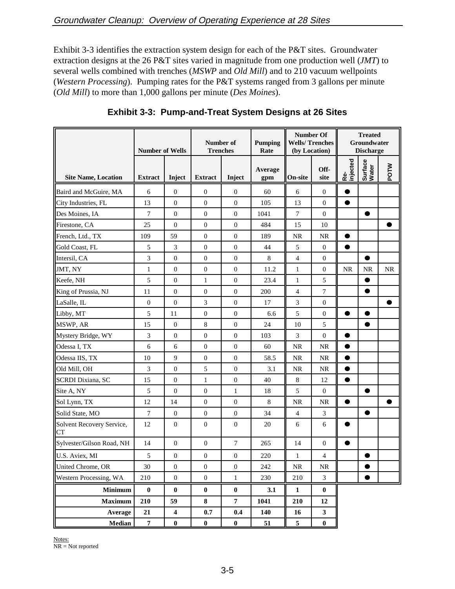Exhibit 3-3 identifies the extraction system design for each of the P&T sites. Groundwater extraction designs at the 26 P&T sites varied in magnitude from one production well (*JMT*) to several wells combined with trenches (*MSWP* and *Old Mill*) and to 210 vacuum wellpoints (*Western Processing*). Pumping rates for the P&T systems ranged from 3 gallons per minute (*Old Mill*) to more than 1,000 gallons per minute (*Des Moines*).

|                                        | <b>Number of Wells</b> |                         |                  | Number of<br><b>Pumping</b><br><b>Trenches</b> |                | <b>Number Of</b><br><b>Wells/Trenches</b><br>(by Location) |                             |                 | <b>Treated</b><br>Groundwater<br><b>Discharge</b> |             |
|----------------------------------------|------------------------|-------------------------|------------------|------------------------------------------------|----------------|------------------------------------------------------------|-----------------------------|-----------------|---------------------------------------------------|-------------|
| <b>Site Name, Location</b>             | <b>Extract</b>         | Inject                  | <b>Extract</b>   | Inject                                         | Average<br>gpm | On-site                                                    | Off-<br>site                | Re-<br>injected | Surface<br>Water                                  | <b>POTW</b> |
| Baird and McGuire, MA                  | 6                      | $\boldsymbol{0}$        | $\boldsymbol{0}$ | $\boldsymbol{0}$                               | 60             | 6                                                          | $\mathbf{0}$                | $\bullet$       |                                                   |             |
| City Industries, FL                    | 13                     | $\boldsymbol{0}$        | $\boldsymbol{0}$ | $\boldsymbol{0}$                               | 105            | 13                                                         | $\overline{0}$              | $\bullet$       |                                                   |             |
| Des Moines, IA                         | $\overline{7}$         | $\boldsymbol{0}$        | $\boldsymbol{0}$ | $\boldsymbol{0}$                               | 1041           | $\tau$                                                     | $\boldsymbol{0}$            |                 | $\bullet$                                         |             |
| Firestone, CA                          | 25                     | $\boldsymbol{0}$        | $\boldsymbol{0}$ | $\boldsymbol{0}$                               | 484            | 15                                                         | 10                          |                 |                                                   | $\bullet$   |
| French, Ltd., TX                       | 109                    | 59                      | $\boldsymbol{0}$ | $\boldsymbol{0}$                               | 189            | <b>NR</b>                                                  | <b>NR</b>                   | $\bullet$       |                                                   |             |
| Gold Coast, FL                         | 5                      | 3                       | $\boldsymbol{0}$ | $\boldsymbol{0}$                               | 44             | 5                                                          | $\mathbf{0}$                | $\bullet$       |                                                   |             |
| Intersil, CA                           | 3                      | $\boldsymbol{0}$        | $\boldsymbol{0}$ | $\boldsymbol{0}$                               | 8              | $\overline{4}$                                             | $\overline{0}$              |                 | $\bullet$                                         |             |
| JMT, NY                                | $\mathbf{1}$           | $\boldsymbol{0}$        | $\boldsymbol{0}$ | $\boldsymbol{0}$                               | 11.2           | $\mathbf{1}$                                               | $\overline{0}$              | <b>NR</b>       | <b>NR</b>                                         | <b>NR</b>   |
| Keefe, NH                              | 5                      | $\boldsymbol{0}$        | $\mathbf{1}$     | $\boldsymbol{0}$                               | 23.4           | $\mathbf{1}$                                               | 5                           |                 | $\bullet$                                         |             |
| King of Prussia, NJ                    | 11                     | $\boldsymbol{0}$        | $\boldsymbol{0}$ | $\boldsymbol{0}$                               | 200            | $\overline{4}$                                             | $\overline{7}$              |                 | $\bullet$                                         |             |
| LaSalle, IL                            | $\boldsymbol{0}$       | $\boldsymbol{0}$        | 3                | $\boldsymbol{0}$                               | 17             | $\mathfrak{Z}$                                             | $\boldsymbol{0}$            |                 |                                                   | $\bullet$   |
| Libby, MT                              | 5                      | 11                      | $\boldsymbol{0}$ | $\boldsymbol{0}$                               | 6.6            | 5                                                          | $\overline{0}$              | $\bullet$       | $\bullet$                                         |             |
| MSWP, AR                               | 15                     | $\boldsymbol{0}$        | $\,8\,$          | $\boldsymbol{0}$                               | 24             | 10                                                         | 5                           |                 |                                                   |             |
| Mystery Bridge, WY                     | 3                      | $\boldsymbol{0}$        | $\boldsymbol{0}$ | $\boldsymbol{0}$                               | 103            | $\mathfrak{Z}$                                             | $\overline{0}$              | $\bullet$       |                                                   |             |
| Odessa I, TX                           | 6                      | 6                       | $\mathbf{0}$     | $\mathbf{0}$                                   | 60             | <b>NR</b>                                                  | <b>NR</b>                   |                 |                                                   |             |
| Odessa IIS, TX                         | 10                     | 9                       | $\mathbf{0}$     | $\boldsymbol{0}$                               | 58.5           | <b>NR</b>                                                  | <b>NR</b>                   | $\bullet$       |                                                   |             |
| Old Mill, OH                           | 3                      | $\boldsymbol{0}$        | 5                | $\boldsymbol{0}$                               | 3.1            | <b>NR</b>                                                  | <b>NR</b>                   | $\bullet$       |                                                   |             |
| SCRDI Dixiana, SC                      | 15                     | $\mathbf{0}$            | $\mathbf{1}$     | $\boldsymbol{0}$                               | 40             | 8                                                          | 12                          | $\bullet$       |                                                   |             |
| Site A, NY                             | 5                      | $\boldsymbol{0}$        | $\boldsymbol{0}$ | $\mathbf{1}$                                   | 18             | 5                                                          | $\overline{0}$              |                 | $\bullet$                                         |             |
| Sol Lynn, TX                           | 12                     | 14                      | $\boldsymbol{0}$ | $\boldsymbol{0}$                               | 8              | <b>NR</b>                                                  | <b>NR</b>                   | $\bullet$       |                                                   | $\bullet$   |
| Solid State, MO                        | 7                      | $\boldsymbol{0}$        | $\boldsymbol{0}$ | $\boldsymbol{0}$                               | 34             | $\overline{4}$                                             | $\ensuremath{\mathfrak{Z}}$ |                 |                                                   |             |
| Solvent Recovery Service,<br><b>CT</b> | 12                     | $\boldsymbol{0}$        | $\overline{0}$   | $\mathbf{0}$                                   | 20             | 6                                                          | 6                           | ●               |                                                   |             |
| Sylvester/Gilson Road, NH              | 14                     | $\boldsymbol{0}$        | $\boldsymbol{0}$ | $\tau$                                         | 265            | 14                                                         | $\boldsymbol{0}$            | $\bullet$       |                                                   |             |
| U.S. Aviex, MI                         | 5                      | $\boldsymbol{0}$        | $\boldsymbol{0}$ | $\boldsymbol{0}$                               | 220            | $\mathbf{1}$                                               | $\overline{4}$              |                 | $\bullet$                                         |             |
| United Chrome, OR                      | 30                     | $\boldsymbol{0}$        | $\boldsymbol{0}$ | $\boldsymbol{0}$                               | 242            | <b>NR</b>                                                  | NR                          |                 |                                                   |             |
| Western Processing, WA                 | 210                    | $\boldsymbol{0}$        | $\boldsymbol{0}$ | $\,1$                                          | 230            | 210                                                        | $\mathfrak{Z}$              |                 | $\bullet$                                         |             |
| <b>Minimum</b>                         | $\pmb{0}$              | $\pmb{0}$               | $\pmb{0}$        | $\pmb{0}$                                      | 3.1            | $\mathbf{1}$                                               | $\bf{0}$                    |                 |                                                   |             |
| <b>Maximum</b>                         | 210                    | 59                      | ${\bf 8}$        | $\pmb{7}$                                      | 1041           | 210                                                        | 12                          |                 |                                                   |             |
| Average                                | 21                     | $\overline{\mathbf{4}}$ | 0.7              | 0.4                                            | 140            | 16                                                         | $\mathbf{3}$                |                 |                                                   |             |
| Median                                 | $\boldsymbol{7}$       | $\pmb{0}$               | $\boldsymbol{0}$ | $\bf{0}$                                       | 51             | $\overline{\mathbf{5}}$                                    | $\pmb{0}$                   |                 |                                                   |             |

**Exhibit 3-3: Pump-and-Treat System Designs at 26 Sites**

Notes: NR = Not reported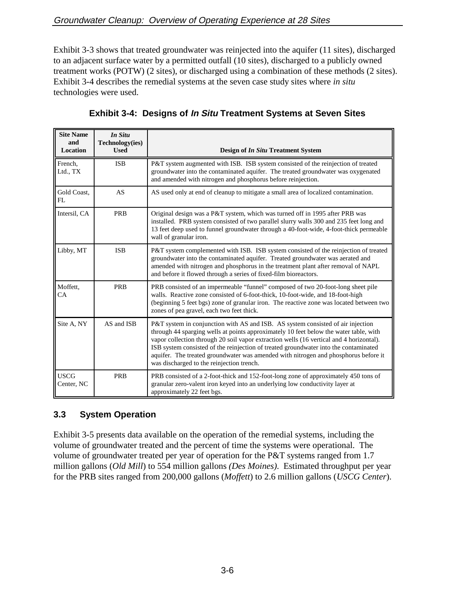Exhibit 3-3 shows that treated groundwater was reinjected into the aquifer (11 sites), discharged to an adjacent surface water by a permitted outfall (10 sites), discharged to a publicly owned treatment works (POTW) (2 sites), or discharged using a combination of these methods (2 sites). Exhibit 3-4 describes the remedial systems at the seven case study sites where *in situ* technologies were used.

| <b>Site Name</b><br>and<br>Location | <b>In Situ</b><br>Technology(ies)<br><b>Used</b> | Design of <i>In Situ</i> Treatment System                                                                                                                                                                                                                                                                                                                                                                                                                                                       |
|-------------------------------------|--------------------------------------------------|-------------------------------------------------------------------------------------------------------------------------------------------------------------------------------------------------------------------------------------------------------------------------------------------------------------------------------------------------------------------------------------------------------------------------------------------------------------------------------------------------|
| French,<br>Ltd., TX                 | <b>ISB</b>                                       | P&T system augmented with ISB. ISB system consisted of the reinjection of treated<br>groundwater into the contaminated aquifer. The treated groundwater was oxygenated<br>and amended with nitrogen and phosphorus before reinjection.                                                                                                                                                                                                                                                          |
| Gold Coast,<br>FL                   | AS                                               | AS used only at end of cleanup to mitigate a small area of localized contamination.                                                                                                                                                                                                                                                                                                                                                                                                             |
| Intersil, CA                        | PRB                                              | Original design was a P&T system, which was turned off in 1995 after PRB was<br>installed. PRB system consisted of two parallel slurry walls 300 and 235 feet long and<br>13 feet deep used to funnel groundwater through a 40-foot-wide, 4-foot-thick permeable<br>wall of granular iron.                                                                                                                                                                                                      |
| Libby, MT                           | <b>ISB</b>                                       | P&T system complemented with ISB. ISB system consisted of the reinjection of treated<br>groundwater into the contaminated aquifer. Treated groundwater was aerated and<br>amended with nitrogen and phosphorus in the treatment plant after removal of NAPL<br>and before it flowed through a series of fixed-film bioreactors.                                                                                                                                                                 |
| Moffett,<br>CA                      | PRB                                              | PRB consisted of an impermeable "funnel" composed of two 20-foot-long sheet pile<br>walls. Reactive zone consisted of 6-foot-thick, 10-foot-wide, and 18-foot-high<br>(beginning 5 feet bgs) zone of granular iron. The reactive zone was located between two<br>zones of pea gravel, each two feet thick.                                                                                                                                                                                      |
| Site A, NY                          | AS and ISB                                       | P&T system in conjunction with AS and ISB. AS system consisted of air injection<br>through 44 sparging wells at points approximately 10 feet below the water table, with<br>vapor collection through 20 soil vapor extraction wells (16 vertical and 4 horizontal).<br>ISB system consisted of the reinjection of treated groundwater into the contaminated<br>aquifer. The treated groundwater was amended with nitrogen and phosphorus before it<br>was discharged to the reinjection trench. |
| <b>USCG</b><br>Center, NC           | PRB                                              | PRB consisted of a 2-foot-thick and 152-foot-long zone of approximately 450 tons of<br>granular zero-valent iron keyed into an underlying low conductivity layer at<br>approximately 22 feet bgs.                                                                                                                                                                                                                                                                                               |

**Exhibit 3-4: Designs of In Situ Treatment Systems at Seven Sites**

#### **3.3 System Operation**

Exhibit 3-5 presents data available on the operation of the remedial systems, including the volume of groundwater treated and the percent of time the systems were operational. The volume of groundwater treated per year of operation for the P&T systems ranged from 1.7 million gallons (*Old Mill*) to 554 million gallons *(Des Moines)*. Estimated throughput per year for the PRB sites ranged from 200,000 gallons (*Moffett*) to 2.6 million gallons (*USCG Center*).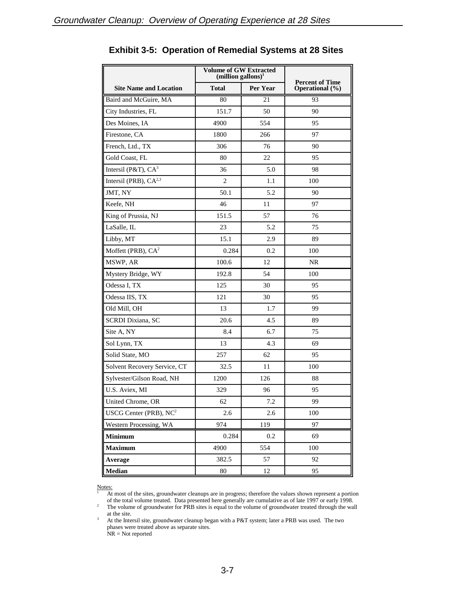|                                    | <b>Volume of GW Extracted</b><br>(million gallons) $1$ |          |                                                  |
|------------------------------------|--------------------------------------------------------|----------|--------------------------------------------------|
| <b>Site Name and Location</b>      | <b>Total</b>                                           | Per Year | <b>Percent of Time</b><br><b>Operational</b> (%) |
| Baird and McGuire, MA              | 80                                                     | 21       | 93                                               |
| City Industries, FL                | 151.7                                                  | 50       | 90                                               |
| Des Moines, IA                     | 4900                                                   | 554      | 95                                               |
| Firestone, CA                      | 1800                                                   | 266      | 97                                               |
| French, Ltd., TX                   | 306                                                    | 76       | 90                                               |
| Gold Coast, FL                     | 80                                                     | 22       | 95                                               |
| Intersil (P&T), CA <sup>3</sup>    | 36                                                     | 5.0      | 98                                               |
| Intersil (PRB), $CA^{2,3}$         | 2                                                      | 1.1      | 100                                              |
| JMT, NY                            | 50.1                                                   | 5.2      | 90                                               |
| Keefe, NH                          | 46                                                     | 11       | 97                                               |
| King of Prussia, NJ                | 151.5                                                  | 57       | 76                                               |
| LaSalle, IL                        | 23                                                     | 5.2      | 75                                               |
| Libby, MT                          | 15.1                                                   | 2.9      | 89                                               |
| Moffett (PRB), $CA2$               | 0.284                                                  | 0.2      | 100                                              |
| MSWP, AR                           | 100.6                                                  | 12       | <b>NR</b>                                        |
| Mystery Bridge, WY                 | 192.8                                                  | 54       | 100                                              |
| Odessa I, TX                       | 125                                                    | 30       | 95                                               |
| Odessa IIS, TX                     | 121                                                    | 30       | 95                                               |
| Old Mill, OH                       | 13                                                     | 1.7      | 99                                               |
| SCRDI Dixiana, SC                  | 20.6                                                   | 4.5      | 89                                               |
| Site A, NY                         | 8.4                                                    | 6.7      | 75                                               |
| Sol Lynn, TX                       | 13                                                     | 4.3      | 69                                               |
| Solid State, MO                    | 257                                                    | 62       | 95                                               |
| Solvent Recovery Service, CT       | 32.5                                                   | 11       | 100                                              |
| Sylvester/Gilson Road, NH          | 1200                                                   | 126      | 88                                               |
| U.S. Aviex, MI                     | 329                                                    | 96       | 95                                               |
| United Chrome, OR                  | 62                                                     | 7.2      | 99                                               |
| USCG Center (PRB), NC <sup>2</sup> | 2.6                                                    | 2.6      | 100                                              |
| Western Processing, WA             | 974                                                    | 119      | 97                                               |
| <b>Minimum</b>                     | 0.284                                                  | 0.2      | 69                                               |
| <b>Maximum</b>                     | 4900                                                   | 554      | 100                                              |
| Average                            | 382.5                                                  | 57       | 92                                               |
| Median                             | 80                                                     | 12       | 95                                               |

#### **Exhibit 3-5: Operation of Remedial Systems at 28 Sites**

Notes:

At most of the sites, groundwater cleanups are in progress; therefore the values shown represent a portion <sup>1</sup> of the total volume treated. Data presented here generally are cumulative as of late 1997 or early 1998.

<sup>2</sup> The volume of groundwater for PRB sites is equal to the volume of groundwater treated through the wall at the site.

<sup>3</sup> At the Intersil site, groundwater cleanup began with a P&T system; later a PRB was used. The two phases were treated above as separate sites. NR = Not reported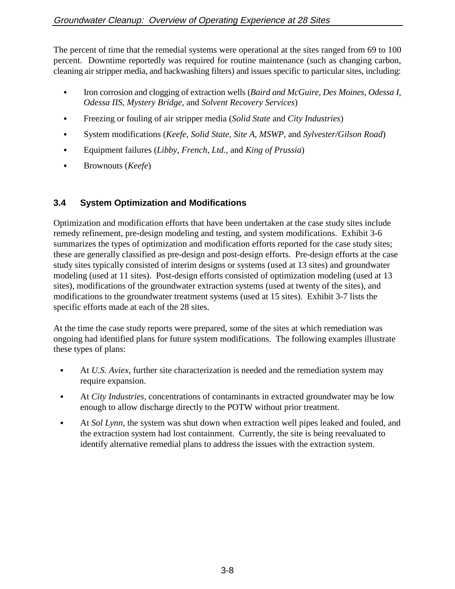The percent of time that the remedial systems were operational at the sites ranged from 69 to 100 percent. Downtime reportedly was required for routine maintenance (such as changing carbon, cleaning air stripper media, and backwashing filters) and issues specific to particular sites, including:

- & Iron corrosion and clogging of extraction wells (*Baird and McGuire, Des Moines, Odessa I, Odessa IIS, Mystery Bridge,* and *Solvent Recovery Services*)
- & Freezing or fouling of air stripper media (*Solid State* and *City Industries*)
- & System modifications (*Keefe, Solid State, Site A, MSWP,* and *Sylvester/Gilson Road*)
- & Equipment failures (*Libby, French, Ltd.,* and *King of Prussia*)
- & Brownouts (*Keefe*)

### **3.4 System Optimization and Modifications**

Optimization and modification efforts that have been undertaken at the case study sites include remedy refinement, pre-design modeling and testing, and system modifications. Exhibit 3-6 summarizes the types of optimization and modification efforts reported for the case study sites; these are generally classified as pre-design and post-design efforts. Pre-design efforts at the case study sites typically consisted of interim designs or systems (used at 13 sites) and groundwater modeling (used at 11 sites). Post-design efforts consisted of optimization modeling (used at 13 sites), modifications of the groundwater extraction systems (used at twenty of the sites), and modifications to the groundwater treatment systems (used at 15 sites). Exhibit 3-7 lists the specific efforts made at each of the 28 sites.

At the time the case study reports were prepared, some of the sites at which remediation was ongoing had identified plans for future system modifications. The following examples illustrate these types of plans:

- At *U.S. Aviex*, further site characterization is needed and the remediation system may require expansion.
- & At *City Industries*, concentrations of contaminants in extracted groundwater may be low enough to allow discharge directly to the POTW without prior treatment.
- & At *Sol Lynn*, the system was shut down when extraction well pipes leaked and fouled, and the extraction system had lost containment. Currently, the site is being reevaluated to identify alternative remedial plans to address the issues with the extraction system.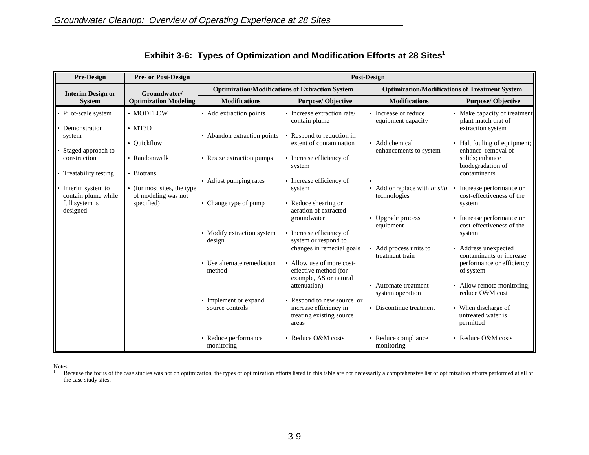| <b>Pre-Design</b>                          | Pre- or Post-Design                                 | Post-Design                              |                                                                                           |                                                      |                                                        |  |  |  |
|--------------------------------------------|-----------------------------------------------------|------------------------------------------|-------------------------------------------------------------------------------------------|------------------------------------------------------|--------------------------------------------------------|--|--|--|
| <b>Interim Design or</b>                   | Groundwater/                                        |                                          | <b>Optimization/Modifications of Extraction System</b>                                    |                                                      | <b>Optimization/Modifications of Treatment System</b>  |  |  |  |
| <b>System</b>                              | <b>Optimization Modeling</b>                        | <b>Modifications</b>                     | <b>Purpose/Objective</b>                                                                  | <b>Modifications</b>                                 | <b>Purpose/Objective</b>                               |  |  |  |
| • Pilot-scale system                       | • MODFLOW                                           | • Add extraction points                  | • Increase extraction rate/<br>contain plume                                              | • Increase or reduce<br>equipment capacity           | • Make capacity of treatment<br>plant match that of    |  |  |  |
| • Demonstration<br>system                  | $\cdot$ MT3D                                        | • Abandon extraction points              | • Respond to reduction in                                                                 |                                                      | extraction system                                      |  |  |  |
| Staged approach to                         | • Quickflow                                         |                                          | extent of contamination                                                                   | • Add chemical<br>enhancements to system             | • Halt fouling of equipment;<br>enhance removal of     |  |  |  |
| construction                               | • Randomwalk                                        | • Resize extraction pumps                | • Increase efficiency of<br>system                                                        |                                                      | solids; enhance<br>biodegradation of                   |  |  |  |
| • Treatability testing                     | • Biotrans                                          | • Adjust pumping rates                   | • Increase efficiency of                                                                  |                                                      | contaminants                                           |  |  |  |
| • Interim system to<br>contain plume while | • (for most sites, the type)<br>of modeling was not |                                          | system                                                                                    | • Add or replace with <i>in situ</i><br>technologies | • Increase performance or<br>cost-effectiveness of the |  |  |  |
| full system is<br>designed                 | specified)                                          | • Change type of pump                    | • Reduce shearing or<br>aeration of extracted<br>groundwater                              | • Upgrade process                                    | system<br>• Increase performance or                    |  |  |  |
|                                            |                                                     | • Modify extraction system               | • Increase efficiency of                                                                  | equipment                                            | cost-effectiveness of the                              |  |  |  |
|                                            |                                                     | design                                   | system or respond to<br>changes in remedial goals                                         | • Add process units to                               | system<br>• Address unexpected                         |  |  |  |
|                                            |                                                     | • Use alternate remediation              | • Allow use of more cost-                                                                 | treatment train                                      | contaminants or increase<br>performance or efficiency  |  |  |  |
|                                            |                                                     | method                                   | effective method (for<br>example, AS or natural                                           |                                                      | of system                                              |  |  |  |
|                                            |                                                     |                                          | attenuation)                                                                              | • Automate treatment<br>system operation             | • Allow remote monitoring:<br>reduce O&M cost          |  |  |  |
|                                            |                                                     | • Implement or expand<br>source controls | • Respond to new source or<br>increase efficiency in<br>treating existing source<br>areas | • Discontinue treatment                              | • When discharge of<br>untreated water is<br>permitted |  |  |  |
|                                            |                                                     | • Reduce performance<br>monitoring       | • Reduce $O\&M$ costs                                                                     | • Reduce compliance<br>monitoring                    | • Reduce O&M costs                                     |  |  |  |

#### **Exhibit 3-6: Types of Optimization and Modification Efforts at 28 Sites<sup>1</sup>**

Notes:<br><sup>1</sup> Because the focus of the case studies was not on optimization, the types of optimization efforts listed in this table are not necessarily a comprehensive list of optimization efforts performed at all of the case study sites.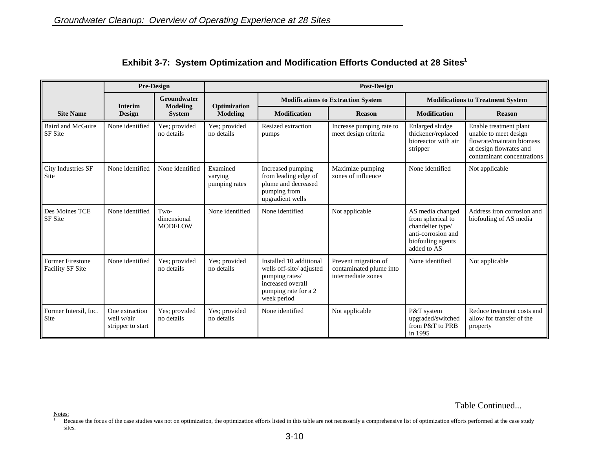|                                                    |                                                   | <b>Pre-Design</b>                     |                                                           |                                                                                                                                  | Post-Design                                                           |                                                                                                                     |                                                                                                                                       |  |
|----------------------------------------------------|---------------------------------------------------|---------------------------------------|-----------------------------------------------------------|----------------------------------------------------------------------------------------------------------------------------------|-----------------------------------------------------------------------|---------------------------------------------------------------------------------------------------------------------|---------------------------------------------------------------------------------------------------------------------------------------|--|
|                                                    | <b>Interim</b>                                    | Groundwater<br>Modeling               | <b>Modifications to Extraction System</b><br>Optimization |                                                                                                                                  |                                                                       | <b>Modifications to Treatment System</b>                                                                            |                                                                                                                                       |  |
| <b>Site Name</b>                                   | <b>Design</b>                                     | <b>System</b>                         | <b>Modeling</b>                                           | <b>Modification</b>                                                                                                              | <b>Reason</b>                                                         | <b>Modification</b>                                                                                                 | <b>Reason</b>                                                                                                                         |  |
| <b>Baird and McGuire</b><br><b>SF</b> Site         | None identified                                   | Yes; provided<br>no details           | Yes; provided<br>no details                               | Resized extraction<br>pumps                                                                                                      | Increase pumping rate to<br>meet design criteria                      | Enlarged sludge<br>thickener/replaced<br>bioreactor with air<br>stripper                                            | Enable treatment plant<br>unable to meet design<br>flowrate/maintain biomass<br>at design flowrates and<br>contaminant concentrations |  |
| City Industries SF<br><b>Site</b>                  | None identified                                   | None identified                       | Examined<br>varying<br>pumping rates                      | Increased pumping<br>from leading edge of<br>plume and decreased<br>pumping from<br>upgradient wells                             | Maximize pumping<br>zones of influence                                | None identified                                                                                                     | Not applicable                                                                                                                        |  |
| Des Moines TCE<br><b>SF</b> Site                   | None identified                                   | Two-<br>dimensional<br><b>MODFLOW</b> | None identified                                           | None identified                                                                                                                  | Not applicable                                                        | AS media changed<br>from spherical to<br>chandelier type/<br>anti-corrosion and<br>biofouling agents<br>added to AS | Address iron corrosion and<br>biofouling of AS media                                                                                  |  |
| <b>Former Firestone</b><br><b>Facility SF Site</b> | None identified                                   | Yes; provided<br>no details           | Yes; provided<br>no details                               | Installed 10 additional<br>wells off-site/adjusted<br>pumping rates/<br>increased overall<br>pumping rate for a 2<br>week period | Prevent migration of<br>contaminated plume into<br>intermediate zones | None identified                                                                                                     | Not applicable                                                                                                                        |  |
| Former Intersil, Inc.<br><b>Site</b>               | One extraction<br>well w/air<br>stripper to start | Yes; provided<br>no details           | Yes; provided<br>no details                               | None identified                                                                                                                  | Not applicable                                                        | P&T system<br>upgraded/switched<br>from P&T to PRB<br>in 1995                                                       | Reduce treatment costs and<br>allow for transfer of the<br>property                                                                   |  |

#### **Exhibit 3-7: System Optimization and Modification Efforts Conducted at 28 Sites<sup>1</sup>**

Table Continued...

Notes:

Because the focus of the case studies was not on optimization, the optimization efforts listed in this table are not necessarily a comprehensive list of optimization efforts performed at the case study 1. sites.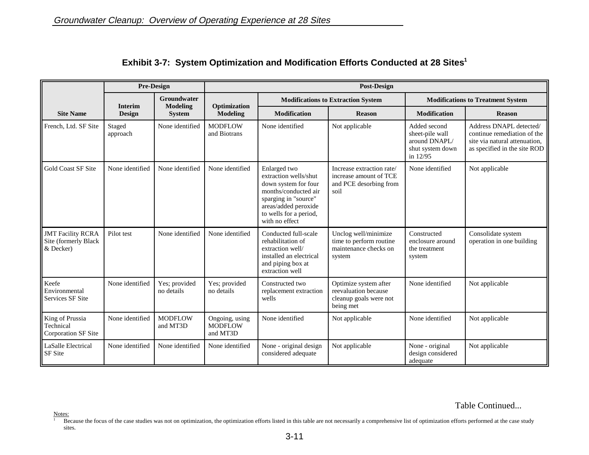|                                                               |                                 | <b>Pre-Design</b>           |                                              | <b>Post-Design</b>                                                                                                                                                                |                                                                                       |                                                                                  |                                                                                                                         |  |  |  |  |
|---------------------------------------------------------------|---------------------------------|-----------------------------|----------------------------------------------|-----------------------------------------------------------------------------------------------------------------------------------------------------------------------------------|---------------------------------------------------------------------------------------|----------------------------------------------------------------------------------|-------------------------------------------------------------------------------------------------------------------------|--|--|--|--|
|                                                               |                                 | Groundwater                 |                                              |                                                                                                                                                                                   | <b>Modifications to Extraction System</b>                                             |                                                                                  | <b>Modifications to Treatment System</b>                                                                                |  |  |  |  |
| <b>Site Name</b>                                              | <b>Interim</b><br><b>Design</b> | Modeling<br><b>System</b>   | Optimization<br><b>Modeling</b>              | <b>Modification</b>                                                                                                                                                               | <b>Reason</b>                                                                         | <b>Modification</b>                                                              | <b>Reason</b>                                                                                                           |  |  |  |  |
| French, Ltd. SF Site                                          | Staged<br>approach              | None identified             | <b>MODFLOW</b><br>and Biotrans               | None identified                                                                                                                                                                   | Not applicable                                                                        | Added second<br>sheet-pile wall<br>around DNAPL/<br>shut system down<br>in 12/95 | Address DNAPL detected/<br>continue remediation of the<br>site via natural attenuation,<br>as specified in the site ROD |  |  |  |  |
| <b>Gold Coast SF Site</b>                                     | None identified                 | None identified             | None identified                              | Enlarged two<br>extraction wells/shut<br>down system for four<br>months/conducted air<br>sparging in "source"<br>areas/added peroxide<br>to wells for a period,<br>with no effect | Increase extraction rate/<br>increase amount of TCE<br>and PCE desorbing from<br>soil | None identified                                                                  | Not applicable                                                                                                          |  |  |  |  |
| <b>JMT Facility RCRA</b><br>Site (formerly Black<br>& Decker) | Pilot test                      | None identified             | None identified                              | Conducted full-scale<br>rehabilitation of<br>extraction well/<br>installed an electrical<br>and piping box at<br>extraction well                                                  | Unclog well/minimize<br>time to perform routine<br>maintenance checks on<br>system    | Constructed<br>enclosure around<br>the treatment<br>system                       | Consolidate system<br>operation in one building                                                                         |  |  |  |  |
| Keefe<br>Environmental<br>Services SF Site                    | None identified                 | Yes; provided<br>no details | Yes; provided<br>no details                  | Constructed two<br>replacement extraction<br>wells                                                                                                                                | Optimize system after<br>reevaluation because<br>cleanup goals were not<br>being met  | None identified                                                                  | Not applicable                                                                                                          |  |  |  |  |
| King of Prussia<br>Technical<br>Corporation SF Site           | None identified                 | <b>MODFLOW</b><br>and MT3D  | Ongoing, using<br><b>MODFLOW</b><br>and MT3D | None identified                                                                                                                                                                   | Not applicable                                                                        | None identified                                                                  | Not applicable                                                                                                          |  |  |  |  |
| LaSalle Electrical<br><b>SF</b> Site                          | None identified                 | None identified             | None identified                              | None - original design<br>considered adequate                                                                                                                                     | Not applicable                                                                        | None - original<br>design considered<br>adequate                                 | Not applicable                                                                                                          |  |  |  |  |

#### **Exhibit 3-7: System Optimization and Modification Efforts Conducted at 28 Sites<sup>1</sup>**

Table Continued...

Notes: Because the focus of the case studies was not on optimization, the optimization efforts listed in this table are not necessarily a comprehensive list of optimization efforts performed at the case study 1. sites.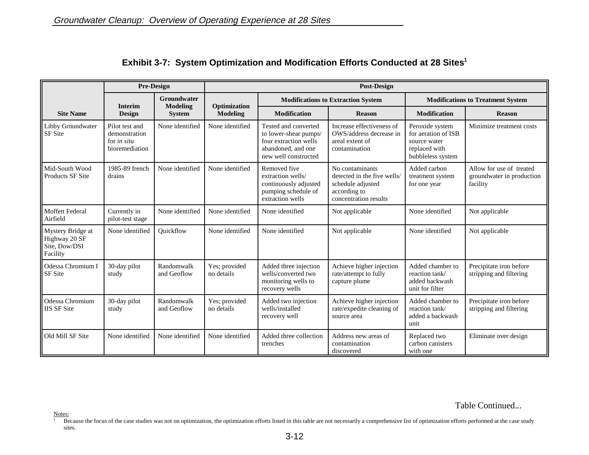Notes:

|                                                                 |                                                                  | <b>Pre-Design</b>         | <b>Post-Design</b>          |                                                                                                                      |                                                                                                              |                                                                                              |                                                                   |  |  |
|-----------------------------------------------------------------|------------------------------------------------------------------|---------------------------|-----------------------------|----------------------------------------------------------------------------------------------------------------------|--------------------------------------------------------------------------------------------------------------|----------------------------------------------------------------------------------------------|-------------------------------------------------------------------|--|--|
|                                                                 |                                                                  | Groundwater               |                             |                                                                                                                      | <b>Modifications to Extraction System</b>                                                                    | <b>Modifications to Treatment System</b>                                                     |                                                                   |  |  |
| <b>Site Name</b>                                                | <b>Interim</b><br><b>Design</b>                                  | Modeling<br><b>System</b> | Optimization<br>Modeling    | <b>Modification</b>                                                                                                  | <b>Reason</b>                                                                                                | <b>Modification</b>                                                                          | <b>Reason</b>                                                     |  |  |
| Libby Groundwater<br><b>SF</b> Site                             | Pilot test and<br>demonstration<br>for in situ<br>bioremediation | None identified           | None identified             | Tested and converted<br>to lower-shear pumps/<br>four extraction wells<br>abandoned, and one<br>new well constructed | Increase effectiveness of<br>OWS/address decrease in<br>areal extent of<br>contamination                     | Peroxide system<br>for aeration of ISB<br>source water<br>replaced with<br>bubbleless system | Minimize treatment costs                                          |  |  |
| Mid-South Wood<br><b>Products SF Site</b>                       | 1985-89 french<br>drains                                         | None identified           | None identified             | Removed five<br>extraction wells/<br>continuously adjusted<br>pumping schedule of<br>extraction wells                | No contaminants<br>detected in the five wells/<br>schedule adjusted<br>according to<br>concentration results | Added carbon<br>treatment system<br>for one year                                             | Allow for use of treated<br>groundwater in production<br>facility |  |  |
| <b>Moffett Federal</b><br>Airfield                              | Currently in<br>pilot-test stage                                 | None identified           | None identified             | None identified                                                                                                      | Not applicable                                                                                               | None identified                                                                              | Not applicable                                                    |  |  |
| Mystery Bridge at<br>Highway 20 SF<br>Site, Dow/DSI<br>Facility | None identified                                                  | Quickflow                 | None identified             | None identified                                                                                                      | Not applicable                                                                                               | None identified                                                                              | Not applicable                                                    |  |  |
| Odessa Chromium I<br><b>SF</b> Site                             | 30-day pilot<br>study                                            | Randomwalk<br>and Geoflow | Yes; provided<br>no details | Added three injection<br>wells/converted two<br>monitoring wells to<br>recovery wells                                | Achieve higher injection<br>rate/attempt to fully<br>capture plume                                           | Added chamber to<br>reaction tank/<br>added backwash<br>unit for filter                      | Precipitate iron before<br>stripping and filtering                |  |  |
| Odessa Chromium<br><b>IIS SF Site</b>                           | 30-day pilot<br>study                                            | Randomwalk<br>and Geoflow | Yes; provided<br>no details | Added two injection<br>wells/installed<br>recovery well                                                              | Achieve higher injection<br>rate/expedite cleaning of<br>source area                                         | Added chamber to<br>reaction tank/<br>added a backwash<br>unit                               | Precipitate iron before<br>stripping and filtering                |  |  |
| Old Mill SF Site                                                | None identified                                                  | None identified           | None identified             | Added three collection<br>trenches                                                                                   | Address new areas of<br>contamination<br>discovered                                                          | Replaced two<br>carbon canisters<br>with one                                                 | Eliminate over design                                             |  |  |

#### **Exhibit 3-7: System Optimization and Modification Efforts Conducted at 28 Sites<sup>1</sup>**

Table Continued...

Because the focus of the case studies was not on optimization, the optimization efforts listed in this table are not necessarily a comprehensive list of optimization efforts performed at the case study 1. sites.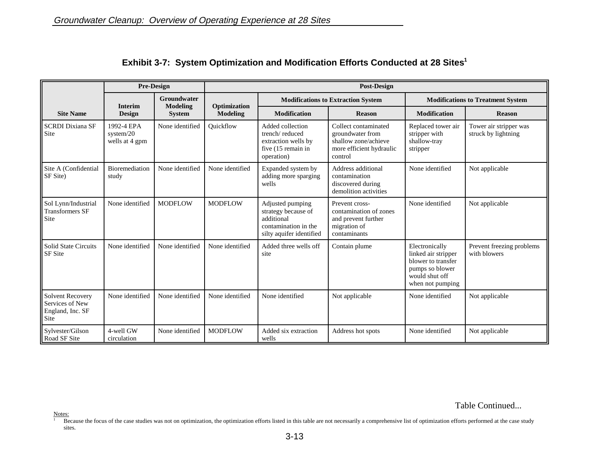Notes:

|                                                                        |                                              | <b>Pre-Design</b>         |                                 |                                                                                                           | <b>Post-Design</b>                                                                                      |                                                                                                                      |                                               |  |
|------------------------------------------------------------------------|----------------------------------------------|---------------------------|---------------------------------|-----------------------------------------------------------------------------------------------------------|---------------------------------------------------------------------------------------------------------|----------------------------------------------------------------------------------------------------------------------|-----------------------------------------------|--|
|                                                                        |                                              | Groundwater               |                                 |                                                                                                           | <b>Modifications to Extraction System</b>                                                               | <b>Modifications to Treatment System</b>                                                                             |                                               |  |
| <b>Site Name</b>                                                       | <b>Interim</b><br><b>Design</b>              | Modeling<br><b>System</b> | Optimization<br><b>Modeling</b> | <b>Modification</b>                                                                                       | <b>Reason</b>                                                                                           | <b>Modification</b>                                                                                                  | <b>Reason</b>                                 |  |
| <b>SCRDI Dixiana SF</b><br>Site                                        | 1992-4 EPA<br>system $/20$<br>wells at 4 gpm | None identified           | Quickflow                       | Added collection<br>trench/reduced<br>extraction wells by<br>five (15 remain in<br>operation)             | Collect contaminated<br>groundwater from<br>shallow zone/achieve<br>more efficient hydraulic<br>control | Replaced tower air<br>stripper with<br>shallow-tray<br>stripper                                                      | Tower air stripper was<br>struck by lightning |  |
| Site A (Confidential<br>SF Site)                                       | Bioremediation<br>study                      | None identified           | None identified                 | Expanded system by<br>adding more sparging<br>wells                                                       | Address additional<br>contamination<br>discovered during<br>demolition activities                       | None identified                                                                                                      | Not applicable                                |  |
| Sol Lynn/Industrial<br><b>Transformers SF</b><br><b>Site</b>           | None identified                              | <b>MODFLOW</b>            | <b>MODFLOW</b>                  | Adjusted pumping<br>strategy because of<br>additional<br>contamination in the<br>silty aquifer identified | Prevent cross-<br>contamination of zones<br>and prevent further<br>migration of<br>contaminants         | None identified                                                                                                      | Not applicable                                |  |
| Solid State Circuits<br><b>SF</b> Site                                 | None identified                              | None identified           | None identified                 | Added three wells off<br>site                                                                             | Contain plume                                                                                           | Electronically<br>linked air stripper<br>blower to transfer<br>pumps so blower<br>would shut off<br>when not pumping | Prevent freezing problems<br>with blowers     |  |
| <b>Solvent Recovery</b><br>Services of New<br>England, Inc. SF<br>Site | None identified                              | None identified           | None identified                 | None identified                                                                                           | Not applicable                                                                                          | None identified                                                                                                      | Not applicable                                |  |
| Sylvester/Gilson<br>Road SF Site                                       | 4-well GW<br>circulation                     | None identified           | <b>MODFLOW</b>                  | Added six extraction<br>wells                                                                             | Address hot spots                                                                                       | None identified                                                                                                      | Not applicable                                |  |

#### **Exhibit 3-7: System Optimization and Modification Efforts Conducted at 28 Sites<sup>1</sup>**

Table Continued...

Because the focus of the case studies was not on optimization, the optimization efforts listed in this table are not necessarily a comprehensive list of optimization efforts performed at the case study 1. sites.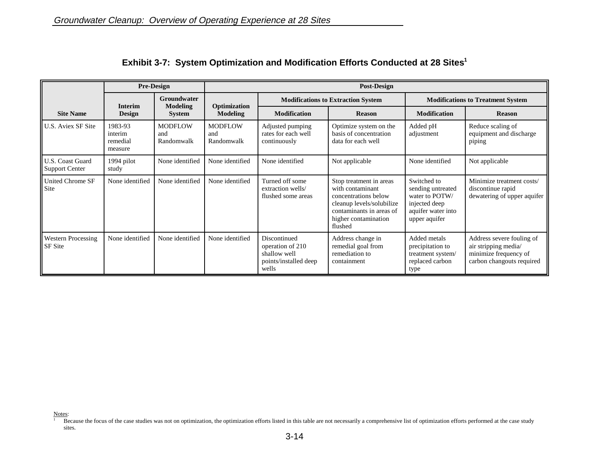|                                             |                                           | <b>Pre-Design</b>                   |                                     |                                                                                    | <b>Post-Design</b>                                                                                                                                              |                                                                                                            |                                                                                                         |
|---------------------------------------------|-------------------------------------------|-------------------------------------|-------------------------------------|------------------------------------------------------------------------------------|-----------------------------------------------------------------------------------------------------------------------------------------------------------------|------------------------------------------------------------------------------------------------------------|---------------------------------------------------------------------------------------------------------|
|                                             | <b>Interim</b>                            | Groundwater                         |                                     | <b>Modifications to Extraction System</b>                                          |                                                                                                                                                                 | <b>Modifications to Treatment System</b>                                                                   |                                                                                                         |
| <b>Site Name</b>                            | Design                                    | <b>Modeling</b><br><b>System</b>    | Optimization<br><b>Modeling</b>     | <b>Modification</b>                                                                | <b>Reason</b>                                                                                                                                                   | <b>Modification</b>                                                                                        | <b>Reason</b>                                                                                           |
| U.S. Aviex SF Site                          | 1983-93<br>interim<br>remedial<br>measure | <b>MODFLOW</b><br>and<br>Randomwalk | <b>MODFLOW</b><br>and<br>Randomwalk | Adjusted pumping<br>rates for each well<br>continuously                            | Optimize system on the<br>basis of concentration<br>data for each well                                                                                          | Added pH<br>adjustment                                                                                     | Reduce scaling of<br>equipment and discharge<br>piping                                                  |
| U.S. Coast Guard<br><b>Support Center</b>   | 1994 pilot<br>study                       | None identified                     | None identified                     | None identified                                                                    | Not applicable                                                                                                                                                  | None identified                                                                                            | Not applicable                                                                                          |
| United Chrome SF<br>Site                    | None identified                           | None identified                     | None identified                     | Turned off some<br>extraction wells/<br>flushed some areas                         | Stop treatment in areas<br>with contaminant<br>concentrations below<br>cleanup levels/solubilize<br>contaminants in areas of<br>higher contamination<br>flushed | Switched to<br>sending untreated<br>water to POTW/<br>injected deep<br>aquifer water into<br>upper aquifer | Minimize treatment costs/<br>discontinue rapid<br>dewatering of upper aquifer                           |
| <b>Western Processing</b><br><b>SF</b> Site | None identified                           | None identified                     | None identified                     | Discontinued<br>operation of 210<br>shallow well<br>points/installed deep<br>wells | Address change in<br>remedial goal from<br>remediation to<br>containment                                                                                        | Added metals<br>precipitation to<br>treatment system/<br>replaced carbon<br>type                           | Address severe fouling of<br>air stripping media/<br>minimize frequency of<br>carbon changouts required |

#### **Exhibit 3-7: System Optimization and Modification Efforts Conducted at 28 Sites<sup>1</sup>**

Notes:<br><sup>1</sup> Because the focus of the case studies was not on optimization, the optimization efforts listed in this table are not necessarily a comprehensive list of optimization efforts performed at the case study<br>sites.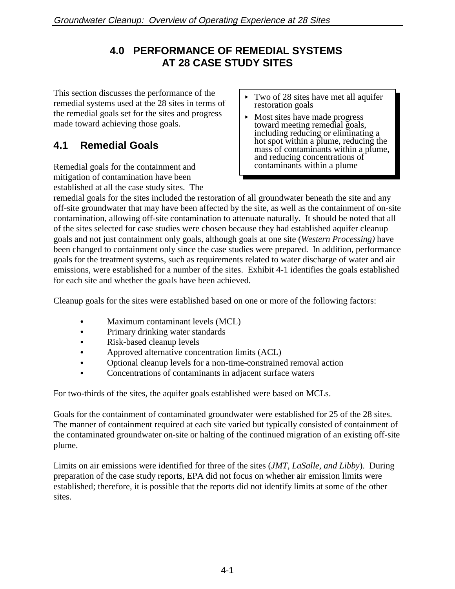## **4.0 PERFORMANCE OF REMEDIAL SYSTEMS AT 28 CASE STUDY SITES**

This section discusses the performance of the remedial systems used at the 28 sites in terms of the remedial goals set for the sites and progress made toward achieving those goals.

# **4.1 Remedial Goals**

Remedial goals for the containment and mitigation of contamination have been established at all the case study sites. The

- Two of 28 sites have met all aquifer restoration goals
- $\triangleright$  Most sites have made progress toward meeting remedial goals, including reducing or eliminating a hot spot within a plume, reducing the mass of contaminants within a plume, and reducing concentrations of contaminants within a plume

remedial goals for the sites included the restoration of all groundwater beneath the site and any off-site groundwater that may have been affected by the site, as well as the containment of on-site contamination, allowing off-site contamination to attenuate naturally. It should be noted that all of the sites selected for case studies were chosen because they had established aquifer cleanup goals and not just containment only goals, although goals at one site (*Western Processing)* have been changed to containment only since the case studies were prepared. In addition, performance goals for the treatment systems, such as requirements related to water discharge of water and air emissions, were established for a number of the sites. Exhibit 4-1 identifies the goals established for each site and whether the goals have been achieved.

Cleanup goals for the sites were established based on one or more of the following factors:

- Maximum contaminant levels (MCL)
- Primary drinking water standards
- Risk-based cleanup levels
- & Approved alternative concentration limits (ACL)
- & Optional cleanup levels for a non-time-constrained removal action
- & Concentrations of contaminants in adjacent surface waters

For two-thirds of the sites, the aquifer goals established were based on MCLs.

Goals for the containment of contaminated groundwater were established for 25 of the 28 sites. The manner of containment required at each site varied but typically consisted of containment of the contaminated groundwater on-site or halting of the continued migration of an existing off-site plume.

Limits on air emissions were identified for three of the sites (*JMT, LaSalle, and Libby*). During preparation of the case study reports, EPA did not focus on whether air emission limits were established; therefore, it is possible that the reports did not identify limits at some of the other sites.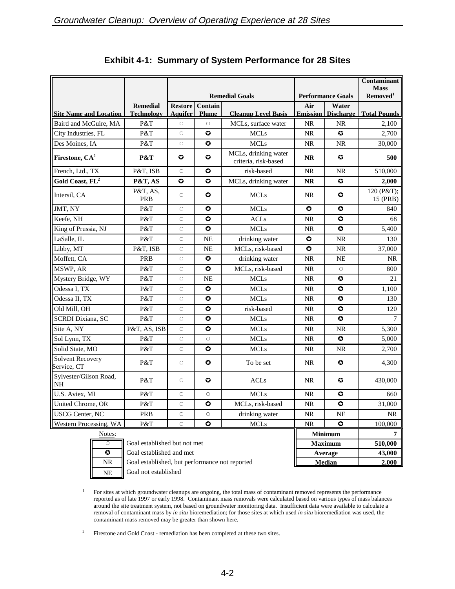|                                        |                               |                           |                  | <b>Remedial Goals</b>                        |           | <b>Performance Goals</b>           | <b>Contaminant</b><br><b>Mass</b><br>Removed <sup>1</sup> |
|----------------------------------------|-------------------------------|---------------------------|------------------|----------------------------------------------|-----------|------------------------------------|-----------------------------------------------------------|
| <b>Site Name and Location</b>          | <b>Remedial</b><br>Technology | <b>Restore</b><br>Aquifer | Contain<br>Plume | <b>Cleanup Level Basis</b>                   | Air       | Water<br><b>Emission</b> Discharge | <b>Total Pounds</b>                                       |
| Baird and McGuire, MA                  | P&T                           | $\circ$                   | $\circ$          | MCLs, surface water                          | <b>NR</b> | <b>NR</b>                          | 2,100                                                     |
| City Industries, FL                    | P&T                           | $\circ$                   | $\bullet$        | <b>MCLs</b>                                  | <b>NR</b> | $\bullet$                          | 2,700                                                     |
| Des Moines, IA                         | P&T                           | $\circ$                   | O                | <b>MCLs</b>                                  | <b>NR</b> | <b>NR</b>                          | 30,000                                                    |
| Firestone, CA <sup>2</sup>             | P&T                           | O                         | O                | MCLs, drinking water<br>criteria, risk-based | <b>NR</b> | O                                  | 500                                                       |
| French, Ltd., TX                       | P&T, ISB                      | $\circ$                   | $\bullet$        | risk-based                                   | <b>NR</b> | <b>NR</b>                          | 510,000                                                   |
| Gold Coast, FL <sup>2</sup>            | P&T, AS                       | O                         | $\bullet$        | MCLs, drinking water                         | <b>NR</b> | $\bullet$                          | 2,000                                                     |
| Intersil, CA                           | P&T, AS,<br>PRB               | $\circ$                   | O                | <b>MCLs</b>                                  | <b>NR</b> | O                                  | 120 (P&T);<br>15 (PRB)                                    |
| JMT, NY                                | P&T                           | $\circ$                   | O                | <b>MCLs</b>                                  | O         | $\bullet$                          | 840                                                       |
| Keefe, NH                              | P&T                           | $\circ$                   | O                | <b>ACLs</b>                                  | <b>NR</b> | $\bullet$                          | 68                                                        |
| King of Prussia, NJ                    | P&T                           | $\circ$                   | $\bullet$        | <b>MCLs</b>                                  | <b>NR</b> | $\bullet$                          | 5,400                                                     |
| LaSalle, IL                            | P&T                           | $\circ$                   | <b>NE</b>        | drinking water                               | $\bullet$ | <b>NR</b>                          | 130                                                       |
| Libby, MT                              | P&T, ISB                      | $\circlearrowright$       | <b>NE</b>        | MCLs, risk-based                             | $\bullet$ | <b>NR</b>                          | 37,000                                                    |
| Moffett, CA                            | <b>PRB</b>                    | $\circ$                   | O                | drinking water                               | <b>NR</b> | <b>NE</b>                          | <b>NR</b>                                                 |
| MSWP, AR                               | P&T                           | $\circ$                   | O                | MCLs, risk-based                             | <b>NR</b> | $\circ$                            | 800                                                       |
| Mystery Bridge, WY                     | P&T                           | $\circ$                   | <b>NE</b>        | <b>MCLs</b>                                  | <b>NR</b> | $\bullet$                          | 21                                                        |
| Odessa I, TX                           | P&T                           | $\circ$                   | $\bullet$        | <b>MCLs</b>                                  | <b>NR</b> | $\bullet$                          | 1,100                                                     |
| Odessa II, TX                          | P&T                           | $\circ$                   | O                | <b>MCLs</b>                                  | <b>NR</b> | $\bullet$                          | 130                                                       |
| Old Mill, OH                           | P&T                           | $\circ$                   | O                | risk-based                                   | <b>NR</b> | O                                  | 120                                                       |
| SCRDI Dixiana, SC                      | P&T                           | $\circ$                   | O                | <b>MCLs</b>                                  | <b>NR</b> | $\bullet$                          | 7                                                         |
| Site A, NY                             | P&T, AS, ISB                  | $\circ$                   | O                | <b>MCLs</b>                                  | <b>NR</b> | <b>NR</b>                          | 5,300                                                     |
| Sol Lynn, TX                           | P&T                           | $\circ$                   | $\circ$          | <b>MCLs</b>                                  | <b>NR</b> | $\bullet$                          | 5,000                                                     |
| Solid State, MO                        | P&T                           | $\circ$                   | O                | <b>MCLs</b>                                  | <b>NR</b> | <b>NR</b>                          | 2.700                                                     |
| <b>Solvent Recovery</b><br>Service, CT | P&T                           | $\circlearrowright$       | O                | To be set                                    | NR.       | O                                  | 4,300                                                     |
| Sylvester/Gilson Road,<br>NH           | P&T                           | $\circ$                   | O                | <b>ACLs</b>                                  | <b>NR</b> | O                                  | 430,000                                                   |
| U.S. Aviex, MI                         | P&T                           | $\circ$                   | $\circ$          | <b>MCLs</b>                                  | <b>NR</b> | $\bullet$                          | 660                                                       |
| United Chrome, OR                      | P&T                           | $\circ$                   | O                | MCLs, risk-based                             | <b>NR</b> | $\bullet$                          | 31,000                                                    |
| <b>USCG Center, NC</b>                 | PRB                           | $\circ$                   | $\circ$          | drinking water                               | <b>NR</b> | <b>NE</b>                          | <b>NR</b>                                                 |
| Western Processing, WA                 | P&T                           | Ō                         | O                | <b>MCLs</b>                                  | <b>NR</b> | $\bullet$                          | 100,000                                                   |
| Notes:                                 |                               |                           |                  |                                              |           | <b>Minimum</b>                     | 7                                                         |
|                                        | Goal established but not met  |                           |                  |                                              |           | <b>Maximum</b>                     | 510,000                                                   |
| $\bullet$                              | Goal established and met      |                           |                  |                                              |           | Average                            | 43,000                                                    |

#### **Exhibit 4-1: Summary of System Performance for 28 Sites**

<sup>1</sup> For sites at which groundwater cleanups are ongoing, the total mass of contaminant removed represents the performance reported as of late 1997 or early 1998. Contaminant mass removals were calculated based on various types of mass balances around the site treatment system, not based on groundwater monitoring data. Insufficient data were available to calculate a removal of contaminant mass by *in situ* bioremediation; for those sites at which used *in situ* bioremediation was used, the contaminant mass removed may be greater than shown here.

NR Goal established, but performance not reported Median 1 2,000

<sup>2</sup> Firestone and Gold Coast - remediation has been completed at these two sites.

NE Goal not established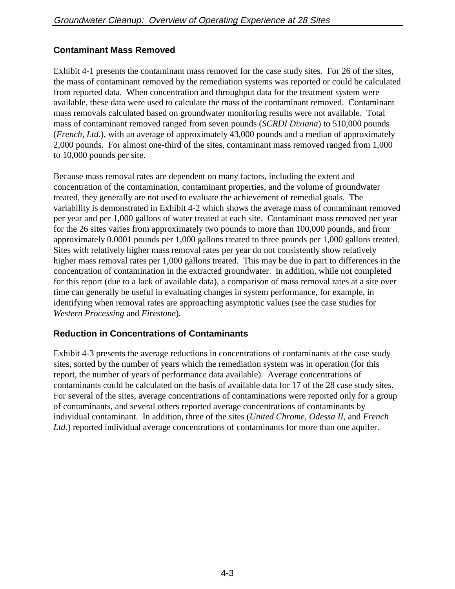#### **Contaminant Mass Removed**

Exhibit 4-1 presents the contaminant mass removed for the case study sites. For 26 of the sites, the mass of contaminant removed by the remediation systems was reported or could be calculated from reported data. When concentration and throughput data for the treatment system were available, these data were used to calculate the mass of the contaminant removed. Contaminant mass removals calculated based on groundwater monitoring results were not available. Total mass of contaminant removed ranged from seven pounds (*SCRDI Dixiana*) to 510,000 pounds (*French, Ltd.*), with an average of approximately 43,000 pounds and a median of approximately 2,000 pounds. For almost one-third of the sites, contaminant mass removed ranged from 1,000 to 10,000 pounds per site.

Because mass removal rates are dependent on many factors, including the extent and concentration of the contamination, contaminant properties, and the volume of groundwater treated, they generally are not used to evaluate the achievement of remedial goals. The variability is demonstrated in Exhibit 4-2 which shows the average mass of contaminant removed per year and per 1,000 gallons of water treated at each site. Contaminant mass removed per year for the 26 sites varies from approximately two pounds to more than 100,000 pounds, and from approximately 0.0001 pounds per 1,000 gallons treated to three pounds per 1,000 gallons treated. Sites with relatively higher mass removal rates per year do not consistently show relatively higher mass removal rates per 1,000 gallons treated. This may be due in part to differences in the concentration of contamination in the extracted groundwater. In addition, while not completed for this report (due to a lack of available data), a comparison of mass removal rates at a site over time can generally be useful in evaluating changes in system performance, for example, in identifying when removal rates are approaching asymptotic values (see the case studies for *Western Processing* and *Firestone*).

#### **Reduction in Concentrations of Contaminants**

Exhibit 4-3 presents the average reductions in concentrations of contaminants at the case study sites, sorted by the number of years which the remediation system was in operation (for this report, the number of years of performance data available). Average concentrations of contaminants could be calculated on the basis of available data for 17 of the 28 case study sites. For several of the sites, average concentrations of contaminations were reported only for a group of contaminants, and several others reported average concentrations of contaminants by individual contaminant. In addition, three of the sites (*United Chrome, Odessa II,* and *French Ltd.*) reported individual average concentrations of contaminants for more than one aquifer.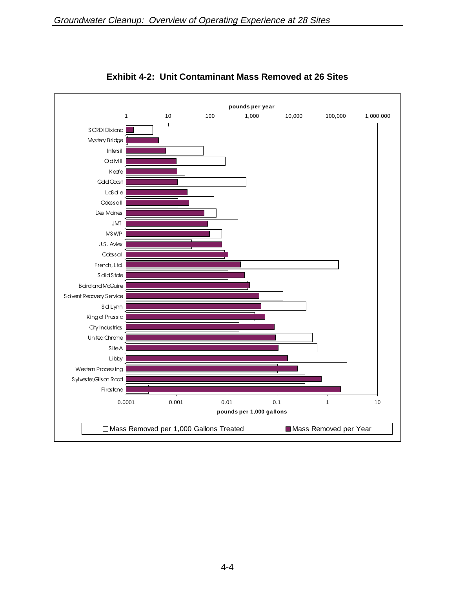

**Exhibit 4-2: Unit Contaminant Mass Removed at 26 Sites**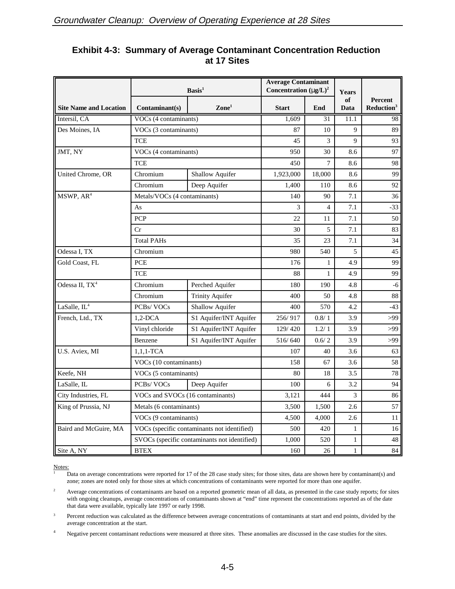|                               |                                  | Basis <sup>1</sup>                           | <b>Average Contaminant</b><br>Concentration $(\mu g/L)^2$ |                | <b>Years</b> |                                   |
|-------------------------------|----------------------------------|----------------------------------------------|-----------------------------------------------------------|----------------|--------------|-----------------------------------|
| <b>Site Name and Location</b> | Contaminant(s)                   | $\mathbf{Zone}^1$                            | <b>Start</b>                                              | End            | of<br>Data   | Percent<br>Reduction <sup>3</sup> |
| Intersil, CA                  | VOCs (4 contaminants)            |                                              | 1,609                                                     | 31             | 11.1         | 98                                |
| Des Moines, IA                | VOCs (3 contaminants)            |                                              | 87                                                        | 10             | 9            | 89                                |
|                               | <b>TCE</b>                       |                                              | 45                                                        | 3              | 9            | 93                                |
| JMT, NY                       | VOCs (4 contaminants)            |                                              | 950                                                       | 30             | 8.6          | 97                                |
|                               | <b>TCE</b>                       |                                              | 450                                                       | $\overline{7}$ | 8.6          | 98                                |
| United Chrome, OR             | Chromium                         | Shallow Aquifer                              | 1,923,000                                                 | 18,000         | 8.6          | 99                                |
|                               | Chromium                         | Deep Aquifer                                 | 1,400                                                     | 110            | 8.6          | 92                                |
| MSWP, AR <sup>4</sup>         | Metals/VOCs (4 contaminants)     |                                              | 140                                                       | 90             | 7.1          | 36                                |
|                               | As                               |                                              | 3                                                         | $\overline{4}$ | 7.1          | $-33$                             |
|                               | PCP                              |                                              | 22                                                        | 11             | 7.1          | 50                                |
|                               | Cr                               |                                              | 30                                                        | 5              | 7.1          | 83                                |
|                               | <b>Total PAHs</b>                |                                              | 35                                                        | 23             | 7.1          | 34                                |
| Odessa I, TX                  | Chromium                         |                                              | 980                                                       | 540            | 5            | 45                                |
| Gold Coast, FL                | <b>PCE</b>                       |                                              | 176                                                       | 1              | 4.9          | 99                                |
|                               | <b>TCE</b>                       |                                              | 88                                                        | $\mathbf{1}$   | 4.9          | 99                                |
| Odessa II, TX <sup>4</sup>    | Chromium                         | Perched Aquifer                              | 180                                                       | 190            | 4.8          | -6                                |
|                               | Chromium                         | <b>Trinity Aquifer</b>                       | 400                                                       | 50             | 4.8          | 88                                |
| LaSalle, IL <sup>4</sup>      | PCBs/VOCs                        | Shallow Aquifer                              | 400                                                       | 570            | 4.2          | $-43$                             |
| French, Ltd., TX              | $1,2$ -DCA                       | S1 Aquifer/INT Aquifer                       | 256/917                                                   | 0.8/1          | 3.9          | >99                               |
|                               | Vinyl chloride                   | S1 Aquifer/INT Aquifer                       | 129/420                                                   | 1.2/1          | 3.9          | >99                               |
|                               | Benzene                          | S1 Aquifer/INT Aquifer                       | 516/640                                                   | 0.6/2          | 3.9          | >99                               |
| U.S. Aviex, MI                | $1,1,1$ -TCA                     |                                              | 107                                                       | 40             | 3.6          | 63                                |
|                               | VOCs (10 contaminants)           |                                              | 158                                                       | 67             | 3.6          | 58                                |
| Keefe, NH                     | VOCs (5 contaminants)            |                                              | 80                                                        | 18             | 3.5          | 78                                |
| LaSalle, IL                   | <b>PCBs/VOCs</b>                 | Deep Aquifer                                 | 100                                                       | 6              | 3.2          | 94                                |
| City Industries, FL           | VOCs and SVOCs (16 contaminants) |                                              | 3,121                                                     | 444            | 3            | 86                                |
| King of Prussia, NJ           | Metals (6 contaminants)          |                                              | 3,500                                                     | 1,500          | 2.6          | 57                                |
| VOCs (9 contaminants)         |                                  | 4,500                                        | 4,000                                                     | 2.6            | 11           |                                   |
| Baird and McGuire, MA         |                                  | VOCs (specific contaminants not identified)  | 500                                                       | 420            | $\mathbf{1}$ | 16                                |
|                               |                                  | SVOCs (specific contaminants not identified) | 1,000                                                     | 520            | $\mathbf{1}$ | 48                                |
| Site A, NY                    | <b>BTEX</b>                      |                                              | 160                                                       | 26             | 1            | 84                                |

#### **Exhibit 4-3: Summary of Average Contaminant Concentration Reduction at 17 Sites**

#### Notes:

Data on average concentrations were reported for 17 of the 28 case study sites; for those sites, data are shown here by contaminant(s) and <sup>1</sup> zone; zones are noted only for those sites at which concentrations of contaminants were reported for more than one aquifer.

<sup>2</sup> Average concentrations of contaminants are based on a reported geometric mean of all data, as presented in the case study reports; for sites with ongoing cleanups, average concentrations of contaminants shown at "end" time represent the concentrations reported as of the date that data were available, typically late 1997 or early 1998.

<sup>3</sup> Percent reduction was calculated as the difference between average concentrations of contaminants at start and end points, divided by the average concentration at the start.

Negative percent contaminant reductions were measured at three sites. These anomalies are discussed in the case studies for the sites. <sup>4</sup>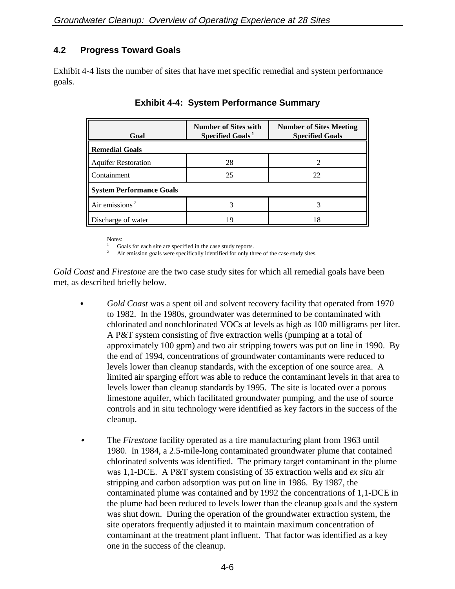#### **4.2 Progress Toward Goals**

Exhibit 4-4 lists the number of sites that have met specific remedial and system performance goals.

| Goal                            | <b>Number of Sites with</b><br>Specified Goals <sup>1</sup> | <b>Number of Sites Meeting</b><br><b>Specified Goals</b> |
|---------------------------------|-------------------------------------------------------------|----------------------------------------------------------|
| <b>Remedial Goals</b>           |                                                             |                                                          |
| <b>Aquifer Restoration</b>      | 28                                                          |                                                          |
| Containment                     | 25                                                          | 22                                                       |
| <b>System Performance Goals</b> |                                                             |                                                          |
| Air emissions $2$               |                                                             |                                                          |
| Discharge of water              | 19                                                          |                                                          |

**Exhibit 4-4: System Performance Summary**

Notes:

 $\frac{1}{2}$  Goals for each site are specified in the case study reports.

Air emission goals were specifically identified for only three of the case study sites. 2

*Gold Coast* and *Firestone* are the two case study sites for which all remedial goals have been met, as described briefly below.

- Gold Coast was a spent oil and solvent recovery facility that operated from 1970 to 1982. In the 1980s, groundwater was determined to be contaminated with chlorinated and nonchlorinated VOCs at levels as high as 100 milligrams per liter. A P&T system consisting of five extraction wells (pumping at a total of approximately 100 gpm) and two air stripping towers was put on line in 1990. By the end of 1994, concentrations of groundwater contaminants were reduced to levels lower than cleanup standards, with the exception of one source area. A limited air sparging effort was able to reduce the contaminant levels in that area to levels lower than cleanup standards by 1995. The site is located over a porous limestone aquifer, which facilitated groundwater pumping, and the use of source controls and in situ technology were identified as key factors in the success of the cleanup.
- & The *Firestone* facility operated as a tire manufacturing plant from 1963 until 1980. In 1984, a 2.5-mile-long contaminated groundwater plume that contained chlorinated solvents was identified. The primary target contaminant in the plume was 1,1-DCE. A P&T system consisting of 35 extraction wells and *ex situ* air stripping and carbon adsorption was put on line in 1986. By 1987, the contaminated plume was contained and by 1992 the concentrations of 1,1-DCE in the plume had been reduced to levels lower than the cleanup goals and the system was shut down. During the operation of the groundwater extraction system, the site operators frequently adjusted it to maintain maximum concentration of contaminant at the treatment plant influent. That factor was identified as a key one in the success of the cleanup.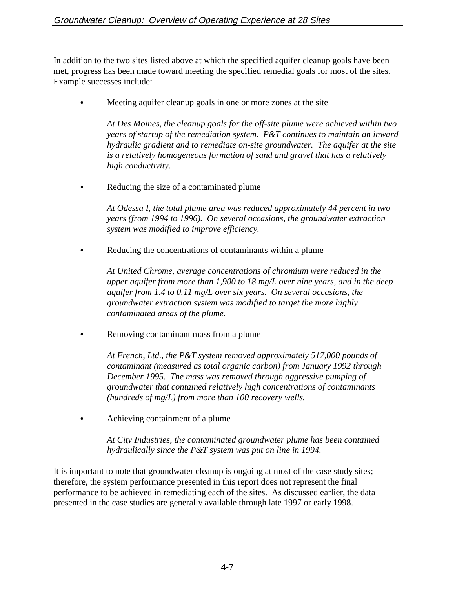In addition to the two sites listed above at which the specified aquifer cleanup goals have been met, progress has been made toward meeting the specified remedial goals for most of the sites. Example successes include:

Meeting aquifer cleanup goals in one or more zones at the site

*At Des Moines, the cleanup goals for the off-site plume were achieved within two years of startup of the remediation system. P&T continues to maintain an inward hydraulic gradient and to remediate on-site groundwater. The aquifer at the site is a relatively homogeneous formation of sand and gravel that has a relatively high conductivity.*

& Reducing the size of a contaminated plume

*At Odessa I, the total plume area was reduced approximately 44 percent in two years (from 1994 to 1996). On several occasions, the groundwater extraction system was modified to improve efficiency.*

Reducing the concentrations of contaminants within a plume

*At United Chrome, average concentrations of chromium were reduced in the upper aquifer from more than 1,900 to 18 mg/L over nine years, and in the deep aquifer from 1.4 to 0.11 mg/L over six years. On several occasions, the groundwater extraction system was modified to target the more highly contaminated areas of the plume.*

& Removing contaminant mass from a plume

*At French, Ltd., the P&T system removed approximately 517,000 pounds of contaminant (measured as total organic carbon) from January 1992 through December 1995. The mass was removed through aggressive pumping of groundwater that contained relatively high concentrations of contaminants (hundreds of mg/L) from more than 100 recovery wells.*

& Achieving containment of a plume

*At City Industries, the contaminated groundwater plume has been contained hydraulically since the P&T system was put on line in 1994.* 

It is important to note that groundwater cleanup is ongoing at most of the case study sites; therefore, the system performance presented in this report does not represent the final performance to be achieved in remediating each of the sites. As discussed earlier, the data presented in the case studies are generally available through late 1997 or early 1998.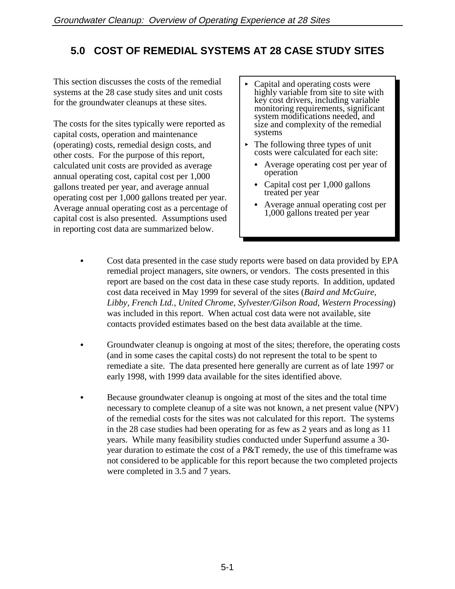# **5.0 COST OF REMEDIAL SYSTEMS AT 28 CASE STUDY SITES**

This section discusses the costs of the remedial systems at the 28 case study sites and unit costs for the groundwater cleanups at these sites.

The costs for the sites typically were reported as capital costs, operation and maintenance (operating) costs, remedial design costs, and other costs. For the purpose of this report, calculated unit costs are provided as average annual operating cost, capital cost per 1,000 gallons treated per year, and average annual operating cost per 1,000 gallons treated per year. Average annual operating cost as a percentage of capital cost is also presented. Assumptions used in reporting cost data are summarized below.

- Capital and operating costs were highly variable from site to site with key cost drivers, including variable monitoring requirements, significant system modifications needed, and size and complexity of the remedial systems
- $\triangleright$  The following three types of unit costs were calculated for each site:
	- Average operating cost per year of operation
	- Capital cost per 1,000 gallons treated per year
	- & Average annual operating cost per 1,000 gallons treated per year
- & Cost data presented in the case study reports were based on data provided by EPA remedial project managers, site owners, or vendors. The costs presented in this report are based on the cost data in these case study reports. In addition, updated cost data received in May 1999 for several of the sites (*Baird and McGuire, Libby, French Ltd., United Chrome, Sylvester/Gilson Road, Western Processing*) was included in this report. When actual cost data were not available, site contacts provided estimates based on the best data available at the time.
- & Groundwater cleanup is ongoing at most of the sites; therefore, the operating costs (and in some cases the capital costs) do not represent the total to be spent to remediate a site. The data presented here generally are current as of late 1997 or early 1998, with 1999 data available for the sites identified above.
- Because groundwater cleanup is ongoing at most of the sites and the total time necessary to complete cleanup of a site was not known, a net present value (NPV) of the remedial costs for the sites was not calculated for this report. The systems in the 28 case studies had been operating for as few as 2 years and as long as 11 years. While many feasibility studies conducted under Superfund assume a 30 year duration to estimate the cost of a P&T remedy, the use of this timeframe was not considered to be applicable for this report because the two completed projects were completed in 3.5 and 7 years.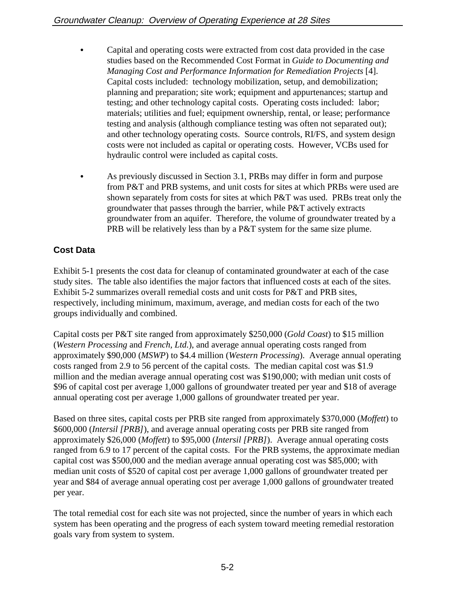- & Capital and operating costs were extracted from cost data provided in the case studies based on the Recommended Cost Format in *Guide to Documenting and Managing Cost and Performance Information for Remediation Projects* [4]. Capital costs included: technology mobilization, setup, and demobilization; planning and preparation; site work; equipment and appurtenances; startup and testing; and other technology capital costs. Operating costs included: labor; materials; utilities and fuel; equipment ownership, rental, or lease; performance testing and analysis (although compliance testing was often not separated out); and other technology operating costs. Source controls, RI/FS, and system design costs were not included as capital or operating costs. However, VCBs used for hydraulic control were included as capital costs.
- & As previously discussed in Section 3.1, PRBs may differ in form and purpose from P&T and PRB systems, and unit costs for sites at which PRBs were used are shown separately from costs for sites at which P&T was used. PRBs treat only the groundwater that passes through the barrier, while P&T actively extracts groundwater from an aquifer. Therefore, the volume of groundwater treated by a PRB will be relatively less than by a P&T system for the same size plume.

#### **Cost Data**

Exhibit 5-1 presents the cost data for cleanup of contaminated groundwater at each of the case study sites. The table also identifies the major factors that influenced costs at each of the sites. Exhibit 5-2 summarizes overall remedial costs and unit costs for P&T and PRB sites, respectively, including minimum, maximum, average, and median costs for each of the two groups individually and combined.

Capital costs per P&T site ranged from approximately \$250,000 (*Gold Coast*) to \$15 million (*Western Processing* and *French, Ltd.*), and average annual operating costs ranged from approximately \$90,000 (*MSWP*) to \$4.4 million (*Western Processing*). Average annual operating costs ranged from 2.9 to 56 percent of the capital costs. The median capital cost was \$1.9 million and the median average annual operating cost was \$190,000; with median unit costs of \$96 of capital cost per average 1,000 gallons of groundwater treated per year and \$18 of average annual operating cost per average 1,000 gallons of groundwater treated per year.

Based on three sites, capital costs per PRB site ranged from approximately \$370,000 (*Moffett*) to \$600,000 (*Intersil [PRB]*), and average annual operating costs per PRB site ranged from approximately \$26,000 (*Moffett*) to \$95,000 (*Intersil [PRB]*). Average annual operating costs ranged from 6.9 to 17 percent of the capital costs. For the PRB systems, the approximate median capital cost was \$500,000 and the median average annual operating cost was \$85,000; with median unit costs of \$520 of capital cost per average 1,000 gallons of groundwater treated per year and \$84 of average annual operating cost per average 1,000 gallons of groundwater treated per year.

The total remedial cost for each site was not projected, since the number of years in which each system has been operating and the progress of each system toward meeting remedial restoration goals vary from system to system.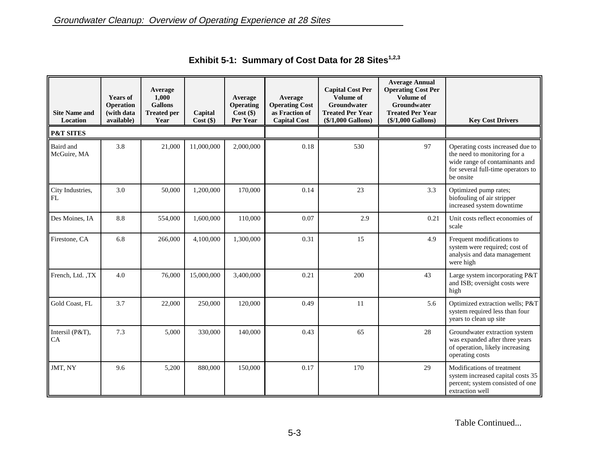| <b>Site Name and</b><br>Location | <b>Years of</b><br>Operation<br>(with data<br>available) | Average<br>1,000<br><b>Gallons</b><br><b>Treated per</b><br>Year | Capital<br>$Cost$ (\$) | Average<br>Operating<br>$Cost($ \$)<br>Per Year | Average<br><b>Operating Cost</b><br>as Fraction of<br><b>Capital Cost</b> | <b>Capital Cost Per</b><br><b>Volume of</b><br>Groundwater<br><b>Treated Per Year</b><br>$(\$/1,000$ Gallons) | <b>Average Annual</b><br><b>Operating Cost Per</b><br><b>Volume of</b><br>Groundwater<br><b>Treated Per Year</b><br>$(\$/1,000$ Gallons) | <b>Key Cost Drivers</b>                                                                                                                               |
|----------------------------------|----------------------------------------------------------|------------------------------------------------------------------|------------------------|-------------------------------------------------|---------------------------------------------------------------------------|---------------------------------------------------------------------------------------------------------------|------------------------------------------------------------------------------------------------------------------------------------------|-------------------------------------------------------------------------------------------------------------------------------------------------------|
| <b>P&amp;T SITES</b>             |                                                          |                                                                  |                        |                                                 |                                                                           |                                                                                                               |                                                                                                                                          |                                                                                                                                                       |
| Baird and<br>McGuire, MA         | 3.8                                                      | 21,000                                                           | 11,000,000             | 2,000,000                                       | 0.18                                                                      | 530                                                                                                           | 97                                                                                                                                       | Operating costs increased due to<br>the need to monitoring for a<br>wide range of contaminants and<br>for several full-time operators to<br>be onsite |
| City Industries,<br>FL           | 3.0                                                      | 50,000                                                           | 1,200,000              | 170,000                                         | 0.14                                                                      | 23                                                                                                            | 3.3                                                                                                                                      | Optimized pump rates;<br>biofouling of air stripper<br>increased system downtime                                                                      |
| Des Moines, IA                   | 8.8                                                      | 554,000                                                          | 1,600,000              | 110,000                                         | 0.07                                                                      | 2.9                                                                                                           | 0.21                                                                                                                                     | Unit costs reflect economies of<br>scale                                                                                                              |
| Firestone, CA                    | 6.8                                                      | 266,000                                                          | 4,100,000              | 1,300,000                                       | 0.31                                                                      | 15                                                                                                            | 4.9                                                                                                                                      | Frequent modifications to<br>system were required; cost of<br>analysis and data management<br>were high                                               |
| French, Ltd., TX                 | 4.0                                                      | 76,000                                                           | 15,000,000             | 3,400,000                                       | 0.21                                                                      | 200                                                                                                           | 43                                                                                                                                       | Large system incorporating P&T<br>and ISB; oversight costs were<br>high                                                                               |
| Gold Coast, FL                   | 3.7                                                      | 22,000                                                           | 250,000                | 120,000                                         | 0.49                                                                      | 11                                                                                                            | 5.6                                                                                                                                      | Optimized extraction wells; P&T<br>system required less than four<br>years to clean up site                                                           |
| Intersil (P&T),<br>CA            | 7.3                                                      | 5,000                                                            | 330,000                | 140,000                                         | 0.43                                                                      | 65                                                                                                            | 28                                                                                                                                       | Groundwater extraction system<br>was expanded after three years<br>of operation, likely increasing<br>operating costs                                 |
| JMT, NY                          | 9.6                                                      | 5,200                                                            | 880,000                | 150,000                                         | 0.17                                                                      | 170                                                                                                           | 29                                                                                                                                       | Modifications of treatment<br>system increased capital costs 35<br>percent; system consisted of one<br>extraction well                                |

**Exhibit 5-1: Summary of Cost Data for 28 Sites1,2,3**

Table Continued...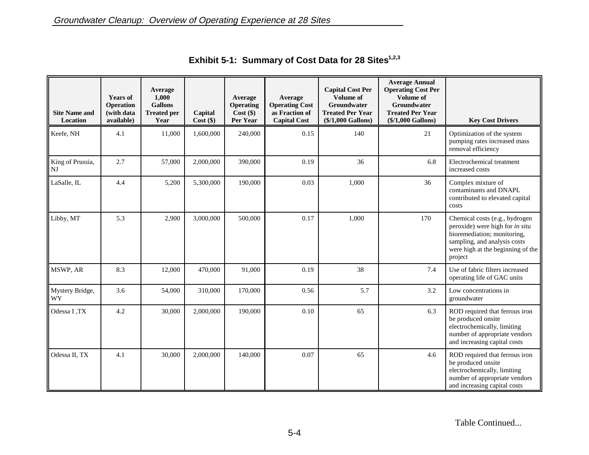| <b>Site Name and</b><br>Location   | <b>Years of</b><br>Operation<br>(with data<br>available) | Average<br>1,000<br><b>Gallons</b><br><b>Treated per</b><br>Year | Capital<br>$Cost$ (\$) | Average<br><b>Operating</b><br>$Cost$ (\$)<br>Per Year | Average<br><b>Operating Cost</b><br>as Fraction of<br><b>Capital Cost</b> | <b>Capital Cost Per</b><br><b>Volume of</b><br>Groundwater<br><b>Treated Per Year</b><br>$(\$/1,000$ Gallons) | <b>Average Annual</b><br><b>Operating Cost Per</b><br><b>Volume of</b><br>Groundwater<br><b>Treated Per Year</b><br>$(\$/1,000$ Gallons) | <b>Key Cost Drivers</b>                                                                                                                                                          |
|------------------------------------|----------------------------------------------------------|------------------------------------------------------------------|------------------------|--------------------------------------------------------|---------------------------------------------------------------------------|---------------------------------------------------------------------------------------------------------------|------------------------------------------------------------------------------------------------------------------------------------------|----------------------------------------------------------------------------------------------------------------------------------------------------------------------------------|
| Keefe, NH                          | 4.1                                                      | 11,000                                                           | 1,600,000              | 240,000                                                | 0.15                                                                      | 140                                                                                                           | 21                                                                                                                                       | Optimization of the system<br>pumping rates increased mass<br>removal efficiency                                                                                                 |
| King of Prussia,<br>N <sub>J</sub> | 2.7                                                      | 57,000                                                           | 2,000,000              | 390,000                                                | 0.19                                                                      | 36                                                                                                            | 6.8                                                                                                                                      | Electrochemical treatment<br>increased costs                                                                                                                                     |
| LaSalle, IL                        | 4.4                                                      | 5,200                                                            | 5,300,000              | 190,000                                                | 0.03                                                                      | 1,000                                                                                                         | 36                                                                                                                                       | Complex mixture of<br>contaminants and DNAPL<br>contributed to elevated capital<br>costs                                                                                         |
| Libby, MT                          | 5.3                                                      | 2,900                                                            | 3,000,000              | 500,000                                                | 0.17                                                                      | 1,000                                                                                                         | 170                                                                                                                                      | Chemical costs (e.g., hydrogen<br>peroxide) were high for in situ<br>bioremediation; monitoring,<br>sampling, and analysis costs<br>were high at the beginning of the<br>project |
| MSWP, AR                           | 8.3                                                      | 12,000                                                           | 470,000                | 91,000                                                 | 0.19                                                                      | 38                                                                                                            | 7.4                                                                                                                                      | Use of fabric filters increased<br>operating life of GAC units                                                                                                                   |
| Mystery Bridge,<br>WY              | 3.6                                                      | 54,000                                                           | 310,000                | 170,000                                                | 0.56                                                                      | 5.7                                                                                                           | 3.2                                                                                                                                      | Low concentrations in<br>groundwater                                                                                                                                             |
| Odessa I,TX                        | 4.2                                                      | 30,000                                                           | 2,000,000              | 190,000                                                | 0.10                                                                      | 65                                                                                                            | 6.3                                                                                                                                      | ROD required that ferrous iron<br>be produced onsite<br>electrochemically, limiting<br>number of appropriate vendors<br>and increasing capital costs                             |
| Odessa II, TX                      | 4.1                                                      | 30,000                                                           | 2,000,000              | 140,000                                                | 0.07                                                                      | 65                                                                                                            | 4.6                                                                                                                                      | ROD required that ferrous iron<br>be produced onsite<br>electrochemically, limiting<br>number of appropriate vendors<br>and increasing capital costs                             |

**Exhibit 5-1: Summary of Cost Data for 28 Sites1,2,3**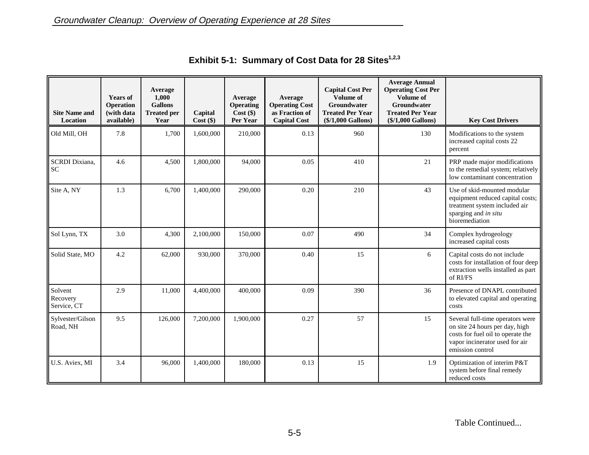| <b>Site Name and</b><br>Location   | <b>Years of</b><br><b>Operation</b><br>(with data<br>available) | Average<br>1.000<br><b>Gallons</b><br><b>Treated per</b><br>Year | Capital<br>$Cost$ (\$) | Average<br>Operating<br>$Cost($ \$)<br>Per Year | Average<br><b>Operating Cost</b><br>as Fraction of<br><b>Capital Cost</b> | <b>Capital Cost Per</b><br><b>Volume of</b><br>Groundwater<br><b>Treated Per Year</b><br>$(\$/1,000$ Gallons) | <b>Average Annual</b><br><b>Operating Cost Per</b><br>Volume of<br>Groundwater<br><b>Treated Per Year</b><br>$(\$/1,000$ Gallons) | <b>Key Cost Drivers</b>                                                                                                                                       |
|------------------------------------|-----------------------------------------------------------------|------------------------------------------------------------------|------------------------|-------------------------------------------------|---------------------------------------------------------------------------|---------------------------------------------------------------------------------------------------------------|-----------------------------------------------------------------------------------------------------------------------------------|---------------------------------------------------------------------------------------------------------------------------------------------------------------|
| Old Mill, OH                       | 7.8                                                             | 1,700                                                            | 1,600,000              | 210,000                                         | 0.13                                                                      | 960                                                                                                           | 130                                                                                                                               | Modifications to the system<br>increased capital costs 22<br>percent                                                                                          |
| <b>SCRDI</b> Dixiana,<br><b>SC</b> | 4.6                                                             | 4,500                                                            | 1,800,000              | 94,000                                          | 0.05                                                                      | 410                                                                                                           | 21                                                                                                                                | PRP made major modifications<br>to the remedial system; relatively<br>low contaminant concentration                                                           |
| Site A, NY                         | 1.3                                                             | 6,700                                                            | 1,400,000              | 290,000                                         | 0.20                                                                      | 210                                                                                                           | 43                                                                                                                                | Use of skid-mounted modular<br>equipment reduced capital costs;<br>treatment system included air<br>sparging and in situ<br>bioremediation                    |
| Sol Lynn, TX                       | 3.0                                                             | 4,300                                                            | 2,100,000              | 150,000                                         | 0.07                                                                      | 490                                                                                                           | 34                                                                                                                                | Complex hydrogeology<br>increased capital costs                                                                                                               |
| Solid State, MO                    | 4.2                                                             | 62,000                                                           | 930,000                | 370,000                                         | 0.40                                                                      | 15                                                                                                            | 6                                                                                                                                 | Capital costs do not include<br>costs for installation of four deep<br>extraction wells installed as part<br>of RI/FS                                         |
| Solvent<br>Recovery<br>Service, CT | 2.9                                                             | 11,000                                                           | 4,400,000              | 400,000                                         | 0.09                                                                      | 390                                                                                                           | 36                                                                                                                                | Presence of DNAPL contributed<br>to elevated capital and operating<br>costs                                                                                   |
| Sylvester/Gilson<br>Road, NH       | 9.5                                                             | 126,000                                                          | 7,200,000              | 1,900,000                                       | 0.27                                                                      | 57                                                                                                            | 15                                                                                                                                | Several full-time operators were<br>on site 24 hours per day, high<br>costs for fuel oil to operate the<br>vapor incinerator used for air<br>emission control |
| U.S. Aviex, MI                     | 3.4                                                             | 96,000                                                           | 1,400,000              | 180,000                                         | 0.13                                                                      | 15                                                                                                            | 1.9                                                                                                                               | Optimization of interim P&T<br>system before final remedy<br>reduced costs                                                                                    |

**Exhibit 5-1: Summary of Cost Data for 28 Sites1,2,3**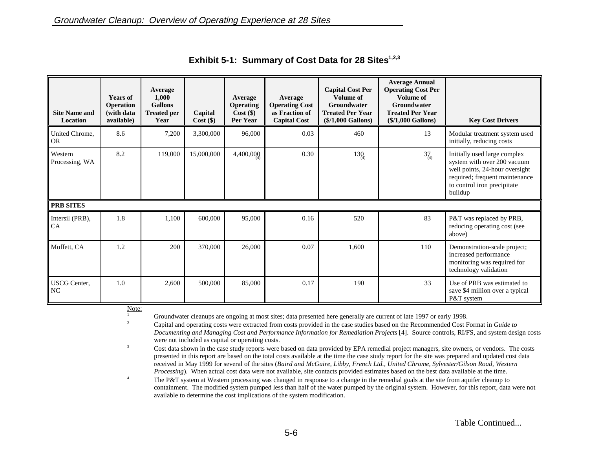| <b>Site Name and</b><br>Location | <b>Years of</b><br><b>Operation</b><br>(with data<br>available) | Average<br>1,000<br><b>Gallons</b><br><b>Treated per</b><br>Year | Capital<br>$Cost($ \$) | Average<br><b>Operating</b><br>$Cost$ (\$)<br>Per Year | Average<br><b>Operating Cost</b><br>as Fraction of<br><b>Capital Cost</b> | <b>Capital Cost Per</b><br><b>Volume of</b><br><b>Groundwater</b><br><b>Treated Per Year</b><br>$(\$/1,000$ Gallons) | <b>Average Annual</b><br><b>Operating Cost Per</b><br><b>Volume of</b><br>Groundwater<br><b>Treated Per Year</b><br>$(\$/1,000$ Gallons) | <b>Key Cost Drivers</b>                                                                                                                                                   |
|----------------------------------|-----------------------------------------------------------------|------------------------------------------------------------------|------------------------|--------------------------------------------------------|---------------------------------------------------------------------------|----------------------------------------------------------------------------------------------------------------------|------------------------------------------------------------------------------------------------------------------------------------------|---------------------------------------------------------------------------------------------------------------------------------------------------------------------------|
| United Chrome,<br>OR             | 8.6                                                             | 7,200                                                            | 3,300,000              | 96,000                                                 | 0.03                                                                      | 460                                                                                                                  | 13                                                                                                                                       | Modular treatment system used<br>initially, reducing costs                                                                                                                |
| Western<br>Processing, WA        | 8.2                                                             | 119,000                                                          | 15,000,000             | 4,400,000                                              | 0.30                                                                      | $13Q_{_1}$                                                                                                           | $3^{7}_{(4)}$                                                                                                                            | Initially used large complex<br>system with over 200 vacuum<br>well points, 24-hour oversight<br>required; frequent maintenance<br>to control iron precipitate<br>buildup |
| <b>PRB SITES</b>                 |                                                                 |                                                                  |                        |                                                        |                                                                           |                                                                                                                      |                                                                                                                                          |                                                                                                                                                                           |
| Intersil (PRB),<br>CA            | 1.8                                                             | 1,100                                                            | 600,000                | 95,000                                                 | 0.16                                                                      | 520                                                                                                                  | 83                                                                                                                                       | P&T was replaced by PRB,<br>reducing operating cost (see<br>above)                                                                                                        |
| Moffett, CA                      | 1.2                                                             | 200                                                              | 370,000                | 26,000                                                 | 0.07                                                                      | 1,600                                                                                                                | 110                                                                                                                                      | Demonstration-scale project;<br>increased performance<br>monitoring was required for<br>technology validation                                                             |
| <b>USCG</b> Center,<br>NC        | 1.0                                                             | 2,600                                                            | 500,000                | 85,000                                                 | 0.17                                                                      | 190                                                                                                                  | 33                                                                                                                                       | Use of PRB was estimated to<br>save \$4 million over a typical<br>P&T system                                                                                              |

**Exhibit 5-1: Summary of Cost Data for 28 Sites1,2,3**

Note:

Groundwater cleanups are ongoing at most sites; data presented here generally are current of late 1997 or early 1998.

Capital and operating costs were extracted from costs provided in the case studies based on the Recommended Cost Format in *Guide to* <sup>2</sup> *Documenting and Managing Cost and Performance Information for Remediation Projects* [4]. Source controls, RI/FS, and system design costs were not included as capital or operating costs.

<sup>3</sup> Cost data shown in the case study reports were based on data provided by EPA remedial project managers, site owners, or vendors. The costs presented in this report are based on the total costs available at the time the case study report for the site was prepared and updated cost data received in May 1999 for several of the sites (*Baird and McGuire, Libby, French Ltd., United Chrome, Sylvester/Gilson Road, Western Processing*). When actual cost data were not available, site contacts provided estimates based on the best data available at the time.

<sup>4</sup> The P&T system at Western processing was changed in response to a change in the remedial goals at the site from aquifer cleanup to containment. The modified system pumped less than half of the water pumped by the original system. However, for this report, data were not available to determine the cost implications of the system modification.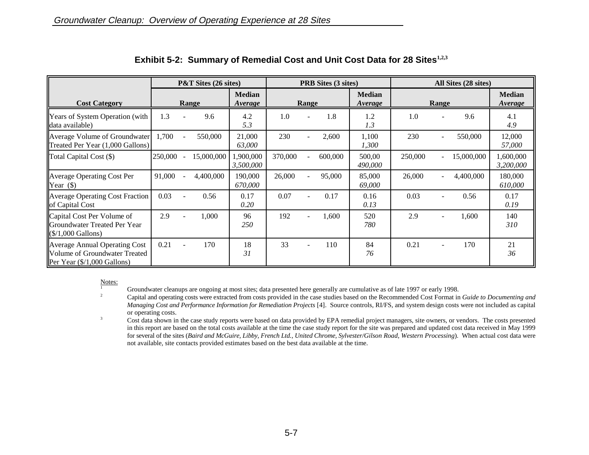|                                                                                                               |         | $P&T$ Sites (26 sites) |            |                          | <b>PRB</b> Sites (3 sites) |                |         |                          | All Sites (28 sites) |                          |            |                          |
|---------------------------------------------------------------------------------------------------------------|---------|------------------------|------------|--------------------------|----------------------------|----------------|---------|--------------------------|----------------------|--------------------------|------------|--------------------------|
| <b>Cost Category</b>                                                                                          |         |                        | Range      | <b>Median</b><br>Average |                            | Range          |         | <b>Median</b><br>Average |                      | Range                    |            | <b>Median</b><br>Average |
| <b>Years of System Operation (with</b><br>data available)                                                     | 1.3     |                        | 9.6        | 4.2<br>5.3               | 1.0                        | $\blacksquare$ | 1.8     | 1.2<br>1.3               | 1.0                  | $\blacksquare$           | 9.6        | 4.1<br>4.9               |
| Average Volume of Groundwater<br>Treated Per Year (1,000 Gallons)                                             | 1,700   | $\bar{\phantom{a}}$    | 550,000    | 21,000<br>63,000         | 230                        | $\blacksquare$ | 2,600   | 1,100<br>1,300           | 230                  | $\overline{\phantom{a}}$ | 550,000    | 12,000<br>57,000         |
| Total Capital Cost (\$)                                                                                       | 250,000 | $\sim$                 | 15,000,000 | 1,900,000<br>3,500,000   | 370,000                    |                | 600,000 | 500,00<br>490,000        | 250,000              | $\sim$                   | 15,000,000 | 1,600,000<br>3,200,000   |
| <b>Average Operating Cost Per</b><br>Year $(\$)$                                                              | 91,000  |                        | 4,400,000  | 190,000<br>670,000       | 26,000                     |                | 95,000  | 85,000<br>69,000         | 26,000               | $\sim$                   | 4,400,000  | 180,000<br>610,000       |
| <b>Average Operating Cost Fraction</b><br>of Capital Cost                                                     | 0.03    |                        | 0.56       | 0.17<br>0.20             | 0.07                       |                | 0.17    | 0.16<br>0.13             | 0.03                 |                          | 0.56       | 0.17<br>0.19             |
| Capital Cost Per Volume of<br>Groundwater Treated Per Year<br>$(\frac{$}{1,000}$ Gallons)                     | 2.9     |                        | 1,000      | 96<br>250                | 192                        |                | 1,600   | 520<br>780               | 2.9                  |                          | 1,600      | 140<br>310               |
| <b>Average Annual Operating Cost</b><br>Volume of Groundwater Treated<br>Per Year $(\frac{5}{1,000}$ Gallons) | 0.21    |                        | 170        | 18<br>31                 | 33                         |                | 110     | 84<br>76                 | 0.21                 |                          | 170        | 21<br>36                 |

|  |  |  |  |  | Exhibit 5-2: Summary of Remedial Cost and Unit Cost Data for 28 Sites <sup>1,2,3</sup> |
|--|--|--|--|--|----------------------------------------------------------------------------------------|
|--|--|--|--|--|----------------------------------------------------------------------------------------|

#### Notes:

Groundwater cleanups are ongoing at most sites; data presented here generally are cumulative as of late 1997 or early 1998.<br>Conital and operating costs were oxtracted from costs provided in the case studies based on the B

Capital and operating costs were extracted from costs provided in the case studies based on the Recommended Cost Format in *Guide to Documenting and* <sup>2</sup> *Managing Cost and Performance Information for Remediation Projects* [4]. Source controls, RI/FS, and system design costs were not included as capital or operating costs.

<sup>3</sup> Cost data shown in the case study reports were based on data provided by EPA remedial project managers, site owners, or vendors. The costs presented in this report are based on the total costs available at the time the case study report for the site was prepared and updated cost data received in May 1999 for several of the sites (*Baird and McGuire, Libby, French Ltd., United Chrome, Sylvester/Gilson Road, Western Processing*). When actual cost data were not available, site contacts provided estimates based on the best data available at the time.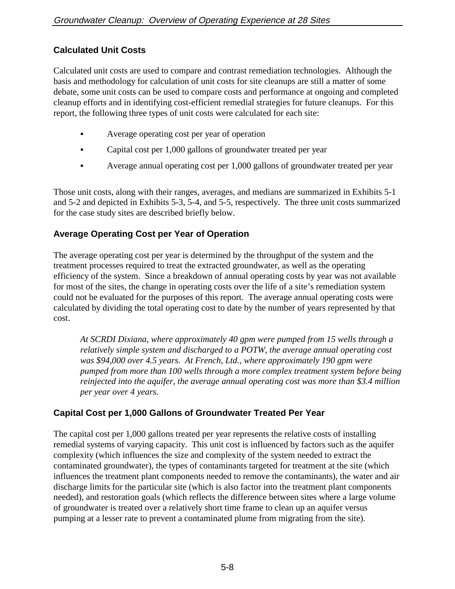#### **Calculated Unit Costs**

Calculated unit costs are used to compare and contrast remediation technologies. Although the basis and methodology for calculation of unit costs for site cleanups are still a matter of some debate, some unit costs can be used to compare costs and performance at ongoing and completed cleanup efforts and in identifying cost-efficient remedial strategies for future cleanups. For this report, the following three types of unit costs were calculated for each site:

- & Average operating cost per year of operation
- Capital cost per 1,000 gallons of groundwater treated per year
- & Average annual operating cost per 1,000 gallons of groundwater treated per year

Those unit costs, along with their ranges, averages, and medians are summarized in Exhibits 5-1 and 5-2 and depicted in Exhibits 5-3, 5-4, and 5-5, respectively. The three unit costs summarized for the case study sites are described briefly below.

### **Average Operating Cost per Year of Operation**

The average operating cost per year is determined by the throughput of the system and the treatment processes required to treat the extracted groundwater, as well as the operating efficiency of the system. Since a breakdown of annual operating costs by year was not available for most of the sites, the change in operating costs over the life of a site's remediation system could not be evaluated for the purposes of this report. The average annual operating costs were calculated by dividing the total operating cost to date by the number of years represented by that cost.

*At SCRDI Dixiana, where approximately 40 gpm were pumped from 15 wells through a relatively simple system and discharged to a POTW, the average annual operating cost was \$94,000 over 4.5 years. At French, Ltd., where approximately 190 gpm were pumped from more than 100 wells through a more complex treatment system before being reinjected into the aquifer, the average annual operating cost was more than \$3.4 million per year over 4 years.* 

## **Capital Cost per 1,000 Gallons of Groundwater Treated Per Year**

The capital cost per 1,000 gallons treated per year represents the relative costs of installing remedial systems of varying capacity. This unit cost is influenced by factors such as the aquifer complexity (which influences the size and complexity of the system needed to extract the contaminated groundwater), the types of contaminants targeted for treatment at the site (which influences the treatment plant components needed to remove the contaminants), the water and air discharge limits for the particular site (which is also factor into the treatment plant components needed), and restoration goals (which reflects the difference between sites where a large volume of groundwater is treated over a relatively short time frame to clean up an aquifer versus pumping at a lesser rate to prevent a contaminated plume from migrating from the site).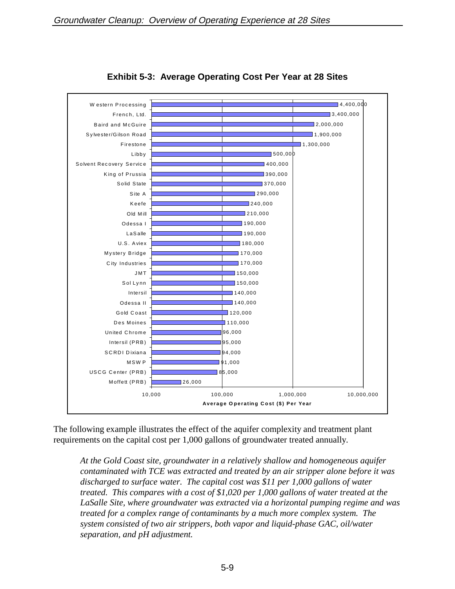

# **Exhibit 5-3: Average Operating Cost Per Year at 28 Sites**

The following example illustrates the effect of the aquifer complexity and treatment plant requirements on the capital cost per 1,000 gallons of groundwater treated annually.

*At the Gold Coast site, groundwater in a relatively shallow and homogeneous aquifer contaminated with TCE was extracted and treated by an air stripper alone before it was discharged to surface water. The capital cost was \$11 per 1,000 gallons of water treated. This compares with a cost of \$1,020 per 1,000 gallons of water treated at the LaSalle Site, where groundwater was extracted via a horizontal pumping regime and was treated for a complex range of contaminants by a much more complex system. The system consisted of two air strippers, both vapor and liquid-phase GAC, oil/water separation, and pH adjustment.*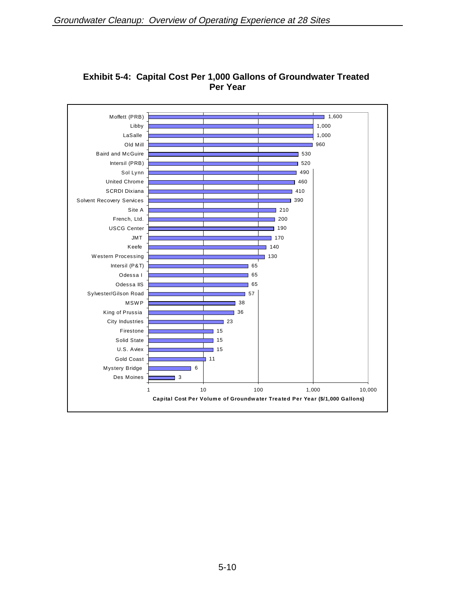

**Exhibit 5-4: Capital Cost Per 1,000 Gallons of Groundwater Treated Per Year**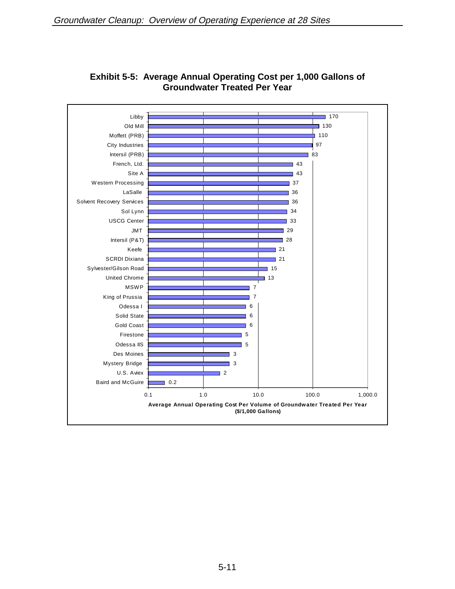

#### **Exhibit 5-5: Average Annual Operating Cost per 1,000 Gallons of Groundwater Treated Per Year**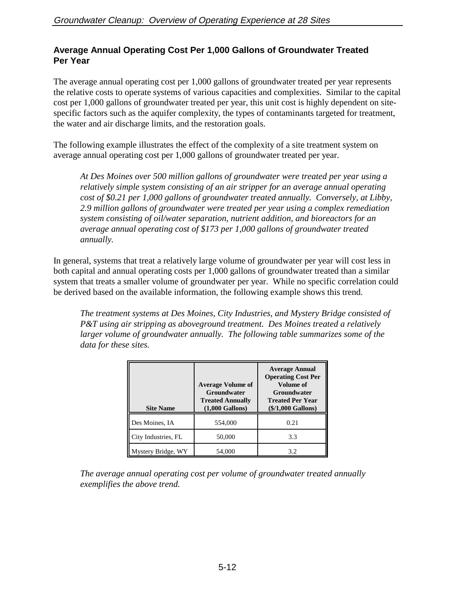#### **Average Annual Operating Cost Per 1,000 Gallons of Groundwater Treated Per Year**

The average annual operating cost per 1,000 gallons of groundwater treated per year represents the relative costs to operate systems of various capacities and complexities. Similar to the capital cost per 1,000 gallons of groundwater treated per year, this unit cost is highly dependent on sitespecific factors such as the aquifer complexity, the types of contaminants targeted for treatment, the water and air discharge limits, and the restoration goals.

The following example illustrates the effect of the complexity of a site treatment system on average annual operating cost per 1,000 gallons of groundwater treated per year.

*At Des Moines over 500 million gallons of groundwater were treated per year using a relatively simple system consisting of an air stripper for an average annual operating cost of \$0.21 per 1,000 gallons of groundwater treated annually. Conversely, at Libby, 2.9 million gallons of groundwater were treated per year using a complex remediation system consisting of oil/water separation, nutrient addition, and bioreactors for an average annual operating cost of \$173 per 1,000 gallons of groundwater treated annually.*

In general, systems that treat a relatively large volume of groundwater per year will cost less in both capital and annual operating costs per 1,000 gallons of groundwater treated than a similar system that treats a smaller volume of groundwater per year. While no specific correlation could be derived based on the available information, the following example shows this trend.

*The treatment systems at Des Moines, City Industries, and Mystery Bridge consisted of P&T using air stripping as aboveground treatment. Des Moines treated a relatively larger volume of groundwater annually. The following table summarizes some of the data for these sites.*

| <b>Site Name</b>    | <b>Average Volume of</b><br>Groundwater<br><b>Treated Annually</b><br>$(1,000 \text{ Gallons})$ | <b>Average Annual</b><br><b>Operating Cost Per</b><br><b>Volume of</b><br>Groundwater<br><b>Treated Per Year</b><br>$(\$/1,000$ Gallons) |
|---------------------|-------------------------------------------------------------------------------------------------|------------------------------------------------------------------------------------------------------------------------------------------|
| Des Moines, IA      | 554,000                                                                                         | 0.21                                                                                                                                     |
| City Industries, FL | 50,000                                                                                          | 3.3                                                                                                                                      |
| Mystery Bridge, WY  | 54,000                                                                                          | 3.2                                                                                                                                      |

*The average annual operating cost per volume of groundwater treated annually exemplifies the above trend.*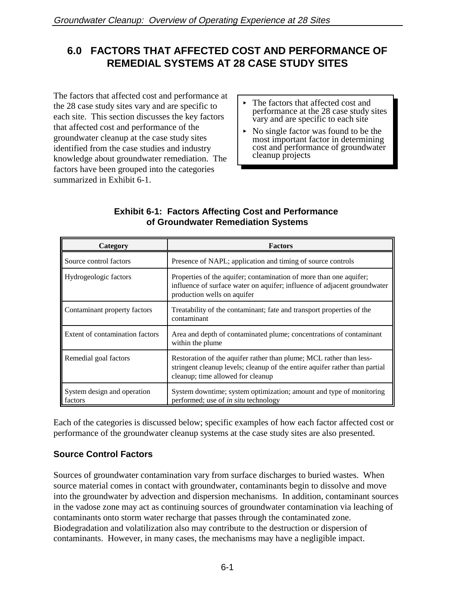# **6.0 FACTORS THAT AFFECTED COST AND PERFORMANCE OF REMEDIAL SYSTEMS AT 28 CASE STUDY SITES**

The factors that affected cost and performance at the 28 case study sites vary and are specific to each site. This section discusses the key factors that affected cost and performance of the groundwater cleanup at the case study sites identified from the case studies and industry knowledge about groundwater remediation. The factors have been grouped into the categories summarized in Exhibit 6-1.

- The factors that affected cost and performance at the 28 case study sites vary and are specific to each site
- $\triangleright$  No single factor was found to be the most important factor in determining cost and performance of groundwater cleanup projects

#### **Exhibit 6-1: Factors Affecting Cost and Performance of Groundwater Remediation Systems**

| Category                               | <b>Factors</b>                                                                                                                                                                          |
|----------------------------------------|-----------------------------------------------------------------------------------------------------------------------------------------------------------------------------------------|
| Source control factors                 | Presence of NAPL; application and timing of source controls                                                                                                                             |
| Hydrogeologic factors                  | Properties of the aquifer; contamination of more than one aquifer;<br>influence of surface water on aquifer; influence of adjacent groundwater<br>production wells on aquifer           |
| Contaminant property factors           | Treatability of the contaminant; fate and transport properties of the<br>contaminant                                                                                                    |
| Extent of contamination factors        | Area and depth of contaminated plume; concentrations of contaminant<br>within the plume                                                                                                 |
| Remedial goal factors                  | Restoration of the aquifer rather than plume; MCL rather than less-<br>stringent cleanup levels; cleanup of the entire aquifer rather than partial<br>cleanup; time allowed for cleanup |
| System design and operation<br>factors | System downtime; system optimization; amount and type of monitoring<br>performed; use of <i>in situ</i> technology                                                                      |

Each of the categories is discussed below; specific examples of how each factor affected cost or performance of the groundwater cleanup systems at the case study sites are also presented.

#### **Source Control Factors**

Sources of groundwater contamination vary from surface discharges to buried wastes. When source material comes in contact with groundwater, contaminants begin to dissolve and move into the groundwater by advection and dispersion mechanisms. In addition, contaminant sources in the vadose zone may act as continuing sources of groundwater contamination via leaching of contaminants onto storm water recharge that passes through the contaminated zone. Biodegradation and volatilization also may contribute to the destruction or dispersion of contaminants. However, in many cases, the mechanisms may have a negligible impact.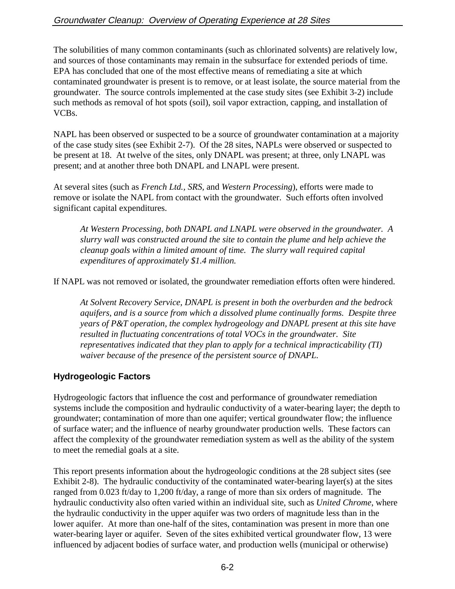The solubilities of many common contaminants (such as chlorinated solvents) are relatively low, and sources of those contaminants may remain in the subsurface for extended periods of time. EPA has concluded that one of the most effective means of remediating a site at which contaminated groundwater is present is to remove, or at least isolate, the source material from the groundwater. The source controls implemented at the case study sites (see Exhibit 3-2) include such methods as removal of hot spots (soil), soil vapor extraction, capping, and installation of VCBs.

NAPL has been observed or suspected to be a source of groundwater contamination at a majority of the case study sites (see Exhibit 2-7). Of the 28 sites, NAPLs were observed or suspected to be present at 18. At twelve of the sites, only DNAPL was present; at three, only LNAPL was present; and at another three both DNAPL and LNAPL were present.

At several sites (such as *French Ltd., SRS,* and *Western Processing*), efforts were made to remove or isolate the NAPL from contact with the groundwater. Such efforts often involved significant capital expenditures.

*At Western Processing, both DNAPL and LNAPL were observed in the groundwater. A slurry wall was constructed around the site to contain the plume and help achieve the cleanup goals within a limited amount of time. The slurry wall required capital expenditures of approximately \$1.4 million.*

If NAPL was not removed or isolated, the groundwater remediation efforts often were hindered.

*At Solvent Recovery Service, DNAPL is present in both the overburden and the bedrock aquifers, and is a source from which a dissolved plume continually forms. Despite three years of P&T operation, the complex hydrogeology and DNAPL present at this site have resulted in fluctuating concentrations of total VOCs in the groundwater. Site representatives indicated that they plan to apply for a technical impracticability (TI) waiver because of the presence of the persistent source of DNAPL.*

#### **Hydrogeologic Factors**

Hydrogeologic factors that influence the cost and performance of groundwater remediation systems include the composition and hydraulic conductivity of a water-bearing layer; the depth to groundwater; contamination of more than one aquifer; vertical groundwater flow; the influence of surface water; and the influence of nearby groundwater production wells. These factors can affect the complexity of the groundwater remediation system as well as the ability of the system to meet the remedial goals at a site.

This report presents information about the hydrogeologic conditions at the 28 subject sites (see Exhibit 2-8). The hydraulic conductivity of the contaminated water-bearing layer(s) at the sites ranged from 0.023 ft/day to 1,200 ft/day, a range of more than six orders of magnitude. The hydraulic conductivity also often varied within an individual site, such as *United Chrome*, where the hydraulic conductivity in the upper aquifer was two orders of magnitude less than in the lower aquifer. At more than one-half of the sites, contamination was present in more than one water-bearing layer or aquifer. Seven of the sites exhibited vertical groundwater flow, 13 were influenced by adjacent bodies of surface water, and production wells (municipal or otherwise)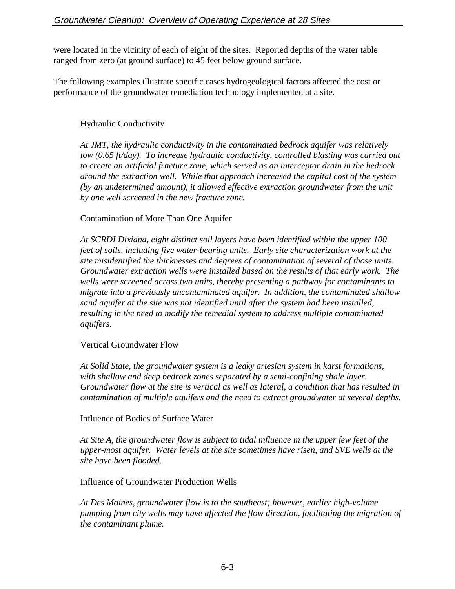were located in the vicinity of each of eight of the sites. Reported depths of the water table ranged from zero (at ground surface) to 45 feet below ground surface.

The following examples illustrate specific cases hydrogeological factors affected the cost or performance of the groundwater remediation technology implemented at a site.

#### Hydraulic Conductivity

*At JMT, the hydraulic conductivity in the contaminated bedrock aquifer was relatively low (0.65 ft/day). To increase hydraulic conductivity, controlled blasting was carried out to create an artificial fracture zone, which served as an interceptor drain in the bedrock around the extraction well. While that approach increased the capital cost of the system (by an undetermined amount), it allowed effective extraction groundwater from the unit by one well screened in the new fracture zone.*

#### Contamination of More Than One Aquifer

*At SCRDI Dixiana, eight distinct soil layers have been identified within the upper 100 feet of soils, including five water-bearing units. Early site characterization work at the site misidentified the thicknesses and degrees of contamination of several of those units. Groundwater extraction wells were installed based on the results of that early work. The wells were screened across two units, thereby presenting a pathway for contaminants to migrate into a previously uncontaminated aquifer. In addition, the contaminated shallow sand aquifer at the site was not identified until after the system had been installed, resulting in the need to modify the remedial system to address multiple contaminated aquifers.*

#### Vertical Groundwater Flow

*At Solid State, the groundwater system is a leaky artesian system in karst formations, with shallow and deep bedrock zones separated by a semi-confining shale layer. Groundwater flow at the site is vertical as well as lateral, a condition that has resulted in contamination of multiple aquifers and the need to extract groundwater at several depths.*

#### Influence of Bodies of Surface Water

*At Site A, the groundwater flow is subject to tidal influence in the upper few feet of the upper-most aquifer. Water levels at the site sometimes have risen, and SVE wells at the site have been flooded.*

#### Influence of Groundwater Production Wells

*At Des Moines, groundwater flow is to the southeast; however, earlier high-volume pumping from city wells may have affected the flow direction, facilitating the migration of the contaminant plume.*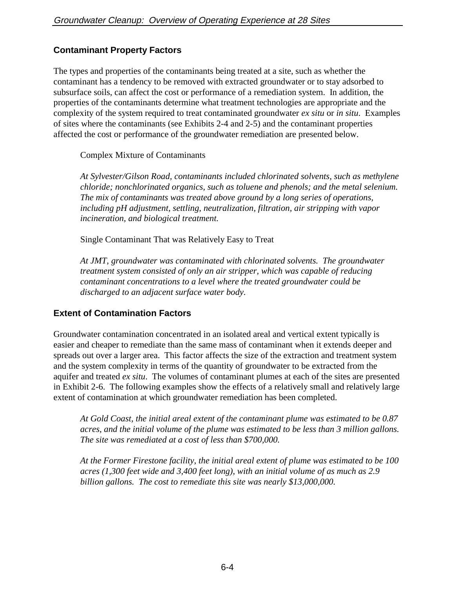#### **Contaminant Property Factors**

The types and properties of the contaminants being treated at a site, such as whether the contaminant has a tendency to be removed with extracted groundwater or to stay adsorbed to subsurface soils, can affect the cost or performance of a remediation system. In addition, the properties of the contaminants determine what treatment technologies are appropriate and the complexity of the system required to treat contaminated groundwater *ex situ* or *in situ*. Examples of sites where the contaminants (see Exhibits 2-4 and 2-5) and the contaminant properties affected the cost or performance of the groundwater remediation are presented below.

Complex Mixture of Contaminants

*At Sylvester/Gilson Road, contaminants included chlorinated solvents, such as methylene chloride; nonchlorinated organics, such as toluene and phenols; and the metal selenium. The mix of contaminants was treated above ground by a long series of operations, including pH adjustment, settling, neutralization, filtration, air stripping with vapor incineration, and biological treatment.*

Single Contaminant That was Relatively Easy to Treat

*At JMT, groundwater was contaminated with chlorinated solvents. The groundwater treatment system consisted of only an air stripper, which was capable of reducing contaminant concentrations to a level where the treated groundwater could be discharged to an adjacent surface water body.*

#### **Extent of Contamination Factors**

Groundwater contamination concentrated in an isolated areal and vertical extent typically is easier and cheaper to remediate than the same mass of contaminant when it extends deeper and spreads out over a larger area. This factor affects the size of the extraction and treatment system and the system complexity in terms of the quantity of groundwater to be extracted from the aquifer and treated *ex situ*. The volumes of contaminant plumes at each of the sites are presented in Exhibit 2-6. The following examples show the effects of a relatively small and relatively large extent of contamination at which groundwater remediation has been completed.

*At Gold Coast, the initial areal extent of the contaminant plume was estimated to be 0.87 acres, and the initial volume of the plume was estimated to be less than 3 million gallons. The site was remediated at a cost of less than \$700,000.*

*At the Former Firestone facility, the initial areal extent of plume was estimated to be 100 acres (1,300 feet wide and 3,400 feet long), with an initial volume of as much as 2.9 billion gallons. The cost to remediate this site was nearly \$13,000,000.*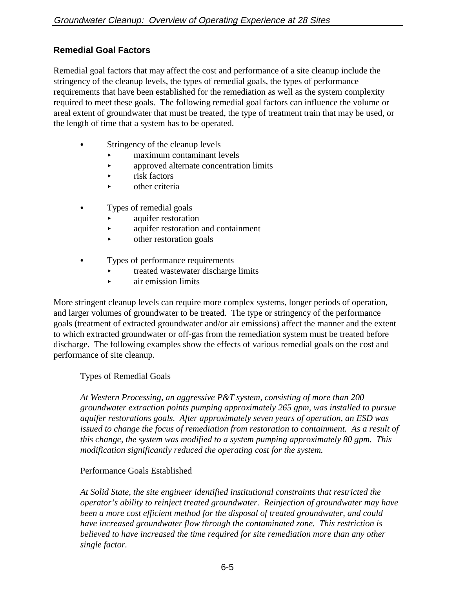#### **Remedial Goal Factors**

Remedial goal factors that may affect the cost and performance of a site cleanup include the stringency of the cleanup levels, the types of remedial goals, the types of performance requirements that have been established for the remediation as well as the system complexity required to meet these goals. The following remedial goal factors can influence the volume or areal extent of groundwater that must be treated, the type of treatment train that may be used, or the length of time that a system has to be operated.

- & Stringency of the cleanup levels
	- maximum contaminant levels
	- approved alternate concentration limits
	- $\triangleright$  risk factors
	- other criteria
- Types of remedial goals
	- aquifer restoration
	- aquifer restoration and containment
	- $\rightarrow$  other restoration goals
- & Types of performance requirements
	- treated wastewater discharge limits
	- air emission limits

More stringent cleanup levels can require more complex systems, longer periods of operation, and larger volumes of groundwater to be treated. The type or stringency of the performance goals (treatment of extracted groundwater and/or air emissions) affect the manner and the extent to which extracted groundwater or off-gas from the remediation system must be treated before discharge. The following examples show the effects of various remedial goals on the cost and performance of site cleanup.

#### Types of Remedial Goals

*At Western Processing, an aggressive P&T system, consisting of more than 200 groundwater extraction points pumping approximately 265 gpm, was installed to pursue aquifer restorations goals. After approximately seven years of operation, an ESD was issued to change the focus of remediation from restoration to containment. As a result of this change, the system was modified to a system pumping approximately 80 gpm. This modification significantly reduced the operating cost for the system.*

#### Performance Goals Established

*At Solid State, the site engineer identified institutional constraints that restricted the operator's ability to reinject treated groundwater. Reinjection of groundwater may have been a more cost efficient method for the disposal of treated groundwater, and could have increased groundwater flow through the contaminated zone. This restriction is believed to have increased the time required for site remediation more than any other single factor.*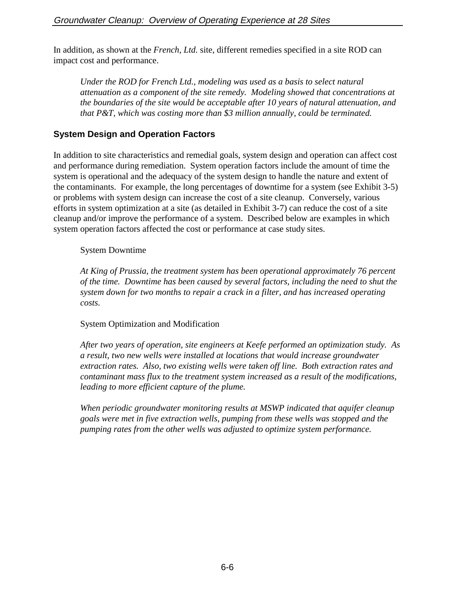In addition, as shown at the *French, Ltd.* site, different remedies specified in a site ROD can impact cost and performance.

*Under the ROD for French Ltd., modeling was used as a basis to select natural attenuation as a component of the site remedy. Modeling showed that concentrations at the boundaries of the site would be acceptable after 10 years of natural attenuation, and that P&T, which was costing more than \$3 million annually, could be terminated.*

#### **System Design and Operation Factors**

In addition to site characteristics and remedial goals, system design and operation can affect cost and performance during remediation. System operation factors include the amount of time the system is operational and the adequacy of the system design to handle the nature and extent of the contaminants. For example, the long percentages of downtime for a system (see Exhibit 3-5) or problems with system design can increase the cost of a site cleanup. Conversely, various efforts in system optimization at a site (as detailed in Exhibit 3-7) can reduce the cost of a site cleanup and/or improve the performance of a system. Described below are examples in which system operation factors affected the cost or performance at case study sites.

#### System Downtime

*At King of Prussia, the treatment system has been operational approximately 76 percent of the time. Downtime has been caused by several factors, including the need to shut the system down for two months to repair a crack in a filter, and has increased operating costs.*

#### System Optimization and Modification

*After two years of operation, site engineers at Keefe performed an optimization study. As a result, two new wells were installed at locations that would increase groundwater extraction rates. Also, two existing wells were taken off line. Both extraction rates and contaminant mass flux to the treatment system increased as a result of the modifications, leading to more efficient capture of the plume.*

*When periodic groundwater monitoring results at MSWP indicated that aquifer cleanup goals were met in five extraction wells, pumping from these wells was stopped and the pumping rates from the other wells was adjusted to optimize system performance.*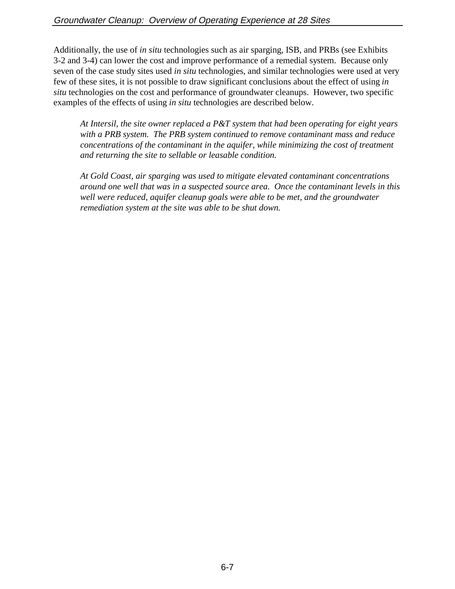Additionally, the use of *in situ* technologies such as air sparging, ISB, and PRBs (see Exhibits 3-2 and 3-4) can lower the cost and improve performance of a remedial system. Because only seven of the case study sites used *in situ* technologies, and similar technologies were used at very few of these sites, it is not possible to draw significant conclusions about the effect of using *in situ* technologies on the cost and performance of groundwater cleanups. However, two specific examples of the effects of using *in situ* technologies are described below.

*At Intersil, the site owner replaced a P&T system that had been operating for eight years with a PRB system. The PRB system continued to remove contaminant mass and reduce concentrations of the contaminant in the aquifer, while minimizing the cost of treatment and returning the site to sellable or leasable condition.*

*At Gold Coast, air sparging was used to mitigate elevated contaminant concentrations around one well that was in a suspected source area. Once the contaminant levels in this well were reduced, aquifer cleanup goals were able to be met, and the groundwater remediation system at the site was able to be shut down.*